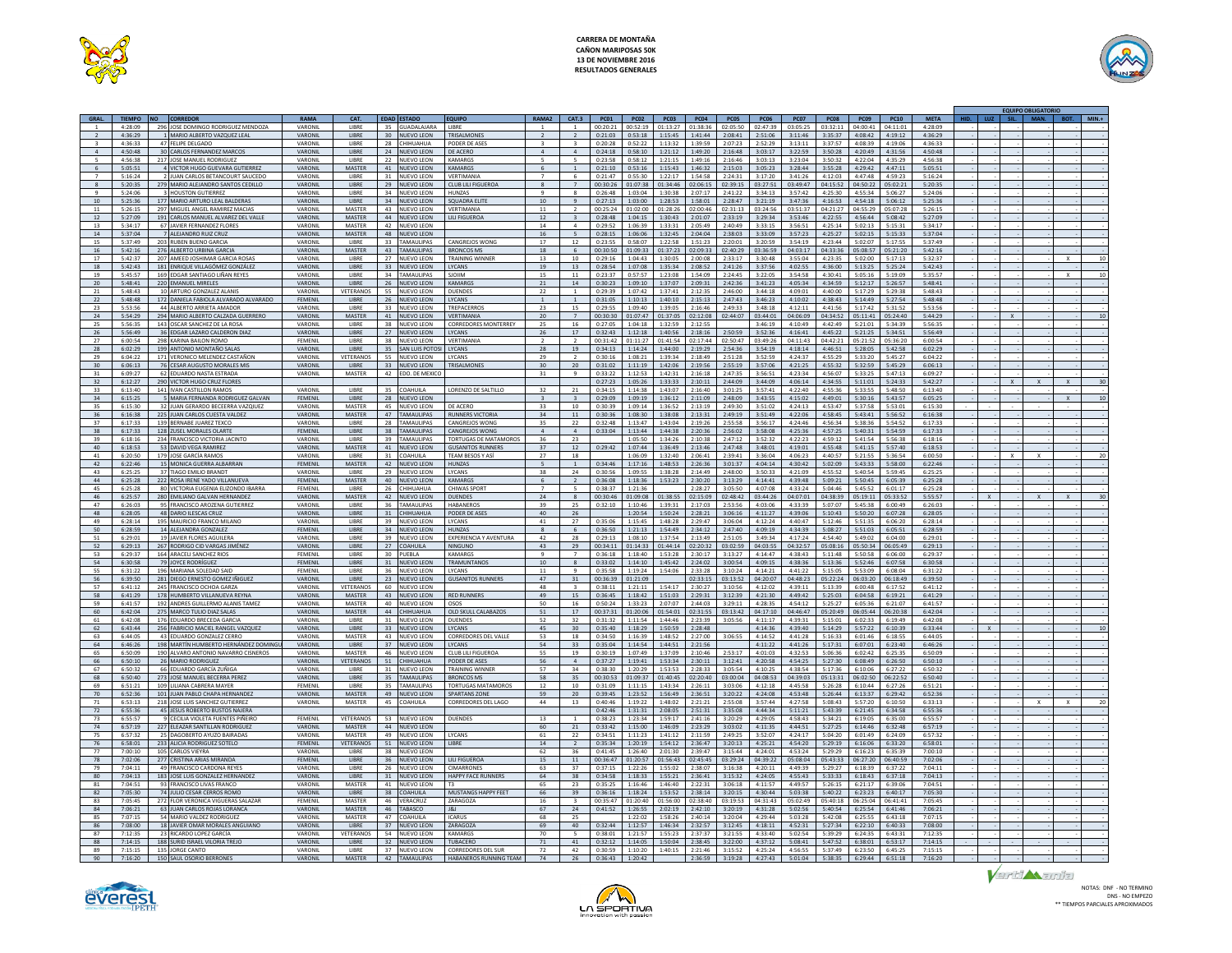



|                 |                    |           |                                                               |                    |                               |                       |                                        |                                        |                 |                                |                    |                    |                    |                    |                    |                    |                    |                        |                    |                    |                    |      | <b>EQUIPO OBLIGATORIO</b> |          |
|-----------------|--------------------|-----------|---------------------------------------------------------------|--------------------|-------------------------------|-----------------------|----------------------------------------|----------------------------------------|-----------------|--------------------------------|--------------------|--------------------|--------------------|--------------------|--------------------|--------------------|--------------------|------------------------|--------------------|--------------------|--------------------|------|---------------------------|----------|
| GRAL.           | <b>TIEMPO</b>      | <b>NO</b> | <b>CORREDOR</b>                                               | <b>RAMA</b>        | CAT.                          |                       | <b>EDAD ESTADO</b>                     | <b>EQUIPO</b>                          | RAMA2           | CAT.3                          | <b>PC01</b>        | <b>PC02</b>        | PC03               | <b>PC04</b>        | PC05               | <b>PC06</b>        | <b>PC07</b>        | <b>PC08</b>            | PC <sub>09</sub>   | <b>PC10</b>        | <b>META</b>        | SIL. | MAN.                      | $MIN. +$ |
|                 | 4:28:09            |           | 296 JOSE DOMINGO RODRIGUEZ MENDOZA                            | VARONIL            | LIBRE                         | 35                    | <b>GUADALAJARA</b>                     | LIBRE                                  |                 |                                | 00:20:21           | 00:52:19           | 01:13:27           | 01:38:36           | 02:05:50           | 02:47:39           | 03:05:25           | 03:32:11               | 04:00:41           | 04:11:01           | 4:28:09            |      |                           |          |
| $\mathbf{R}$    | 4:36:29<br>4.36.33 |           | 1 MARIO ALBERTO VAZQUEZ LEAL<br>47 FELIPE DELGADO             | VARONIL<br>VARONIL | LIBRE<br><b>LIBRE</b>         | 30 <sup>°</sup><br>28 | <b>NUEVO LEON</b><br>СНІНІ ІАНІ ІА     | TRISALMONES<br>PODER DE ASES           | $\mathbf{R}$    | $\ddot{\mathbf{z}}$            | 0:21:03<br>0:20:28 | 0:53:18<br>0.52.22 | 1:15:45<br>1:13:32 | 1:41:44<br>1:39:59 | 2:08:41<br>2:07:23 | 2:51:06<br>2:52:29 | 3:11:46<br>3:13:11 | 3:35:37<br>3:37:57     | 4:08:42<br>4:08:39 | 4:19:12<br>4:19:06 | 4:36:29<br>4:36:33 |      |                           |          |
| $\overline{4}$  | 4:50:48            |           | 30 CARLOS FERNANDEZ MARCOS                                    | VARONIL            | LIBRE                         |                       | 24 NUEVO LEON                          | DE ACERO                               | $\overline{4}$  | $\overline{a}$                 | 0:24:18            | 0:58:10            | 1:21:12 1:49:20    |                    | 2:16:48            | 3:03:17            | 3:22:59            | 3:50:28                | 4:20:49            | 4:31:56            | 4:50:48            |      |                           |          |
| 5               | 4:56:38            |           | 217 JOSE MANUEL RODRIGUEZ                                     | VARONIL            | LIBRE                         | 22                    | <b>NUEVO LEON</b>                      | <b>KAMARGS</b>                         |                 |                                | 0:23:58            | 0:58:12            | 1:21:15            | 1:49:16            | 2:16:46            | 3:03:13            | 3:23:04            | 3:50:32                | 4:22:04            | 4:35:29            | 4:56:38            |      |                           |          |
| $\sim$          | 5:05:51            |           | 4 VICTOR HUGO GUEVARA GUTIERREZ                               | VARONIL            | <b>MASTER</b>                 |                       | 41 NUEVO LEON                          | KAMARGS                                | -6              | $\overline{1}$                 | 0:21:10            | 0:53:16            | 1:15:43            | 1:46:32            | 2:15:03            | 3:05:23            | 3:28:44            | 3:55:28                | 4:29:42            | 4:47:11            | 5:05:51            |      |                           |          |
|                 | 5:16:24            |           | 2 JUAN CARLOS BETANCOURT SAUCEDO                              | VARONIL            | LIBRE                         | 31                    | <b>NUEVO LEON</b>                      | VERTIMANIA                             |                 | 6                              | 0:21:47            | 0:55:30            | 1:22:17            | 1:54:58            | 2:24:31            | 3:17:20            | 3:41:26            | 4:12:03                | 4:47:48            | 4:59:23            | 5:16:24            |      |                           |          |
| 8               | 5:20:35            |           | 279 MARIO ALEJANDRO SANTOS CEDILLO                            | VARONIL            | LIBRE                         | 29                    | <b>NUEVO LEON</b>                      | CLUB LILI FIGUERO                      | $\mathbf{R}$    |                                | 00:30:26           | 01:07:38           | 01:34:46           | 02:06:15           | 02:39:15           | 03:27:51           | 03:49:47           | 04:15:52               | 04:50:22           | 05:02:21           | 5:20:35            |      |                           |          |
| $\mathbf{Q}$    | 5:24:06            |           | 3 HOUSTON GUTIERREZ                                           | VARONIL            | LIBRE                         | 34                    | NUEVO LEON                             | HUN7AS                                 | $\mathbf{Q}$    | $\mathbf{\mathcal{R}}$         | 0:26:48            | 1:03:04            | 1:30:38            | 2:07:17            | 2:41:22            | 3:34:13            | 3.57.42            | 4.25.30                | 4.55.34            | 5:06:27            | 5:24:06            |      |                           |          |
| 10              | 5:25:36            |           | 177 MARIO ARTURO LEAL BALDERAS                                | VARONIL            | <b>LIBRE</b>                  |                       | 34 NUEVO LEON                          | SOUADRA ELITE                          | 10 <sup>1</sup> | Q                              | 0:27:13            | 1:03:00            | 1:28:53            | 1:58:01            | 2:28:47            | 3:21:19            | 3:47:36            | 4:16:53                | 4:54:18            | 5:06:12            | 5:25:36            |      |                           |          |
| $11\,$          | 5:26:15            |           | 297 MIGUEL ANGEL RAMIREZ MACIAS                               | VARONIL            | MASTER                        | 43                    | <b>NUEVO LEON</b>                      | VERTIMANIA                             | 11              | $\overline{2}$                 | 00:25:24           | 01:02:00           | 01:28:26           | 02:00:46           | 02:31:13           | 03:24:56           | 03:51:37           | 04:21:27               | 04:55:29           | 05:07:28           | 5:26:15            |      |                           |          |
| $12$            | 5:27:09            |           | 191 CARLOS MANUEL ALVAREZ DEL VALLE                           | VARONIL            | MASTER                        | 44                    | NUEVO LEON                             | LILI FIGUEROA                          | $12$            |                                | 0:28:48            | 1:04:15            | 1:30:43            | 2:01:07            | 2:33:19            | 3:29:34            | 3:53:46            | 4:22:55                | 4:56:44            | 5:08:42            | 5:27:09            |      |                           |          |
| 13              | 5:34:17            |           | 67 JAVIER FERNANDEZ FLORES                                    | VARONIL            | MASTER                        | 42                    | <b>NUEVO LEON</b>                      |                                        | 14              |                                | 0:29:52            | 1:06:39            | 1:33:31            | 2:05:49            | 2:40:49            | 3:33:15            | 3:56:51            | 4:25:14                | 5:02:13            | 5:15:31            | 5:34:17            |      |                           |          |
| 14<br>15        | 5:37:04<br>5:37:49 |           | 7 ALEJANDRO RUIZ CRUZ<br>203 RUBEN BUENO GARCIA               | VARONIL<br>VARONIL | <b>MASTER</b><br><b>LIBRE</b> | 33                    | 48 NUEVO LEON<br><b>TAMAULIPAS</b>     | CANGREJOS WONG                         | 16<br>17        | $\overline{5}$<br>12           | 0:28:15<br>0:23:55 | 1:06:06<br>0:58:07 | 1:32:45<br>1:22:58 | 2:04:04<br>1:51:23 | 2:38:03<br>2:20:01 | 3:33:09<br>3:20:59 | 3:57:23<br>3.54.19 | 4:25:27<br>$4.23 - 44$ | 5:02:15<br>5:02:07 | 5:15:33<br>5:17:55 | 5:37:04<br>5:37:49 |      |                           |          |
| 16              | 5:42:16            |           | 276 ALBERTO URBINA GARCIA                                     | VARONIL            | <b>MASTER</b>                 | 43                    | <b>TAMAULIPAS</b>                      | <b>BRONCOS MS</b>                      | 18              | 6                              | 00:30:50           | 01:09:33           | 01:37:23           | 02:09:33           | 02:40:29           | 03:36:59           | 04:03:17           | 04:33:36               | 05:08:57           | 05:21:20           | 5:42:16            |      |                           |          |
| 17              | 5:42:37            |           | 207 AMEED JOSHIMAR GARCIA ROSAS                               | VARONIL            | LIBRE                         | 27                    | <b>NUEVO LEON</b>                      | <b>TRAINING WINNER</b>                 | 13              | 10                             | 0:29:16            | 1:04:43            | 1:30:05            | 2:00:08            | 2:33:17            | 3:30:48            | 3:55:04            | 4:23:35                | 5:02:00            | 5:17:13            | 5:32:37            |      |                           |          |
| 18              | 5:42:43            |           | 181 ENRIQUE VILLAGÓMEZ GONZÁLEZ                               | VARONIL            | LIBRE                         | 33 <sup>2</sup>       | <b>NUEVO LEON</b>                      | LYCANS                                 | 19              | 13                             | 0:28:54            | 1:07:08            | 1:35:34            | 2:08:52            | 2:41:26            | 3:37:56            | 4:02:55            | 4:36:00                | 5:13:25            | 5:25:24            | 5:42:43            |      |                           |          |
| 19              | 5:45:57            |           | 169 EDGAR SANTIAGO LIÑAN REYES                                | VARONI             | LIBRE                         | 34                    | <b>TAMAULIPAS</b>                      | <b>SIQUIM</b>                          | 15              | 11                             | 0:23:37            | 0:57:57            | 1:23:08            | 1:54:09            | 2:24:45            | 3:22:05            | 3:54:58            | 4:30:41                | 5:05:16            | 5:19:09            | 5:35:57            |      |                           |          |
| 20              | 5:48:41            |           | 220 EMANUEL MIRELES                                           | VARONIL            | LIBRE                         |                       | 26 NUEVO LEON                          | <b>KAMARGS</b>                         | 21              | 14                             | 0:30:23            | 1:09:10            | 1:37:07            | 2:09:31            | 2:42:36            | 3:41:23            | 4:05:34            | 4:34:59                | 5:12:17            | 5:26:57            | 5:48:41            |      |                           |          |
| 21              | 5:48:43            |           | 10 ARTURO GONZALEZ ALANIS                                     | VARONIL            | VETERANO.                     | 55                    | <b>NUEVO LEON</b>                      | <b>DUENDES</b>                         | 22              |                                | 0:29:39            | 1:07:42            | 1:37:41            | 2:12:35            | 2:46:00            | 3:44:18            | 4:09:01            | 4:40:00                | 5:17:29            | 5:29:38            | 5:48:43            |      |                           |          |
| 22              | 5.48.48            |           | 172 DANIELA FARIOLA ALVARADO ALVARADO                         | FEMENIL            | <b>LIBRE</b>                  |                       | 26 NUEVO LEON                          | <b>IYCANS</b>                          | $\mathbf{1}$    | $\overline{1}$                 | 0:31:05            | 1:10:13            | 1:40:10            | 2:15:13            | 2.47:43            | 3:46:23            | 4:10:02            | 4.38.43                | 5:14:49            | 5:27:54            | 5:48:48            |      |                           |          |
| 23              | 5:53:56            |           | 44 ALBERTO ARRIETA AMADOR                                     | VARONIL            | LIBRE                         | 33                    | <b>NUEVO LEON</b>                      | TREPACERROS                            | 23              | 15                             | 0:29:55            | 1:09:40            | 1:39:05            | 2:16:46            | 2:49:33            | 3.48.18            | 4:12:11            | 4:41:56                | 5:17:42            | 5:31:52            | 5:53:56            |      |                           |          |
| 24              | 5:54:29            |           | 294 MARIO ALBERTO CALZADA GUERRERO                            | VARONIL            | MASTER                        | 41                    | <b>NUEVO LEON</b>                      | <b>VERTIMANIA</b>                      | 20              |                                | 00:30:30           | 01:07:47           | 01:37:05           | 02:12:08           | 02:44:07           | 03:44:01           | 04:06:09           | 04:34:52               | 05:11:41           | 05:24:40           | 5:44:29            |      |                           |          |
| 25              | 5:56:35            |           | 143 OSCAR SANCHEZ DE LA ROSA                                  | VARONIL            | LIBRE                         | 38                    | <b>NUEVO LEON</b>                      | <b>CORREDORES MONTERREY</b>            | 25              | 16                             | 0:27:05            | 1:04:18            | 1:32:59            | 2:12:55            |                    | 3:46:19            | 4:10:49            | 4:42:49                | 5:21:01            | 5:34:39            | 5:56:35            |      |                           |          |
| 26              | 5:56:49            |           | 36 EDGAR LAZARO CALDERON DIAZ                                 | VARONIL            | LIBRE                         |                       | 27 NUEVO LEON                          | LYCANS                                 | 26              | 17                             | 0:32:43            | 1:12:18            | 1:40:56            | 2:18:16            | 2:50:59            | 3:52:36            | 4:16:41            | 4:45:22                | 5:21:25            | 5:34:51            | 5:56:49            |      |                           |          |
| 27              | 6:00:54            |           | 298 KARINA BAILON ROMO                                        | FEMENII            | <b>LIBRE</b>                  | 38                    | <b>NUEVO LEON</b>                      | VERTIMANIA                             | $\overline{2}$  | $\overline{2}$                 | 00:31:42           | 01:11:27           | 01:41:54           | 02:17:44           | 02:50:47           | 03:49:26           | 04:11:43           | 04:42:21               | 05:21:52           | 05:36:20           | 6:00:54            |      |                           |          |
| 28<br>29        | 6:02:29<br>6:04:22 |           | 199 ANTONIO MONTAÑO SALAS<br>171 VERONICO MELENDEZ CASTAÑON   | VARONIL<br>VARONIL | LIBRE<br><b>VETERANOS</b>     | 35<br>55              | <b>SAN LUIS POTOS</b>                  | LYCANS<br>LYCANS                       | 28<br>29        | 19                             | 0:34:13<br>0:30:16 | 1:14:24            | 1:44:00<br>1:39:34 | 2:19:29<br>2:18:49 | 2:54:36<br>2:51:28 | 3:54:19            | 4:18:14<br>4:24:37 | 4:46:51<br>4:55:29     | 5:28:05<br>5:33:20 | 5:42:58<br>5:45:27 | 6:02:29<br>6:04:22 |      |                           |          |
| 30 <sub>1</sub> | 6:06:13            |           | 76 CESAR AUGUSTO MORALES MIS                                  | VARONIL            | <b>LIBRE</b>                  |                       | <b>NUEVO LEON</b><br>33 NUEVO LEON     | <b>TRISALMONE</b>                      | 30              | 20                             | 0:31:02            | 1:08:21<br>1:11:19 | 1:42:06            | 2:19:56            | 2:55:19            | 3:52:59<br>3:57:06 | 4:21:25            | 4:55:32                | 5:32:59            | 5:45:29            | 6:06:13            |      |                           |          |
| 31              | 6:09:27            |           | 62 EDUARDO NASTA ESTRADA                                      | VARONIL            | MASTER                        | 42                    | EDO. DE MEXIC                          |                                        | 31              | 9                              | 0:33:22            | 1:12:53            | 1:42:31            | 2:16:18            | 2:47:35            | 3:56:51            | 4:23:34            | 4:56:07                | 5:33:25            | 5:47:13            | 6:09:27            |      |                           |          |
| 32              | 6:12:27            |           | 290 VICTOR HUGO CRUZ FLORES                                   |                    |                               |                       |                                        |                                        |                 |                                | 0:27:23            | 1:05:26            | 1:33:33            | 2:10:11            | 2:44:09            | 3:44:09            | 4:06:14            | 4:34:55                | 5:11:01            | 5:24:33            | 5:42:27            |      |                           |          |
| 33              | 6:13:40            |           | 141 IVAN CASTILLON RAMOS                                      | VARONIL            | LIBRE                         | 35                    | COAHUILA                               | LORENZO DE SALTILLO                    | 32              | 21                             | 0:34:15            | 1:14:38            | 1:43:07            | 2:16:40            | 3:01:25            | 3:57:41            | 4:22:40            | 4:55:36                | 5:33:55            | 5:48:50            | 6:13:40            |      |                           |          |
| 34              | 6:15:25            |           | 5 MARIA FERNANDA RODRIGUEZ GALVAN                             | FFMFNII            | <b>LIBRE</b>                  | 28                    | <b>NUEVO LEON</b>                      |                                        |                 |                                | 0:29:09            | 1:09:19            | 1:36:12            | 2:11:09            | 2:48:09            | 3:43:55            | 4:15:02            | 4:49:01                | 5:30:16            | 5:43:57            | 6:05:25            |      |                           |          |
| 35              | 6:15:30            |           | 32 JUAN GERARDO BECEERRA VAZQIUEZ                             | VARONIL            | MASTER                        | 45                    | <b>NUEVO LEON</b>                      | DE ACERO                               | 33              | 10                             | 0:30:39            | 1:09:14            | 1:36:52            | 2:13:19            | 2.49.30            | 3:51:02            | 4:24:13            | 4:53:47                | 5:37:58            | 5:53:01            | 6:15:30            |      |                           |          |
| 36              | 6:16:38            |           | 225 JUAN CARLOS CUESTA VALDEZ                                 | VARONIL            | <b>MASTER</b>                 | 47                    | <b>TAMAULIPAS</b>                      | <b>RUNNERS VICTORIA</b>                | 34              | 11                             | 0:30:36            | 1:08:30            | 1:38:08            | 2:13:31            | 2:49:19            | 3:51:49            | 4:22:06            | 4:58:45                | 5:43:41            | 5:56:52            | 6:16:38            |      |                           |          |
| 37              | 6:17:33            |           | 139 BERNABE JUAREZ TEXCO                                      | VARONIL            | <b>LIRRE</b>                  | 28                    | <b>TAMAULIPAS</b>                      | <b>CANGREIOS WONG</b>                  | 35              | 22                             | $0.32 - 48$        | 1:13:47            | 1:43:04            | 2:19:26            | 2.55.58            | 3:56:17            | 4.24.46            | 4:56:34                | 5:38:36            | 5:54:52            | 6:17:33            |      |                           |          |
| 38              | 6:17:33            |           | 128 ZUSEL MORALES OLARTE                                      | FEMENIL            | <b>LIBRE</b>                  |                       | 38 TAMAULIPAS                          | CANGREIOS WONG                         | $\Lambda$       | $\overline{a}$                 | 0:33:04            | 1:13:44            | 1:44:38            | 2:20:36            | 2:56:02            | 3:58:08            | 4:25:36            | 4.57:25                | 5:40:31            | 5:54:59            | 6:17:33            |      |                           |          |
| 39              | 6.18.16            |           | 234 FRANCISCO VICTORIA JACINTO                                | VARONIL            | LIBRE                         | 39                    | <b>TAMALILIPAS</b>                     | <b>TORTUGAS DE MATAMOROS</b>           | 36              | 23                             |                    | $1.05 - 50$        | 1.34.26            | $2.10 - 38$        | 2.47.12            | 3:52:32            | 4:22:23            | $A - 59 - 12$          | $5 - A1 - 5A$      | 5:56:38            | 6:18:16            |      |                           |          |
| 40              | 6:18:53            |           | 53 DAVID VEGA RAMIREZ                                         | VARONIL            | MASTER                        | 41                    | <b>IUEVO LEON</b>                      | <b>GUSANITOS RUNNER</b>                | 37              | $12$                           | 0:29:42            | 1:07:44            | 1:36:49            | 2:13:46            | 2:47:48            | 3:48:01            | 4:19:01            | 4:55:48                | 5:41:15            | 5:57:40            | 6:18:53            |      |                           |          |
| 41<br>42        | 6:20:50<br>6:22:46 |           | 179 JOSE GARCÍA RAMOS<br>15 MONICA GUERRA ALBARRAN            | VARONIL<br>FEMENIL | LIBRE<br>MASTER               | 31                    | COAHUILA<br>42 NUEVO LEON              | TEAM BESOS Y ASÍ<br><b>HUNZAS</b>      | 27<br>$\sim$    | 18                             | 0:34:46            | 1:06:09<br>1:17:16 | 1:32:40<br>1:48:53 | 2:06:41<br>2:26:36 | 2:39:41<br>3:01:37 | 3:36:04<br>4:04:14 | 4:06:23<br>4:30:42 | 4:40:57<br>5:02:09     | 5:21:55<br>5:43:33 | 5:36:54<br>5:58:00 | 6:00:50<br>6:22:46 |      |                           | 20       |
| 43              | 6:25:25            |           | 37 TIAGO EMILIO BRANDT                                        | VARONI             | LIBRE                         | 29                    | NUEVO LEON                             | LYCANS                                 | 38              | <sup>1</sup><br>24             | 0:30:56            | 1:09:55            | 1:38:28            | 2:14:49            | 2:48:00            | 3:50:33            | 4:21:09            | 4:55:52                | 5:40:54            | 5:59:45            | 6:25:25            |      |                           |          |
| 44              | 6:25:28            |           | 222 ROSA IRENE YADO VILLANUEVA                                | FEMENIL            | <b>MASTER</b>                 | 40                    | <b>NUEVO LEON</b>                      | <b>KAMARGS</b>                         | 6               |                                | 0:36:08            | 1:18:36            | 1:53:23            | 2:30:20            | 3:13:29            | 4:14:41            | 4:39:48            | 5:09:21                | 5:50:45            | 6:05:39            | 6:25:28            |      |                           |          |
| 45              | 6:25:28            |           | 80 VICTORIA EUGENIA ELIZONDO IBARRA                           | FEMENIL            | LIBRE                         | 26                    | HIHUAHUA                               | CHIWAS SPORT                           |                 |                                | 0:38:37            | 1:21:36            |                    | 2:28:27            | 3:05:50            | 4:07:08            | 4:33:24            | 5:04:46                | 5:45:52            | 6:01:17            | 6:25:28            |      |                           |          |
| 46              | 6:25:57            |           | 280 EMILIANO GALVAN HERNANDEZ                                 | VARONIL            | MASTER                        | 42                    | <b>NUEVO LEON</b>                      | <b>DUENDES</b>                         | 24              | $\mathbf{R}$                   | 00:30:46           | 01:09:08           | $01 - 38 - 55$     | 02:15:09           | 02:48:42           | 03:44:26           | 04:07:01           | 04:38:39               | 05:19:11           | 05:33:52           | 5:55:57            |      |                           |          |
| A7              | 6:26:03            |           | 95 FRANCISCO AROZENA GUTIERREZ                                | VARONIL            | <b>LIBRE</b>                  | 36                    | <b>TAMAULIPAS</b>                      | HARANEROS                              | 39              | 25                             | 0:32:10            | 1:10:46            | 1:39:31            | 2:17:03            | 2:53:56            | 4:03:06            | 4:33:39            | 5:07:07                | 5:45:38            | 6:00:49            | 6:26:03            |      |                           |          |
| 48              | 6:28:05            |           | 48 DARIO ILESCAS CRUZ                                         | VARONIL            | LIBRE                         | 31                    | HIHUAHUA                               | PODER DE ASE                           | 40              | 26                             |                    | 1:20:54            | 1:50:24            | 2:28:21            | 3:06:16            | 4:11:27            | 4:39:06            | 5:10:43                | 5:50:20            | 6:07:28            | 6:28:05            |      |                           |          |
| 49              | 6:28:14            |           | 195 MAURICIO FRANCO MILANO                                    | VARONIL            | <b>LIBRE</b>                  | 39                    | <b>NUEVO LEON</b>                      | <b>IYCANS</b>                          | 41              | 27                             | 0:35:06            | 1:15:45            | 1:48:28            | 2.29:47            | 3.06:04            | 4:12:24            | 4:40:47            | 5:12:46                | 5:51:35            | 6:06:20            | 6:28:14            |      |                           |          |
| 50              | 6:28:59            |           | 14 ALEJANDRA GONZALEZ                                         | FFMFNII            | <b>LIBRE</b>                  | 34                    | <b>NUEVO LEON</b>                      | HUNZAS                                 |                 | -6                             | 0:36:50            | 1:21:13            | 1:54:49            | 2:34:12            | 2:47:40            | 4:09:19            | 4:34:39            | 5:08:27                | 5:51:03            | 6:05:51            | 6:28:59            |      |                           |          |
| 51              | 6:29:01            |           | 19 JAVIER FLORES AGUILERA                                     | VARONIL            | LIBRE                         | 39                    | <b>NUEVO LEON</b>                      | EXPERIENCIA Y AVENTURA                 | A2              | 28                             | 0:29:13            | 1.08:10            | $1.37 - 54$        | 2:13:49            | 2:51:05            | 3.49.34            | $A - 17 - 2A$      | $A - 5A - A$           | $5 - 49 - 02$      | 6:04:00            | 6:29:01            |      |                           |          |
| 52              | 6:29:13            |           | 267 RODRIGO CID VARGAS JIMÉNEZ                                | VARONIL            | LIBRE                         |                       | 27 COAHUILA                            | NINGUNO                                | 43              | 29                             | 00:34:11           |                    | 01:14:33 01:44:14  | 02:20:32           | 03:02:59 04:03:55  |                    | 04:32:57           | 05:08:16               | 05:50:34           | 06:05:49           | 6:29:13            |      |                           |          |
| 53<br>54        | 6:29:37            |           | 164 ARACELI SANCHEZ RIOS                                      | FEMENIL            | LIBRE                         | 30                    | JEBLA                                  | <b>KAMARGS</b>                         | 10              |                                | 0:36:18            | 1:18:40            | 1:53:28            | 2:30:17            | 3:13:27            | 4:14:47            | 4:38:43            | 5:11:48                | 5:50:58            | 6:06:00            | 6:29:37            |      |                           |          |
| 55              | 6:30:58<br>6:31:22 |           | 79 JOYCE RODRÍGUEZ<br>196 MARIANA SOLEDAD SAID                | FEMENIL<br>FEMENIL | LIBRE<br>LIBRE                | 31<br>36              | <b>NUEVO LEON</b><br><b>NUEVO LEON</b> | <b>TRAMUNTANOS</b><br>LYCANS           | $11$            | $\mathbf{R}$<br>$\overline{9}$ | 0:33:02<br>0:35:58 | 1:14:10<br>1:19:24 | 1:45:42<br>1:54:06 | 2:24:02<br>2:33:28 | 3:00:54<br>3:10:24 | 4:09:15<br>4:14:21 | 4:38:36<br>4:41:22 | 5:13:36<br>5:15:05     | 5:52:46<br>5:53:09 | 6:07:58<br>6:08:04 | 6:30:58<br>6:31:22 |      |                           |          |
| 56              | 6:39:50            |           | 281 DIEGO ERNESTO GOMEZ IÑIGUEZ                               | VARONIL            | LIBRE                         | 23                    | <b>NUEVO LEON</b>                      | <b>GUSANITOS RUNNERS</b>               | 47              | 31                             | 00:36:39           | 01:21:09           |                    | 02:33:15           | 03:13:52           | 04:20:07           | 04:48:23           | 05:22:24               | 06:03:20           | 06:18:49           | 6:39:50            |      |                           |          |
| 57              | 6:41:12            |           | 245 FRANCISCO OCHOA GARZA                                     | VARONIL            | VETERANOS                     | 60                    | <b>NUEVO LEON</b>                      |                                        | 48              | $\mathbf{R}$                   | 0:38:11            | 1:21:11            | 1:54:17            | 2:30:27            | 3:10:56            | 4:12:02            | 4:39:11            | 5:13:39                | 6:00:48            | 6:17:52            | 6:41:12            |      |                           |          |
| 58              | 6:41:29            |           | 178 HUMBERTO VILLANUEVA REYNA                                 | VARONIL            | MASTER                        |                       | 43 NUEVO LEON                          | <b>RED RUNNERS</b>                     | 49              | 15                             | 0:36:45            | 1:18:42            | 1:51:03            | 2:29:31            | 3:12:39            | 4:21:30            | 4.49.42            | 5:25:03                | 6:04:58            | 6:19:21            | 6:41:29            |      |                           |          |
| 59              | 6:41:57            |           | 192 ANDRES GUILLERMO ALANIS TAMEZ                             | VARONIL            | MASTER                        | 40                    | <b>NUEVO LEON</b>                      | OSOS                                   | 50              | 16                             | 0:50:24            | 1:33:23            | 2:07:07            | 2:44:03            | 3:29:11            | 4:28:35            | 4:54:12            | 5:25:27                | 6:05:36            | 6:21:07            | 6:41:57            |      |                           |          |
| 60              | 6:42:04            |           | 275 MARCO TULIO DIAZ SALAS                                    | VARONIL            | MASTER                        | 44                    | CHIHUAHUA                              | OLD SKULL CALABAZOS                    | 51              | 17                             | 00:37:31           | 01:20:06           | 01:54:01           | 02:31:55           | 03:13:42           | 04:17:10           | 04:46:47           | 05:20:49               | 06:05:44           | 06:20:38           | 6:42:04            |      |                           |          |
| 61              | 6:42:08            |           | 176 EDUARDO BRECEDA GARCIA                                    | VARONIL            | LIBRE                         | 31                    | <b>NUEVO LEON</b>                      | <b>DUENDES</b>                         | 52              | 32                             | 0:31:32            | 1:11:54            | 1:44:46            | 2.23.39            | 3:05:56            | 4:11:17            | 4:39:31            | 5:15:01                | 6:02:33            | 6:19:49            | 6:42:08            |      |                           |          |
| 62              | 6.43.44            |           | 256 FABRICIO MACIEL RANGEL VAZQUEZ                            | VARONIL            | <b>LIBRE</b>                  |                       | 33 NUEVO LEON                          | LYCANS                                 | 45              | 30 <sup>°</sup>                | 0:35:40            | 1:18:29            | 1:50:59            | 2:28:48            |                    | 4:14:36            | 4:39:40            | 5:14:29                | 5:57:22            | 6:10:39            | 6:33:44            |      |                           |          |
| 63              | 6:44:05            |           | 43 EDUARDO GONZALEZ CERRO                                     | VARONIL            | MASTER                        |                       | 43 NUEVO LEON                          | CORREDORES DEL VALLE                   | 53              | 18                             | $0.34 - 50$        | $1.16 - 39$        | $1 - 48 - 52$      | $2.27 - 00$        | 3.06:55            | $A - 1A - 52$      | 4:41:28            | 5:16:33                | 6:01:46            | $6.18 - 55$        | 6:44:05            |      |                           |          |
| 64              | 6:46:26            |           | 198 MARTÍN HUMBERTO HERNÁNDEZ DOMING                          | VARONIL            | LIBRE                         | 37                    | <b>NUEVO LEON</b>                      | LYCANS                                 | 54              | 33                             | 0:35:04            | 1:14:54            | 1:44:51            | 2:21:56            |                    | 4:11:22            | 4:41:26            | 5:17:31                | 6:07:01            | 6:23:40            | 6:46:26            |      |                           |          |
| 65              | 6:50:09            |           | 190 ALVARO ANTONIO NAVARRO CISNEROS                           | VARONIL            | MASTER                        | 46                    | <b>NUEVO LEON</b>                      | CLUB LILI FIGUEROA                     | 55              | 19                             | 0:30:19            | 1:07:49            | 1:37:09            | 2:10:46            | 2:53:17            | 4:01:03            | 4:32:53            | 5:06:36                | 6:02:42            | 6:25:35            | 6:50:09            |      |                           |          |
| 66<br>67        | 6:50:10<br>6:50:32 |           | 26 MARIO RODRIGUEZ<br>66 EDUARDO GARCÍA ZUÑIO                 | VARONIL<br>VARONI  | VETERANOS<br>LIBRE            | 31                    | 51 CHIHUAHUA<br><b>UEVO LEON</b>       | PODER DE ASES<br><b>TRAINING WINNE</b> | 56<br>57        | $\overline{4}$<br>34           | 0:37:27<br>0:38:30 | 1:19:41<br>1:20:29 | 1:53:34<br>1:53:53 | 2:30:11<br>2:28:33 | 3:12:41<br>3:05:54 | 4:20:58<br>4:10:25 | 4:54:25<br>4:38:54 | 5:27:30<br>5:17:36     | 6:08:49<br>6:10:06 | 6:26:50<br>6:27:22 | 6:50:10<br>6:50:32 |      |                           |          |
| 68              | 6:50:40            |           | 273 JOSE MANUEL BECERRA PEREZ                                 | VARONIL            | LIBRE                         | 35                    | TAMAULIPAS                             | <b>BRONCOS MS</b>                      | 58              | 35                             | 00:30:53           | 01:09:37           | 01:40:45           | 02:20:40           | 03:00:04           | 04:08:53           | 04:39:03           | 05:13:31               | 06:02:50           | 06:22:52           | 6:50:40            |      |                           |          |
| 69              | 6:51:21            |           | 109 LILIANA CABRERA MAYER                                     | FEMENIL            | LIBRE                         | 35                    | AMAULIPAS                              | <b>TORTUGAS MATAMOROS</b>              | 12              | 10                             | 0:31:09            | 1:11:15            | 1:43:34            | 2:26:11            | 3:03:06            | 4:12:18            | 4:45:58            | 5:26:28                | 6:10:44            | 6:27:26            | 6:51:21            |      |                           |          |
| 70              | 6:52:36            |           | 101 JUAN PABLO CHAPA HERNANDEZ                                | VARONIL            | MASTER                        |                       | 49 NUEVO LEON                          | SPARTANS ZONE                          | 59              | 20                             | 0:39:45            | 1:23:52            | 1:56:49            | 2:36:51            | 3:20:22            | 4:24:08            | 4:53:48            | 5:26:44                | 6:13:37            | 6:29:42            | 6:52:36            |      |                           |          |
| 71              | 6:53:13            |           | 218 JOSE LUIS SANCHEZ GUTIERREZ                               | VARONIL            | MASTER                        | 45                    | COAHUILA                               | CORREDORES DEL LAGO                    | 44              | 13                             | 0:40:46            | 1:19:22            | 1:48:02            | 2:21:21            | 2:55:08            | 3:57:44            | 4:27:58            | 5:08:43                | 5:57:20            | 6:10:50            | 6:33:13            |      |                           |          |
| 72              | 6:55:36            |           | 45 JESUS ROBERTO BUSTOS NAJERA                                |                    |                               |                       |                                        |                                        |                 |                                | 0:42:46            | 1:31:31            | 2:08:05            | 2:51:31            | 3:35:08            | 4:44:34            | 5:11:21            | 5:43:39                | 6:21:45            | 6:34:58            | 6:55:36            |      |                           |          |
| 73              | 6:55:57            |           | 9 CECILIA VIOLETA FUENTES PIÑEIRO                             | FEMENIL            | VETERANOS                     | 53                    | <b>NUEVO LEON</b>                      | <b>DUENDES</b>                         | 13              |                                | 0:38:23            | 1:23:34            | 1:59:17            | 2:41:16            | 3:20:29            | 4:29:05            | 4:58:43            | 5:34:21                | 6:19:05            | 6:35:00            | 6:55:57            |      |                           |          |
| 74              | 6:57:19            |           | 227 ELEAZAR SANTILLAN RODRIGUEZ                               | VARONIL            | MASTER                        |                       | 44 NUEVO LEON                          |                                        | 60              | 21                             | 0.33:42            | 1:15:00            | 1:46:09            | 2:23:29            | 3:03:02            | 4:11:35            | 4:44:51            | 5:27:25                | 6:14:46            | 6:32:48            | 6:57:19            |      |                           |          |
| 75              | 6:57:32            |           | 25 DAGOBERTO AYUZO BAIRADAS                                   | VARONIL            | MASTER                        | 49                    | <b>NUEVO LEON</b>                      | LYCANS                                 | 61              | 22                             | 0:34:51            | 1:11:23            | 1:41:12            | 2:11:59            | 2:49:25            | 3:52:07            | 4:24:17            | 5:04:20                | 6:01:49            | 6:24:09            | 6:57:32            |      |                           |          |
| 76              | 6:58:01            |           | 233 ALICIA RODRIGUEZ SOTELO                                   | <b>FEMENIL</b>     | VETERANOS                     |                       | 51 NUEVO LEON                          | LIBRE                                  | 14              | $\overline{2}$                 | 0:35:34            | 1:20:19            | 1:54:12            | 2:36:47            | 3:20:13            | 4:25:21            | 4:54:20            | 5:29:19                | 6:16:06            | 6:33:20            | 6:58:01            |      |                           |          |
| 77              | 7:00:10            |           | 105 CARLOS VIEYRA                                             | VARONIL            | LIBRE                         | 38                    | <b>NUEVO LEON</b>                      |                                        | 62              | 36                             | 0:41:45            | 1:26:40            | 2:01:30            | 2.39:47            | 3:15:44            | 4:24:01            | 4:53:24            | 5:29:29                | 6:16:23            | 6:35:39            | 7:00:10            |      |                           |          |
| 78              | 7:02:06            |           | 277 CRISTINA ARIAS MIRANDA                                    | FFMFNII            | <b>LIBRE</b>                  | 36                    | <b>NUEVO LEON</b>                      | LILI FIGUEROA                          | 15              | 11                             | 00:36:47           | 01:20:57           | 01:56:43           | 02:45:45           | 03:29:24           | 04:39:22           | 05:08:04           | 05:43:33               | 06:27:20           | 06:40:59           | 7:02:06            |      |                           |          |
| 79              | 7:04:11            |           | 49 FRANCISCO CARDONA REYES                                    | VARONIL            | LIBRE                         | 26                    | <b>NUEVO LEON</b>                      | <b>CIMARRONE</b>                       | 63              | 37                             | 0:37:15            | 1:22:26            | 1:55:02            | 2:38:07            | 3:16:38            | 4:20:11            | 4:49:39            | 5:29:27                | 6:18:39            | 6:37:22            | 7:04:11            |      |                           |          |
| 80<br>81        | 7:04:13<br>7:04:51 |           | 183 JOSE LUIS GONZALEZ HERNANDEZ<br>93 FRANCISCO LIVAS FRANCO | VARONIL<br>VARONIL | LIBRE<br>MASTER               | 31<br>41              | <b>NUEVO LEON</b><br><b>NUEVO LEON</b> | <b>HAPPY FACE RUNNERS</b>              | 64<br>65        | 38<br>23                       | 0:34:58<br>0:35:25 | 1:18:33<br>1:16:46 | 1:55:21<br>1:46:40 | 2:36:41<br>2:22:31 | 3:15:32<br>3:06:18 | 4:24:05<br>4:11:57 | 4:55:43<br>4:49:57 | 5:33:33<br>5:26:15     | 6:18:43<br>6:21:17 | 6:37:18<br>6:39:06 | 7:04:13<br>7:04:51 |      |                           |          |
| 82              | 7:05:30            |           | 74 JULIO CESAR CERROS ROMO                                    | VARONIL            | <b>LIBRE</b>                  | 38                    | <b>COAHUILA</b>                        | MUSTANGS HAPPY FEET                    | 66              | 39                             | 0:36:16            | 1:18:24            | 1:53:52            | 2:38:14            | 3:20:15            | 4:30:44            | 5:03:38            | 5:40:22                | 6:23:23            | 6:40:17            | 7:05:30            |      |                           |          |
| 83              | 7:05:45            |           | 272 FLOR VERONICA VIGUERAS SALAZA                             | FEMENII            | MASTER                        | 46                    | <b>ERACRUZ</b>                         | ZARAGOZA                               | 16              |                                | 00:35:47           | 01:20:40           | 01:56:00           | 02:38:40           | 03:19:53           | 04:31:43           | 05:02:49           | 05:40:18               | 06:25:04           | 06:41:41           | 7:05:45            |      |                           |          |
| 84              | 7:06:21            |           | 63 JUAN CARLOS ROJAS LORANCA                                  | VARONIL            | <b>MASTER</b>                 | 46                    | TABASCO                                | 18J                                    | 67              | 24                             | 0:41:52            | 1:26:55            | 2:02:19            | 2:42:10            | 3:20:19            | 4:31:28            | 5:02:56            | 5:40:54                | 6:25:54            | 6:41:46            | 7:06:21            |      |                           |          |
| 85              | 7:07:15            |           | 54 MARIO VALDEZ RODRIGUEZ                                     | VARONIL            | MASTER                        | 47                    | OAHUILA                                | <b>ICARUS</b>                          | 68              | 25                             |                    | 1:22:02            | 1:58:26            | 2:40:14            | 3:20:04            | 4:29:44            | 5:03:28            | 5:42:08                | 6:25:55            | 6:43:18            | 7:07:15            |      |                           |          |
| 86              | 7:08:00            |           | 18 JAVIER OMAR MORALES ANGUIANO                               | VARONIL            | <b>LIBRE</b>                  |                       | 37 NUEVO LEON                          | ZARAGOZA                               | 69              | 40 <sup>2</sup>                | 0:32:44            | 1:12:57            | 1:46:34            | 2.32:57            | 3:12:45            | 4:18:11            | 4:52:31            | 5:27:34                | 6:22:10            | 6:40:33            | 7:08:00            |      |                           |          |
| 87              | 7:12:35            |           | 23 RICARDO LOPEZ GARCÍA                                       | VARONIL            | VETERANO                      | 54                    | <b>NUEVO LEON</b>                      | <b>KAMARGS</b>                         | 70              |                                | 0:38:01            | 1:21:57            | 1:55:23            | 2:37:37            | 3:21:55            | 4:33:40            | 5:02:54            | 5:39:29                | 6:24:35            | 6:43:31            | 7:12:35            |      |                           |          |
| 88              | 7:14:15            |           | 188 SURID ISRAEL VILORIA TREJO                                | VARONIL            | LIBRE                         |                       | 32 NUEVO LEON                          | TUBACERO                               | 71              | 41                             | 0:32:12            | 1:14:05            | 1:50:04            | 2:38:45            | 3:22:00            | 4:37:12            | 5:08:41            | 5:47:52                | 6:38:01            | 6:53:17            | 7:14:15            |      |                           |          |
| 89              | 7:15:15            |           | 135 JORGE CANTO                                               | VARONIL            | LIBRE                         |                       | 37 NUEVO LEON                          | <b>CORREDORES DEL SUR</b>              | 72              | 42                             | 0.30.59            | 1:10:20            | 1:40:15            | 2:21:46            | 3:15:52            | 4:25:24            | 4:56:55            | 5:37:49                | 6:23:50            | 6:45:25            | 7:15:15            |      |                           |          |
| 90              | 7:16:20            |           | 150 SAULOSORIO BERRONES                                       | VARONIL            | <b>MASTER</b>                 |                       | 42 TAMAULIPAS                          | HARANEROS RUNNING TEAM                 | 74              | 26                             | 0:36:43            | 1:20:42            |                    | 2:36:59            | 3:19:28            | 4:27:43            | 5:01:04            | 5:38:35                | 6:29:44            | 6:51:18            | 7:16:20            |      |                           |          |



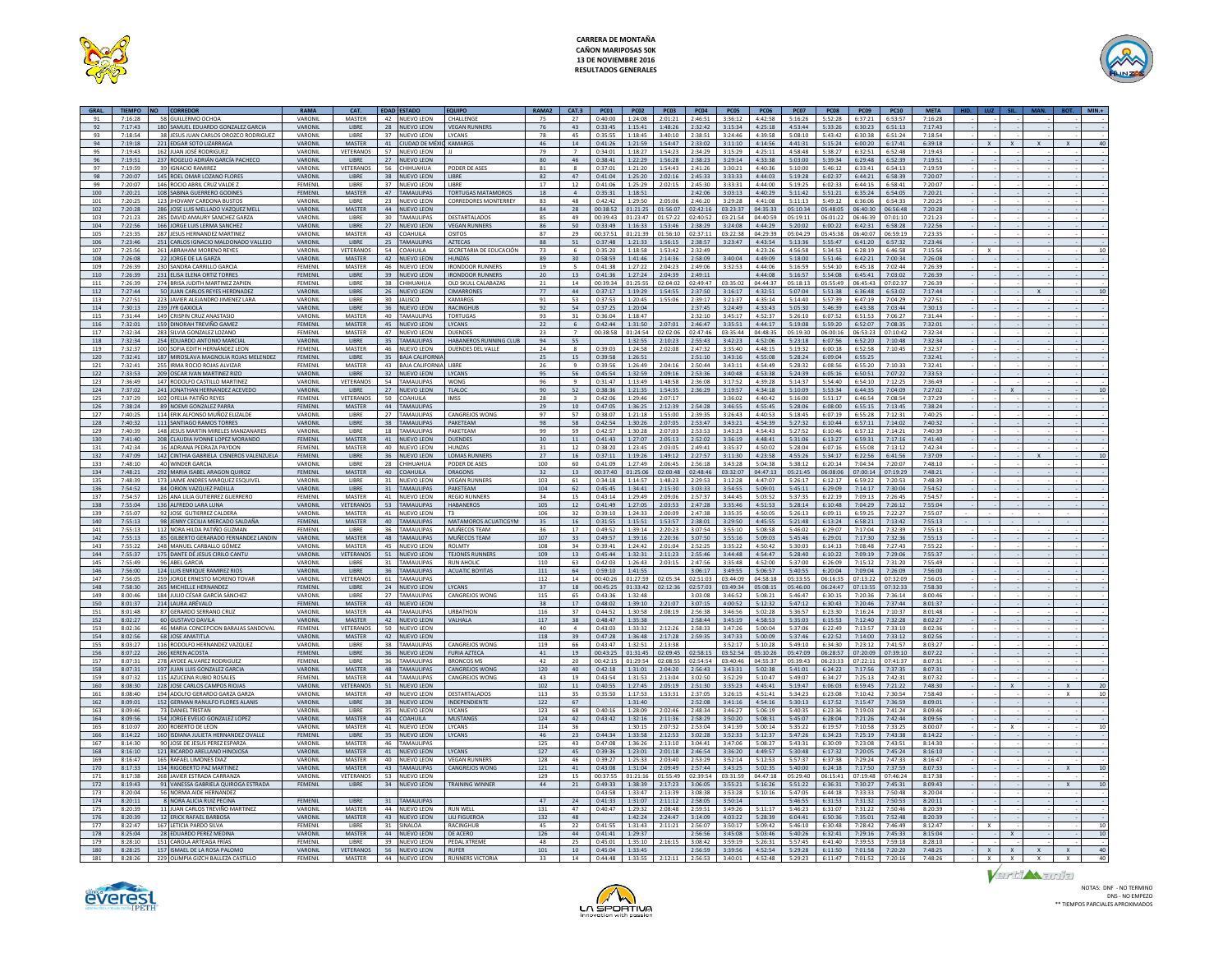



|            |                    | GRAL. TIEMPO NO CORREDOR                                      | RAMA               | CAT.                          |          | <b>EDAD ESTADO</b>             | <b>EQUIPO</b>                | RAMA2                 |                 |                    | CAT.3 PC01 PC02 PC03 PC04 PC05               |                            |                    |                     | $ $ PC06 $ $       | <b>PC07</b>        | PC08               | <b>PC09 PC10</b>   |                    | <b>META</b>        |              |              |              |    |
|------------|--------------------|---------------------------------------------------------------|--------------------|-------------------------------|----------|--------------------------------|------------------------------|-----------------------|-----------------|--------------------|----------------------------------------------|----------------------------|--------------------|---------------------|--------------------|--------------------|--------------------|--------------------|--------------------|--------------------|--------------|--------------|--------------|----|
| 91         | 7.16.28            | 58 GUILLERMO OCHOA                                            | VARONIL            | MASTER                        |          | 42 NUEVO LEON                  | CHALLENGE                    | 75                    | 27              | 0:40:00            | 1:24:08                                      | 2:01:21                    | 2.46:51            | 3:36:12             | 4:42:58            | 5:16:26            | 5.52.28            | 6:37:21            | 6:53:57            | 7:16:28            |              |              |              |    |
| 92         | 7:17:43            | 180 SAMUEL EDUARDO GONZALEZ GARCIA                            | <b>VARONIL</b>     | <b>LIRRE</b>                  |          | 28 NUEVO LEON                  | <b>VEGAN RUNNERS</b>         | 76                    | 43              |                    | 0:33:45 1:15:41 1:48:26                      |                            | 2:32:42            | 3:15:34             | 4:25:18            | 4:53:44            | 5:33:26            | 6:30:23 6:51:13    |                    | 7:17:43            |              |              |              |    |
| 93         | 7:18:54            | 38<br>JESUS JUAN CARLOS OROZCO RODRIGUEZ                      | VARONIL            | LIBRE                         | 37       | <b>NUEVO LEON</b>              | LYCANS                       | 78                    | 45              | 0:35:55            | 1:18:45                                      | 3:40:10                    | 2:38:51            | 3:24:46             | 4:39:58            | 5:08:10            | 5:43:42            | 6:30:38            | 6:51:24            | 7:18:54            |              |              |              |    |
| 94         | 7:19:18            | 221 EDGAR SOTO LIZARRAGA                                      | VARONIL            | <b>MASTER</b>                 |          | 41 CIUDAD DE MÉXIC KAMARGS     |                              | 46                    | 14              | 0:41:26            |                                              | 1:21:59 1:54:47            | 2:33:02            | 3:11:10             | 4:14:56            | 4:41:31            | 5:15:24            | 6:00:20            | 6:17:41            | 6:39:18            | $\mathsf{X}$ |              |              |    |
| 95         | 7:19:43            | 162 JUAN JOSÉ RODRIGUEZ                                       | VARONIL            | VETERANOS                     | 57       | <b>NUEVO LEON</b>              |                              | 79                    | $\overline{7}$  | 0:34:01            | 1:18:27                                      | 1:54:23                    | 2:34:29            | 3:15:29             | 4:25:11            | 4:58:48            | 5:38:27            | 6:32:51            | 6:52:48            | 7:19:43            |              |              |              |    |
| 96         | 7:19:51            | 237 ROGELIO ADRIÁN GARCÍA PACHECO                             | VARONIL            | <b>LIBRE</b>                  |          | 27 NUEVO LEON                  |                              | 80                    | 46              | 0:38:41            | 1:22:29                                      | 1:56:28                    | 2:38:23            | 3:29:14             | 4:33:38            | 5:03:00            | 5:39:34            | 6:29:48            | 6:52:39            | 7:19:51            |              |              |              |    |
| 97         | 7:19:59            | 39 IGNACIO RAMIREZ                                            | VARONIL            | VETERANO                      |          | 56 CHIHUAHUA                   | PODER DE ASES                | 81                    |                 | 0:37:01            | 1:21:20                                      | 1:54:43                    | 2:41:26            | 3:30:21             | 4:40:36            | 5:10:00            | 5:46:12            | 6:33:41            | 6:54:13            | 7:19:59            |              |              |              |    |
| 98         | 7:20:07            | 145 ROEL OMAR LOZANO FLORES                                   | VARONIL            | <b>LIBRE</b>                  |          | 38 NUEVO LEON                  | <b>LIBRE</b>                 | 82                    | 47              | 0:41:04            | 1:25:20                                      | 2:02:16                    | 2:45:33            | 3:33:33             | 4:44:03            | 5:19:28            | 6:02:37            | 6:44:21            | 6:58:39            | 7:20:07            |              |              |              |    |
| 99         | 7:20:07            | 146 ROCIO ABRIL CRUZ VALDE Z                                  | FEMENIL            | LIBRE                         | 37       | <b>NUEVO LEON</b>              | <b>LIBRE</b>                 | 17                    | 12              | 0:41:06            | 1:25:29                                      | 2:02:15                    | 2:45:30            | 3:33:31             | 4:44:00            | 5:19:25            | 6:02:33            | 6:44:15            | 6:58:41            | 7:20:07            |              |              |              |    |
| 100        | 7:20:21            | 108 SABINA GUERRERO GODINES                                   | FEMENIL            | <b>MASTER</b>                 |          | 47 TAMAULIPAS                  | TORTUGAS MATAMOROS           | 18                    | $\overline{a}$  |                    | $0:35:31$ 1:18:51                            |                            | 2:42:06            | 3:03:13             | 4:40:29            | 5:11:42            | 5:51:21            | 6:35:24            | 6:54:05            | 7:20:21            |              |              |              |    |
| 101        | 7:20:25            | 123<br><b>JHOVANY CARDONA BUSTOS</b>                          | VARONIL            | LIBRE                         | 23       | <b>NUEVO LEON</b>              | <b>CORREDORES MONTERREY</b>  | 83                    | 48              | 0:42:42            | 1:29:50                                      | 2:05:06                    | 2:46:20            | 3:29:28             | 4:41:08            | 5:11:13            | 5:49:12            | 6:36:06            | 6:54:33            | 7:20:25            |              |              |              |    |
| 102        | 7:20:28            | 286 JOSE LUIS MELLADO VAZQUEZ MEL                             | VARONIL            | MASTER                        |          | 44 NUEVO LEON                  |                              | 84                    | 28              |                    | 00:38:52 01:21:25 01:56:07                   |                            |                    | 02:42:16 03:23:37   | 04:35:33           | 05:10:34           | 05:48:05           | 06:40:30           | 06:56:48           | 7:20:28            |              |              |              |    |
| 103        | 7:21:23            | 285 DAVID AMAURY SANCHEZ GARZA                                | VARONIL            | LIBRE                         | 30       | <b>TAMAULIPAS</b>              | DESTARTALADOS                | 85                    | 49              | 00:39:43           | 01:23:47                                     | 01:57:22                   | 02:40:52           | 03:21:54            | 04:40:59           | 05:19:11           | 06:01:22           | 06:46:39           | 07:01:1            | 7:21:23            |              |              |              |    |
| 104        | 7:22:56            | 166 JORGE LUIS LERMA SANCHEZ                                  | VARONIL            | <b>LIBRE</b>                  |          | 27 NUEVO LEON                  | <b>VEGAN RUNNERS</b>         | 86                    | 50              | $0.33 - 49$        | 1:16:33                                      | 1:53:46                    | 2:38:29            | 3:24:08             | 4.44.29            | 5:20:02            | 6:00:22            | 6:42:31            | 6:58:28            | 7:22:56            |              |              |              |    |
| 105        | 7.23.35            | 287 JESUS HERNANDEZ MARTINEZ                                  | <b>VARONIL</b>     | MASTER                        |          | 43 COAHUILA                    | <b>OSITOS</b>                | 87                    | 29              |                    | $00:37:51$ 01:21:39 01:56:10                 |                            |                    | 02:37:11 03:22:38   | 04.29.39           | 05:04:29           | 05-45-38           | 06:40:07 06:59:19  |                    | 7.23.35            |              |              |              |    |
| 106        | 7:23:46            | 251 CARLOS IGNACIO MALDONADO VALLEJO                          | VARONIL            | LIBRE                         | 25       | <b>TAMAULIPAS</b>              | <b>AZTECAS</b>               | 88                    | 51              | 0:37:48            | 1:21:33                                      | 1:56:15                    | 2:38:57            | 3:23:47             | 4:43:54            | 5:13:36            | 5:55:47            | 6:41:20            | 6:57:32            | 7:23:46            |              |              |              |    |
| 107        | 7:25:56            | 261 ABRAHAM MORENO REYES                                      | VARONIL            | VETERANO                      | 54       | COAHUILA                       | SECRETARIA DE EDUCACIÓN      | 73                    | 6               | 0:35:20            | 1:18:58                                      | 1:53:42                    | 2:32:49            |                     | 4:23:26            | 4:56:58            | 5:34:53            | 6:28:19            | 6:46:58            | 7:15:56            |              |              |              |    |
| 108        | 7:26:08            | 22 JORGE DE LA GARZA                                          | VARONIL            | <b>MASTER</b>                 |          | 42 NUEVO LEON                  | <b>HUNZAS</b>                | 89                    | 30 <sup>2</sup> | 0:58:59            |                                              | $1:41:46$ 2:14:36          | 2:58:09            | 3:40:04             | 4:49:09            | 5:18:00            | 5:51:46            | 6:42:21            | 7:00:34            | 7:26:08            |              |              |              |    |
| 109        | 7:26:39            | 230 SANDRA CARRILLO GARCIA                                    | FEMENII            | MASTER                        | 46       | NUEVO LEON                     | <b>IRONDOOR RUNNERS</b>      | 19                    | $\sim$          | 0:41:38            | 1:27:22                                      | 2.04.23                    | 2.49:06            | 3:32:53             | 4:44:06            | 5:16:59            | 5:54:10            | 6:45:18            | 7:02:44            | 7:26:39            |              |              |              |    |
| 110        | 7:26:39            | 231 ELISA ELENA ORTIZ TORRES                                  | <b>FEMENIL</b>     | LIBRE                         |          | 39 NUEVO LEON                  | <b>IRONDOOR RUNNERS</b>      | 20                    | 13              | 0:41:36            | 1:27:24                                      | 2:04:39                    | 2:49:11            |                     | 4:44:08            | 5:16:57            | 5:54:08            | 6:45:41            | 7:03:02            | 7:26:39            |              |              |              |    |
| 111        | 7:26:39            | 274 BRISA JUDITH MARTINEZ ZAPIEN                              | FEMENIL            | LIBRE                         | 38       | CHIHUAHUA                      | OLD SKULL CALABAZAS          | 21                    | 14              | 00:39:34           | 01:25:55                                     | 02:04:02                   | 02:49:47           | 03:35:02            | 04:44:37           | 05:18:13           | 05:55:49           | 06:45:43           | 07:02:37           | 7:26:39            |              |              |              |    |
| 112        | 7:27:44            | 50 ILIAN CARLOS REYES HERDNADEZ                               | VARONIL            | <b>LIBRE</b>                  |          | 26 NUEVO LEON                  | <b>CIMARRONES</b>            | 77                    | 44              |                    | $0.37:17$ 1:19:29 1:54:55                    |                            |                    | $2:37:50$ 3:16:17   | 4:32:51            | 5:07:04            |                    | $5:51:38$ 6:36:48  | 6:53:02            | 7:17:44            |              |              |              |    |
| 113        | 7:27:51            | 223 JAVIER ALEJANDRO JIMENEZ LARA                             | VARONIL            | LIBRE                         |          | 30 JALISCO                     | KAMARGS                      | 91                    | 53              | 0:37:53            |                                              | 1:20:45 1:55:06            | 2:39:17            | 3:21:37             | 4:35:14            | 5:14:40            | 5:57:39            | 6:47:19            | 7:04:29            | 7:27:51            |              |              |              |    |
| 114        | 7:30:13            | 239 JYR GAXIOLA                                               | VARONIL            | LIBRE                         |          | 36 NUEVO LEON                  | RACINGHUI                    | 92                    | 54              | 0:37:25            | 1:20:04                                      |                            | 2:37:45            | 3:24:49             | 4:33:43            | 5:05:30            | 5:46:39            | 6:43:38            | 7:03:44            | 7:30:13            |              |              |              |    |
| 115        | 7:31:44            | 149 CRISPIN CRUZ ANASTASIO                                    | VARONIL            | MASTER                        |          | 40 TAMAULIPAS                  | <b>TORTUGAS</b>              | 93                    | 31              | 0:36:04            | 1:18:47                                      |                            | 2:32:10            | 3:45:17             | 4:52:37            | 5:26:10            | 6:07:52            | 6:51:53            | 7:06:27            | 7:31:44            |              |              |              |    |
| 116        | 7:32:01            | 159 DINORAH TREVIÑO GAMEZ                                     | FEMENIL            | MASTER                        |          | 45 NUEVO LEON                  | LYCANS                       | 22                    | -6              | 0:42:44            |                                              | 1:31:50 2:07:01            | 2:46:47            | 3:35:51             | 4:44:17            | 5:19:08            | 5:59:20            | 6:52:07            | 7:08:35            | 7:32:01            |              |              |              |    |
| 117        | 7.32.34            | 283 SILVIA GONZALEZ LOZANO                                    | FEMENII            | MASTER                        |          | 47 NUEVO LEON                  | <b>DUENDES</b>               | 23                    | $\overline{z}$  | 00:38:58           |                                              | $01:24:54$ $02:02:06$      | 02.47:46           | 03:35:44            | 04.48.35           | 05:19:30           | 06:00:16           | 06:53:23           | 07:10:42           | 7.32.34            |              |              |              |    |
| 118        | 7:32:34            | 254 EDUARDO ANTONIO MARCIA                                    | VARONIL            | <b>LIBRE</b>                  |          | 35 TAMAULIPAS                  | HABANEROS RUNNING CLUB       | 94                    | 55              |                    |                                              | $1:32:55$ $2:10:23$        | 2:55:43            | 3:42:23             | 4:52:06            | 5:23:18            | 6:07:56            | 6:52:20            | 7:10:48            | 7:32:34            |              |              |              |    |
| 119        | 7:32:37            | 100 SOFIA EDITH HERNÁNDEZ LEON                                | FEMENIL            | MASTER                        | 46       | NUEVO LEON                     | <b>DUENDES DEL VALLI</b>     | 24                    |                 | 0:39:03            | 1:24:58                                      | 2:02:08                    | 2:47:32            | 3:35:40             | 4:48:15            | 5:19:32            | 6:00:18            | 6:52:58            | 7:10:45            | 7:32:37            |              |              |              |    |
| 120        | 7:32:41            | 187 MIROSLAVA MAGNOLIA ROJAS MELENDEZ                         | FEMENIL            | LIBRE                         |          | 35 BAJA CALIFORNIA             |                              | 25                    | 15              | 0:39:58            | 1:26:51                                      |                            | 2:51:10            | 3:43:16             | 4:55:08            | 5:28:24            | 6:09:04            | 6:55:25            |                    | 7:32:41            |              |              |              |    |
| 121        | 7.32.41            | 255 IRMA ROCIO ROJAS ALVIZAR                                  | FEMENII            | MASTER                        |          | 43 RAIA CALIFORNIA LIBRE       |                              | 26                    | Q               | 0.39.56            | 1:26:49                                      | 2.04:16                    | 2:50:44            | 3:43:11             | 4:54:49            | 5.28.32            | 6:08:56            | 6:55:20            | 7:10:33            | 7:32:41            |              |              |              |    |
| 122        | 7:33:53            | 209 OSCAR IVAN MARTINEZ RIZO                                  | VARONIL            | LIBRE                         |          | 32 NUEVO LEON                  | LYCANS                       | 95                    | 56              | 0:45:54            | 1:32:59                                      | 2:09:16                    | 2:53:36            | 3:40:48             | 4:53:38            | 5:24:39            | 6:05:16            | 6:50:51            | 7:07:22            | 7:33:53            |              |              |              |    |
| 123        | 7:36:49            | 147 RODOLFO CASTILLO MARTINEZ                                 | VARONIL            | VETERANO                      |          | 54 TAMAULIPAS                  | WONG                         | 96                    | 9               | 0:31:47            | 1:13:49                                      | 1:48:58                    | 2:36:08            | 3:17:52             | 4:39:28            | 5:14:37            | 5:54:40            | 6:54:10            | 7:12:25            | 7:36:49            |              |              |              |    |
| 124        | 7:37:02            | 241 JONATHAN HERNANDEZ ACEVEDO                                | VARONIL            | <b>IIRRF</b>                  |          | 27 INUEVO LEON                 | <b>TLALOC</b>                | 90                    | 52              | 0:38:36            |                                              | $1:21:35$   $1:54:35$      | 2:36:29            | 3:19:57             | 4:34:18            | 5:10:09            | 5:53:34            | 6:44:35            | 7:04:09            | 7:27:02            |              |              |              |    |
| 125        | 7.37.29            | 102 OFFLIA PATIÑO REYES                                       | FEMENIL            | VETERANOS                     | 50       | <b>COAHUILA</b>                | IMSS                         | 28                    | $\mathbf{R}$    | 0:42:06            | 1:29:46                                      | 2:07:17                    |                    | 3:36:02             | 4:40:42            | 5:16:00            | 5:51:17            | 6:46:54            | 7.08:54            | 7.37.29            |              |              |              |    |
| 126        | 7.38.24            | 89 NOEMLGONZALEZ PARRA                                        | FEMENIL            | <b>MASTER</b>                 |          | 44 TAMALILIPAS                 |                              | 29                    | 10 <sup>1</sup> | $0.47 - 05$        |                                              | 1:36:25 2:12:39            | 2.54.28            | 3:46:55             | 4:55:45            | 5:28:06            | 6:08:00            | 6:55:15            | 7:13:45            | 7:38:24            |              |              |              |    |
| 127        | 7:40:25            | 114 ERIK ALFONSO MUÑOZ ELIZALD                                | VARONIL            | LIBRE                         | 27       | <b>TAMAULIPAS</b>              | CANGREJOS WONG               | 97                    | 57              | 0:38:07            | 1:21:18                                      | 1:55:00                    | 2:39:35            | 3:26:43             | 4:40:53            | 5:18:45            | 6:07:19            | 6:55:28            | 7:12:31            | 7:40:25            |              |              |              |    |
| 128        | 7:40:32            | 111 SANTIAGO RAMOS TORRES                                     | VARONIL            | LIBRE                         |          | 38 TAMAULIPAS                  | PAKETEAM                     | 98                    | 58              |                    | 0:42:54 1:30:26 2:07:05                      |                            | 2:53:47            | 3:43:21             | 4:54:39            | 5:27:32            | 6:10:44            | 6:57:11            | 7:14:02            | 7:40:32            |              |              |              |    |
| 129        | 7:40:39            | 148 JESUS MARTIN MIRELES MANZANARES                           | VARONIL            | LIBRE                         | 18<br>41 | <b>TAMAULIPAS</b>              | PAKETEAM                     | 99<br>30 <sub>o</sub> | 59              | 0:42:57            | 1:30:28                                      | 2:07:03                    | 2:53:53            | 3:43:23             | 4:54:43            | 5:27:52            | 6:10:46            | 6:57:12            | 7:14:21            | 7:40:39            |              |              |              |    |
| 130<br>131 | 7:41:40<br>7:42:34 | 208 CLAUDIA IVONNE LOPEZ MORANDO<br>16 ADRIANA PEDRAZA PAYDON | FEMENIL<br>FEMENII | MASTER<br>MASTER              |          | NUEVO LEON                     | <b>DUENDES</b><br>HUN7AS     | 31                    | 11<br>12        | 0:41:43<br>0:38:20 | 1:27:07                                      | 2:05:13<br>1:23:45 2:03:05 | 2:52:02<br>2.49:41 | 3:36:19<br>3:35:37  | 4:48:41<br>4:50:02 | 5:31:06<br>5:28:04 | 6:13:27<br>6:07:16 | 6:59:31<br>6:55:08 | 7:17:16<br>7:13:12 | 7:41:40<br>7:42:34 |              |              |              |    |
| 132        | 7:47:09            | 142 CINTHIA GABRIELA CISNEROS VALENZUELA                      | FEMENIL            | LIBRE                         |          | 40 NUEVO LEON<br>36 NUEVO LEON | <b>LOMAS RUNNERS</b>         | 27                    | 16              | 0:37:11            | 1:19:26                                      | 1:49:12                    | 2:27:57            | 3:11:30             | 4:23:58            | 4:55:26            | 5:34:17            | 6:22:56            | 6:41:56            | 7:37:09            |              |              |              |    |
| 133        | 7.48:10            | 40 WINDER GARCIA                                              | VARONIL            | LIBRE                         | - 28     | CHIHUAHUA                      | PODER DE ASES                | 100                   | 60              | 0:41:09            | 1:27:49                                      | 2.06:45                    | 2:56:18            | 3.43.28             | 5:04:38            | 5:38:12            | 6:20:14            | 7:04:34            | 7:20:07            | 7:48:10            |              |              |              |    |
| 134        | 7:48:21            | 292 MARIA ISABEL ARAGON QUIROZ                                | FEMENIL            | <b>MASTER</b>                 |          | 40 COAHUILA                    | <b>DRAGONS</b>               | 32                    | 13              |                    | 00:37:40 01:25:06 02:00:48 02:48:46 03:32:07 |                            |                    |                     | 04:47:13           | 05:21:45           | 06:08:06           | 07:00:14           | 07:19:29           | 7:48:21            |              |              |              |    |
| 135        | 7:48:39            | 17<br>JAIME ANDRES MARQUEZ ESQUIVEL                           | VARONIL            | LIBRE                         | 31       | <b>NUEVO LEON</b>              | <b>VEGAN RUNNER!</b>         | 103                   | 61              | 0:34:18            | 1:14:57                                      | 1:48:23                    | 2:29:53            | 3:12:28             | 4:47:07            | 5:26:17            | 6:12:17            | 6:59:22            | 7:20:53            | 7:48:39            |              |              |              |    |
| 136        | 7:54:52            | 84 ORION VAZQUEZ PADILLA                                      | VARONIL            | LIBRE                         |          | 31 TAMAULIPAS                  | PAKETEAM                     | 104                   | 62              | 0:45:45            | 1:34:41                                      | 2:15:30                    | 3:03:33            | 3:54:55             | 5:09:01            | 5:45:11            | 6:29:09            | 7:14:17            | 7:30:04            | 7:54:52            |              |              |              |    |
| 137        | 7:54:57            | 126 ANA LILIA GUTIERREZ GUERRERO                              | FEMENIL            | MASTER                        | 41       | <b>NUEVO LEON</b>              | <b>REGIO RUNNERS</b>         | 34                    | 15              | 0:43:14            | 1:29:49                                      | 2:09:06                    | 2:57:37            | 3:44:45             | 5:03:52            | 5:37:35            | 6:22:19            | 7:09:13            | 7:26:45            | 7:54:57            |              |              |              |    |
| 138        | 7:55:04            | 136 ALFREDO LARA LUNA                                         | VARONIL            | VETERANOS                     |          | 53 TAMAULIPAS                  | HARANEROS                    | 105                   | 12              | 0:41:49            | 1:27:05                                      | 2:03:53                    | 2:47:28            | 3:35:46             | 4:51:53            | 5:28:14            | 6:10:48            | 7:04:29            | 7:26:12            | 7:55:04            |              |              |              |    |
| 139        | 7:55:07            | 92 JOSE GUTIERREZ CALDERA                                     | VARONIL            | MASTER                        |          | 41 NUEVO LEON                  | T3                           | 106                   | 32              |                    | $0:39:10$ 1:24:33 2:00:09                    |                            | 2.47.38            | 3:35:35             | 4:50:05            | 5:26:13            | 6:09:11            | 6:59:25            | 7:22:27            | 7:55:07            |              |              |              |    |
| 140        | 7:55:13            | 98 JENNY CECILIA MERCADO SALDAÑ                               | FEMENIL            | MASTER                        |          | 40 TAMAULIPAS                  | MATAMOROS ACUATICGYM         | 35                    | 16              | 0:31:55            | 1:15:51                                      | 1:53:57                    | 2:38:01            | 3:29:50             | 4:45:55            | 5:21:48            | 6:13:24            | 6:58:21            | 7:13:42            | 7:55:13            |              |              |              |    |
| 141        | 7:55:13            | 112 NORA HILDA PATIÑO GUZMAN                                  | FEMENIL            | LIBRE                         | 36       | <b>TAMAULIPAS</b>              | MUÑECOS TEAM                 | 36                    | 17              | 0:49:52            | 1:39:14                                      | 2:20:23                    | 3:07:54            | 3:55:10             | 5:08:58            | 5:46:02            | 6:29:07            | 7:17:04            | 7:32:39            | 7:55:13            |              |              |              |    |
| 142        | 7:55:13            | 85 GILBERTO GERARADO FERNANDEZ LANDIN                         | VARONIL            | <b>MASTER</b>                 |          | 48 TAMAULIPAS                  | MUÑECOS TEAM                 | 107                   | 33              | 0:49:57            | 1:39:16                                      | 2:20:36                    | 3:07:50            | 3:55:16             | 5:09:03            | 5:45:46            | 6:29:01            | 7:17:30            | 7:32:36            | 7:55:13            |              |              |              |    |
| 143        | 7.55.22            | 248 MANUEL CARBALLO GÓMEZ                                     | VARONIL            | MASTER                        | 45       | NUEVO LEON                     | <b>ROLMTY</b>                | 108                   | 34              | 0.39:41            | 1:24:42                                      | 2:01:04                    | 2:52:25            | 3.35.22             | 4:50:42            | 5:30:03            | 6:14:13            | 7:08:48            | $7.27 - 43$        | 7:55:22            |              |              |              |    |
| 144        | 7:55:37            | 175 DANTE DÉ JESUS CIRILO CANTU                               | VARONIL            | <b>VETERANO</b>               |          | 51 NUEVO LEON                  | <b>TEJONES RUNNER</b>        | 109                   | 13              | 0:45:44            |                                              | 1:32:31 2:11:23            | 2:55:46            | 3:44:48             | 4:54:47            | 5:28:40            | 6:10:22            | 7:09:19            | 7:29:06            | 7:55:37            |              |              |              |    |
| 145        | 7:55:49            | 96 ABEL GARCIA                                                | VARONIL            | LIBRE                         | 31       | <b>TAMAULIPAS</b>              | <b>RUN AHOLIC</b>            | 110                   | 63              | 0:42:03            | 1:26:43                                      | 2:03:15                    | 2.47.56            | 3:35:48             | 4:52:00            | 5:37:00            | 6:26:09            | 7:15:12            | 7:31:20            | 7:55:49            |              |              |              |    |
| 146        | 7:56:00            | 124 I LUS ENRIQUE RAMIREZ RIOS                                | VARONIL            | <b>LIBRE</b>                  |          | 36 TAMAULIPAS                  | <b>ACUATIC BOYITAS</b>       | 111                   | 64              |                    | $0.59:10$ 1:41:55                            |                            |                    | $3.06:17$ $3.49:55$ | 5:06:57            | 5:40:55            | 6:20:04            | 7:09:04            | 7:26:09            | 7:56:00            |              |              |              |    |
| 147        | 7:56:05            | 259 JORGE ERNESTO MORENO TOVAR                                | VARONIL            | <b>VETERANO</b>               |          | 61 TAMAULIPAS                  |                              | 112                   | 14              | 00:40:26           |                                              | 01:27:59 02:05:34          |                    | 02:51:03 03:44:09   | 04:58:18           | 05:33:55           | 06:16:35           | 07:13:22           | 07:32:09           | 7:56:05            |              |              |              |    |
| 148        | 7:58:30            | 265 MICHELLE HERNANDEZ                                        | FEMENIL            | LIBRE                         |          | 24 NUEVO LEON                  | LYCANS                       | 37                    | 18              | 00:45:25           | 01:33:42                                     | 02:12:36                   | 02:57:03           | 03:49:34            | 05:08:15           | 05:46:00           | 06:24:47           | 07:13:55           | 07:32:33           | 7:58:30            |              |              |              |    |
| 149        | 8:00:46            | 184 JULIO CÉSAR GARCÍA SÁNCHEZ                                | VARONIL            | LIBRE                         |          | 27 TAMAULIPAS                  | CANGREJOS WONG               | 115                   | 65              | 0:43:36            | 1:32:48                                      |                            | 3:03:08            | 3:46:52             | 5:08:21            | 5:46:47            | 6:30:15            | 7:20:36            | 7:36:14            | 8:00:46            |              |              |              |    |
| 150        | 8:01:37            | 214 LAURA ARÉVALO                                             | FEMENIL            | <b>MASTER</b>                 |          | 43 NUEVO LEON                  |                              | 38                    | 17              | 0:48:02            | 1:39:10                                      | 2:21:07                    | 3:07:15            | 4:00:52             | 5:12:32            | 5:47:12            | 6:30:43            | 7:20:46            | 7:37:44            | 8:01:37            |              |              |              |    |
| 151        | 8:01:48            | 87 GERARDO SERRANO CRUZ                                       | VARONIL            | MASTER                        |          | 44 TAMAULIPAS                  | <b>URBATHON</b>              | 116                   | 37              | 0:44:52            | 1:30:58                                      | 2.08:19                    | 2.56:38            | 3.46:56             | 5:02:28            | 5:36:57            | 6:23:30            | 7.16.24            | 7:10:37            | 8:01:48            |              |              |              |    |
| 152        | 8:02:27            | 60 GUSTAVO DAVILA                                             | VARONIL            | MASTER                        |          | 42 NUEVO LEON                  | VALHALA                      | 117                   | 38              | 0:48:47            | 1:35:38                                      |                            | 2:58:44            | 3:45:19             | 4:58:53            | 5:35:03            | 6:15:53            | 7:12:40            | 7:32:28            | 8:02:27            |              |              |              |    |
| 153        | 8:02:36            | 46 MARIA CONCEPCION BARAJAS SANDOVAL                          | FEMENIL            | VETERANO                      | 50       | <b>NUEVO LEON</b>              |                              | 40                    |                 | 0:43:03            | 1:33:32                                      | 2:12:26                    | 2:58:33            | 3:47:26             | 5:00:04            | 5:37:06            | 6:22:49            | 7:13:57            | 7:33:10            | 8:02:36            |              |              |              |    |
| 154        | 8:02:56            | 68 JOSE AMATITLA                                              | VARONIL            | <b>MASTER</b>                 |          | 42 NUEVO LEON                  |                              | 118                   | 39              | 0:47:28            |                                              | 1:36:48 2:17:28            | 2:59:35            | 3:47:33             | 5:00:09            | 5:37:46            | 6:22:52            | 7:14:00            | 7:33:12            | 8:02:56            |              |              |              |    |
| 155        | 8:03:27            | 116 RODOLFO HERNANDEZ VAZQUEZ                                 | VARONIL            | LIBRE                         |          | 38 TAMAULIPAS                  | <b>CANGREJOS WONG</b>        | 119                   | 66              | 0:43:47            | 1:32:51                                      | 2:13:38                    |                    | 3:52:17             | 5:10:28            | 5:49:10            | 6:34:30            | 7:23:12            | 7:41:57            | 8:03:27            |              |              |              |    |
| 156        | 8:07:22            | 266 KEREN ACOSTA                                              | FEMENIL            | <b>LIBRE</b>                  |          | 36 NUEVO LEON                  | <b>FURIA AZTECA</b>          | 41                    | 19              | 00:43:25           |                                              | 01:31:45 02:09:45          |                    | 02:58:15 03:52:54   | 05:10:26           | 05:47:09           | 06:28:57           | 07:20:09           | 07:39:10           | 8:07:22            |              |              |              |    |
| 157        | 8:07:31            | 278 AYDEE ALVAREZ RODRIGUEZ                                   | FEMENIL            | LIBRE                         |          | 36 TAMAULIPAS                  | <b>BRONCOS MS</b>            | 42                    | 20              | 00:42:15           | 01:29:54                                     | 02:08:55                   | 02:54:54           | 03:40:46            | 04:55:37           | 05:39:43           | 06:23:33           | 07:22:11           | 07:41:3            | 8:07:31            |              |              |              |    |
| 158        | 8:07:31            | 197 JUAN LUIS GONZALEZ GARCIA                                 | VARONIL            | MASTER                        |          | 48 TAMAULIPAS                  | <b>CANGREJOS WONG</b>        | 120                   | 40              | 0:42:18            | 1:31:01                                      | 2:04:20                    | 2:56:43            | 3:43:31             | 5:02:38            | 5:41:01            | 6:24:22            | 7:17:56            | 7:37:35            | 8:07:31            |              |              |              |    |
| 159        | 8:07:32            | 115 AZUCENA RUBIO ROSALES                                     | FEMENIL            | MASTER                        |          | 44 TAMAULIPAS                  | CANGREJOS WONG               | 43                    | 19              | 0:43:54            | 1:31:53                                      | 2:13:04                    | 3:02:50            | 3:52:29             | 5:10:47            | 5:49:07            | 6:34:27            | 7.25.13            | 7:42:31            | 8:07:32            |              |              |              |    |
| 160        | 8:08:30            | 228 JOSE CARLOS CAMPOS RIOJAS                                 | VARONIL            | VETERANOS                     |          | 51 NUEVO LEON                  |                              | 102                   | 11              |                    | 0:40:55 1:27:45 2:05:19                      |                            | 2:51:30            | 3:35:23             | 4.45:41            | 5:19:47            | 6:06:03            | 6.59.45            | 7:21:22            | 7:48:30            |              | $\mathbf{Y}$ |              |    |
| 161        | 8:08:40            | 194 ADOLFO GERARDO GARZA GARZA                                | VARONIL            | MASTER                        | 49       | <b>NUEVO LEON</b>              | DESTARTALADO:                | 113                   | 35              | 0:35:50            | 1:17:53                                      | 1:53:31                    | 2:37:05            | 3:26:15             | 4:51:41            | 5:34:23            | 6:23:08            | 7:10:42            | 7:30:54            | 7:58:40            |              |              |              |    |
| 162        | 8:09:01            | 152 GERMAN RANULFO FLORES ALANIS                              | VARONIL            | LIBRE                         |          | 38 NUEVO LEON                  | INDEPENDIENTE                | 122                   | 67              |                    | 1:31:40                                      |                            | 2:52:08            | 3:41:16             | 4:54:16            | 5:30:13            | 6:17:52            | 7:15:47            | 7:36:59            | 8:09:01            |              |              |              |    |
| 163        | 8:09:46            | 73 DANIEL TRISTAN                                             | VARONIL            | LIBRE                         | 35       | <b>NUEVO LEON</b>              | LYCANS                       | 123                   | 68              | 0:40:16            | 1:28:09                                      | 2:02:46                    | 2:48:34            | 3:46:27             | 5:06:19            | 5:40:35            | 6:23:36            | 7:19:03            | 7:41:24            | 8:09:46            |              |              |              |    |
| 164        | 8:09:56            | 154 JORGE EVELIO GONZALEZ LOPEZ                               | VARONIL            | MASTER                        |          | 44 COAHUILA                    | MUSTANGS                     | 124                   | 42              | 0:43:42            | 1:32:16                                      | 2:11:36                    | 2:58:29            | 3:50:20             | 5:08:31            | 5:45:07            | 6:28:04            | 7:21:26            | 7:42:44            | 8:09:56            |              |              |              |    |
| 165        | 8:10:07            | 200 ROBERTO DE LEON                                           | VARONIL            | MASTER                        |          | 41 NUEVO LEON                  | LYCANS                       | 114                   | 36              |                    |                                              | 1:30:15 2:07:32            | 2:53:04            | 3:41:39             | 5:00:14            | 5:35:22            | 6:19:57            | 7:10:58            | 7:33:25            | 8:00:07            |              |              |              |    |
| 166        | 8:14:22            | 160 ISDIANA JULIETA HERNANDEZ OVALLE                          | FEMENIL            | LIBRE                         | 35       | <b>NUEVO LEON</b>              | LYCANS                       | 46                    | 23              | 0:44:34            | 1:33:58                                      | 2:12:53                    | 3:02:28            | 3:52:33             | 5:12:37            | 5:47:26            | 6:34:23            | 7:25:19            | 7:43:38            | 8:14:22            |              |              |              |    |
| 167        | 8:14:30            | 90 JOSE DE JESUS PEREZ ESPARZA                                | VARONIL            | MASTER                        | 46       | <b>TAMAULIPAS</b>              |                              | 125                   | 43              | 0:47:08            | 1:36:26                                      | 2:13:10                    | 3:04:41            | 3:47:06             | 5:08:27            | 5:43:31            | 6:30:09            | 7:23:08            | 7.43:51            | 8:14:30            |              |              |              |    |
| 168        | 8:16:10            | 121 RICARDO ARELLANO HINOIOSA                                 | VARONIL            | <b>MASTER</b>                 |          | 41 NUEVO LEON                  | <b>IYCANS</b>                | 127                   | 45              | 0.39:36            |                                              | $1:23:01$ $2:01:18$        | 2:46:54            | 3:36:20             | 4.49.57            | 5:30:48            | 6:17:32            | 7:20:05            | 7:45:24            | 8:16:10            |              |              |              |    |
| 169        | 8:16:47            | 165<br>RAFAEL LIMONES DIAZ                                    | VARONI             | MASTER                        | 40       | <b>NUEVO LEON</b>              | <b>VEGAN RUNNER!</b>         | 128                   | 46              | 0:39:27            | 1:25:33                                      | 2:03:40                    | 2:53:29            | 3:52:14             | 5:12:53            | 5:57:37            | 6:37:38            | 7:29:24            | 7:47:33            | 8:16:47            |              |              |              |    |
| 170        | 8:17:33            | 134 RIGOBERTO PAZ MARTINEZ                                    | VARONIL            | MASTER                        |          | 43 TAMAULIPAS                  | CANGREJOS WONG               | 121                   | 41              | 0:43:08            | 1:31:04                                      | 2:09:49                    | 2:57:44            | 3:43:25             | 5:02:35            | 5:40:00            | 6:24:18            | 7:17:50            | 7:37:59            | 8:07:33            |              |              |              |    |
| 171        | 8:17:38            | 268 JAVIER ESTRADA CARRANZA                                   | VARONIL            | <b>VETERANOS</b>              | 53       | <b>NUEVO LEON</b>              |                              | 129                   | 15              | 00:37:55           | 01:21:16                                     | 01:55:49                   | 02:39:54           | 03:31:59            | 04:47:18           | 05:29:40           | 06:15:41           | 07:19:48           | 07:46:24           | 8:17:38            |              |              |              |    |
| 172        | 8:19:43            | 91 VANESSA GABRIELA QUIROGA ESTRADA                           | FEMENIL            | <b>LIBRE</b>                  |          | 34 NUEVO LEON                  | <b>TRAINING WINNER</b>       | 44                    | 21              | 0:49:33            | 1:38:39                                      | 2:17:23                    | 3:06:05            | 3:55:21             | 5:16:26            | 5:51:22            | 6:36:31            | 7:30:27            | 7:45:31            | 8:09:43            |              |              |              |    |
| 173        | 8:20:04            | 56 NORMA AIDE HERNANDEZ                                       |                    |                               |          |                                |                              |                       |                 | 0:43:58            | 1:33:47                                      | 2:13:39                    | 3:08:38            | 3:53:28             | 5:10:16            | 5:47:05            | 6:44:18            | 7:33:33            | 7:50:48            | 8:20:04            |              |              |              |    |
| 174        | 8:20:11            | 8 NORA ALICIA RUIZ PECINA                                     | FEMENIL            | LIBRE                         | 31       | <b>TAMAULIPAS</b>              |                              | 47                    | 24              | 0:41:33            | 1:31:07                                      | 2:11:12                    | 2:58:05            | 3:50:14             |                    | 5:46:55            | 6:31:53            | 7:31:32            | 7:50:53            | 8:20:11            |              |              |              |    |
| 175        | 8:20:39            | 11 ILIAN CARLOS TREVIÑO MARTINEZ                              | VARONIL            | MASTER                        |          | 44 NUEVO LEON                  | <b>RUN WELL</b>              | 131                   | 47              | 0:40:47            | 1:29:32                                      | 2.08:48                    | 2.59:51            | 3.49.26             | 5:11:17            | 5.46.23            | 6:31:07            | 7:31:22            | 7:50:46            | 8:20:39            |              |              |              |    |
| 176<br>177 | 8:20:39            | 12 ERICK RAFAEL BARBOSA<br>167   FTICIA PARDO SILVA           | VARONIL<br>FEMENII | <b>MASTER</b><br><b>LIBRE</b> | 31       | 43 NUEVO LEON<br>SINALOA       | <b>LILI FIGUEROA</b>         | 132<br>45             | 48              | 0:41:55            | 1:42:24                                      | 2:24:47                    | 3:14:09            | 4:03:22             | 5:28:39            | 6:04:41            | 6:50:36<br>6:30:48 | 7:35:01            | 7:52:48<br>7.46:49 | 8:20:39<br>8:12:47 |              |              |              |    |
| 178        | 8:22:47<br>8:25:04 | 28 EDUARDO PEREZ MEDINA                                       | VARONIL            | MASTER                        |          | 44 NUEVO LEON                  | <b>RACINGHUR</b><br>DE ACERO | 126                   | 22<br>44        | 0:41:41            | 1:31:43<br>1:29:37                           | 2:11:21                    | 2:56:07<br>2:56:56 | 3:50:17<br>3:45:08  | 5:09:42<br>5:03:46 | 5:46:10<br>5:40:26 | 6:32:41            | 7.28:42<br>7:29:16 | 7:45:33            | 8:15:04            |              |              |              |    |
| 179        | 8:28:10            | 151 CAROLA ARTEAGA FRÍAS                                      | FEMENIL            | LIBRE                         | 39       | NUEVO LEON                     | PEDAL XTREME                 | 48                    | 25              | 0:45:01            | 1:35:10                                      | 2:16:15                    | 3:08:42            | 3:59:19             | 5:26:31            | 5:57:45            | 6:41:40            | 7:39:53            | 7:59:18            | 8:28:10            |              |              |              |    |
| 180        | 8:28:25            | 157 ISMAEL DE LA ROSA PALOMO                                  | VARONIL            | VETERANOS                     |          | 56 NUEVO LEON                  | <b>RUFER</b>                 | 101                   | 10              |                    | $0:45:04$ 1:33:45                            |                            |                    | 2:56:59 3:39:56     | 4:52:54            | 5:29:28            | 6:11:50            | 7:01:58 7:20:20    |                    | 7:48:25            | $\mathsf{x}$ | $\mathbf{x}$ | $\mathbf{x}$ |    |
| 181        | 8:28:26            | 229 OLIMPIA GIZCH BALLEZA CASTILLO                            | FEMENIL            | MASTER                        |          | 44 NUEVO LEON                  | <b>RUNNERS VICTORIA</b>      | 33                    | 14              |                    | $0.44.48$ 1:33:55                            | 2:12:11                    |                    | 2:56:53 3:40:01     | 4.52.48            | 5.29.23            | 6:11:47            | 7:01:52            | 7:20:16            | 7:48:26            | $\mathsf{x}$ | $\times$     | x            | 40 |
|            |                    |                                                               |                    |                               |          |                                |                              |                       |                 |                    |                                              |                            |                    |                     |                    |                    |                    |                    |                    |                    |              |              |              |    |





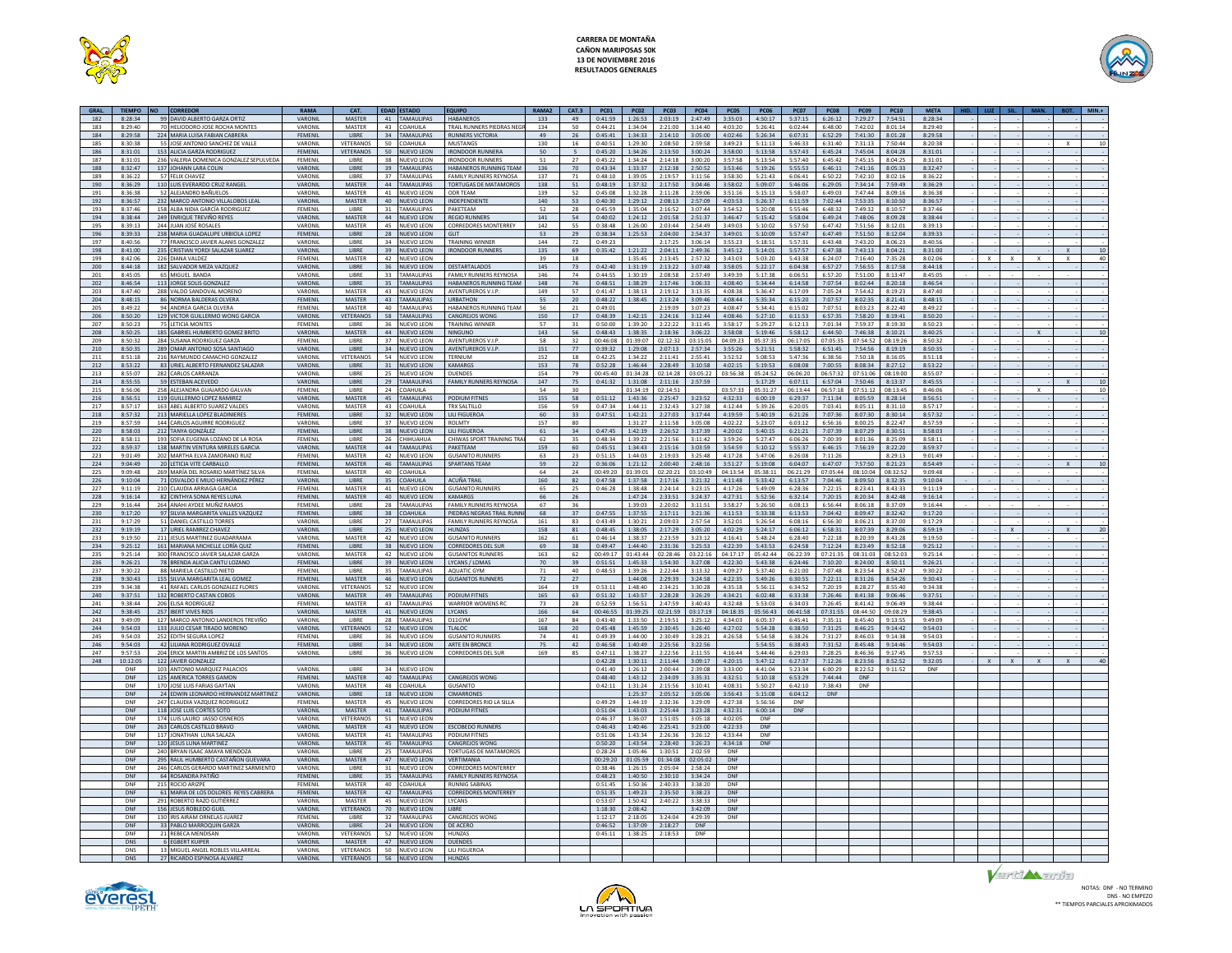



| GRAL.      | TIEMPO NO CORREDOR |                                                                          | RAMA               | CAT.                          |          | <b>EDAD ESTADO</b>                     | <b>FOUIPO</b>                                                | RAMA <sub>2</sub> | CAT.3                 |                    | $PC01$ $PC02$ $PC03$             |                        | PC04                  | PCO <sub>5</sub>        | PCD6                | PC07                |                                | PCOS PCO9 PC10      |                        | <b>MFTA</b>        | HID. | $1112$ SIL.           | <b>MAN</b> |              | $MIN.+$  |
|------------|--------------------|--------------------------------------------------------------------------|--------------------|-------------------------------|----------|----------------------------------------|--------------------------------------------------------------|-------------------|-----------------------|--------------------|----------------------------------|------------------------|-----------------------|-------------------------|---------------------|---------------------|--------------------------------|---------------------|------------------------|--------------------|------|-----------------------|------------|--------------|----------|
| 182        | 8:28:34            | 99 DAVID ALBERTO GARZA ORTIZ                                             | VARONIL            | MASTER                        |          | 41 TAMAULIPAS                          | <b>HABANEROS</b>                                             | 133               | 49                    |                    | 0:41:59 1:26:53 2:03:19          |                        |                       | 2:47:49 3:35:03 4:50:17 |                     | 5:37:15             | 6:26:12 7:29:27 7:54:51        |                     |                        | 8:28:34            |      |                       |            |              |          |
| 183        | 8:29:40            | 70 HELIODORO JOSE ROCHA MONTES                                           | VARONII            | MASTER                        | 43       | COAHUILA                               | TRAIL RUNNERS PIEDRAS NEGI                                   | 134               | 50                    | 0:44:21            | 1:34:04                          | 2:21:00                | 3:14:40               | 4:03:20                 | 5:26:41             | 6:02:44             | 6:48:00                        | 7:42:02             | 8:01:14                | 8:29:40            |      |                       |            |              |          |
| 184<br>185 | 8:29:58<br>8:30:38 | 224 MARIA LUISA FABIAN CABRERA<br>55 JOSE ANTONIO SANCHEZ DE VALLE       | FEMENIL<br>VARONIL | LIBRE<br>VETERANOS            | 34<br>50 | <b>TAMAULIPAS</b><br>COAHUILA          | <b>RUNNERS VICTORIA</b><br><b>MUSTANGS</b>                   | 49<br>130         | 26<br>16              | 0:45:41<br>0:40:51 | 1:34:33<br>1:29:30               | 2:14:10<br>2:08:50     | 3:05:00<br>2:59:58    | 4:02:46<br>3:49:23      | 5:26:34<br>5:11:13  | 6:07:31<br>5:46:33  | 6:52:29<br>6:31:40             | 7:41:30<br>7:31:13  | 8:01:28<br>7:50:44     | 8:29:58<br>8:20:38 |      |                       |            | $\mathbf{x}$ |          |
| 186        | 8:31:01            | 153 ALICIA GARZA RODRIGUEZ                                               | FEMENIL            | VETERANOS                     | $50 -$   | NUEVO LEON                             | <b>IRONDOOR RUNNERA</b>                                      | 50                | $\sim$                | 0:45:20            | 1:34:26                          | 2:13:50                | 3:00:24               | 3:58:00                 | 5:13:58             | 5:57:43             | 6:45:24                        | 7:45:04             | 8:04:28                | 8:31:01            |      |                       |            |              |          |
| 187        | 8:31:01            | 236 VALERIA DOMENICA GONZALEZ SEPULVEDA                                  | FEMENIL            | LIBRE                         | 38       | NUEVO LEON                             | <b>IRONDOOR RUNNERS</b>                                      | 51                | 27                    | 0:45:22            | 1:34:24                          | 2:14:18                | 3:00:20               | 3:57:58                 | 5:13:54             | 5:57:40             | 6:45:42                        | 7:45:15             | 8:04:25                | 8:31:01            |      |                       |            |              |          |
| 188        | 8:32:47            | 137 JOHANN LARA COLIN                                                    | VARONIL            | <b>LIBRE</b>                  | 39       | <b>TAMAULIPAS</b>                      | HABANEROS RUNNING TEAM                                       | 136               | 70                    | 0:43:34            |                                  | 1:33:37 2:12:38        | 2:50:52               | 3:53:46                 | 5:19:26             | 5:55:53             | 6:46:11                        | 7:41:16             | 8:05:33                | 8:32:47            |      |                       |            |              |          |
| 189        | 8:36:22            | 57 FELIX CHAVEZ                                                          | VARONIL            | LIBRE                         | 37       | <b>TAMAULIPAS</b>                      | <b>FAMILY RUNNERS REYNOSA</b>                                | 137               | 71                    | 0:48:10            | 1:39:05                          | 2:19:57                | 3:11:56               | 3:58:30                 | 5:21:43             | 6:06:41             | 6:50:22                        | 7:42:10             | 8:02:16                | 8:36:22            |      |                       |            |              |          |
| 190<br>191 | 8:36:29<br>8:36:38 | 110 LUIS EVERARDO CRUZ RANGEL<br>52 ALEJANDRO BAÑUELOS                   | VARONIL<br>VARONIL | MASTER<br>MASTER              | 41       | 44 TAMAULIPAS<br><b>NUEVO LEON</b>     | <b>TORTUGAS DE MATAMOROS</b><br>ODR TEAM                     | 138<br>139        | 51<br>52              | 0:48:19<br>0:45:08 | 1:37:32<br>1:32:28               | 2:17:50<br>2:11:28     | 3:04:46<br>2:59:06    | 3:58:02<br>3:51:16      | 5:09:07<br>5:15:13  | 5:46:06<br>5:58:07  | 6:29:05<br>6:49:03             | 7:34:14<br>7:47:44  | 7:59:49<br>8:09:16     | 8:36:29<br>8:36:38 |      |                       |            |              |          |
| 192        | 8:36:57            | 232 MARCO ANTONIO VILLALOBOS LEAL                                        | VARONIL            | MASTER                        | 40       | <b>NUEVO LEON</b>                      | NDEPENDIENT                                                  | 140               | 53                    | 0:40:30            | 1:29:12                          | 2:08:13                | 2:57:09               | 4:03:53                 | 5:26:37             | 6:11:59             | 7:02:44                        | 7:53:35             | 8:10:50                | 8:36:57            |      |                       |            |              |          |
| 193        | 8.37.46            | 158 ALBA NIDIA GARCÍA RODRIGUEZ                                          | FEMENIL            | LIBRE                         | 31       | <b>TAMAULIPAS</b>                      | PAKETEAM                                                     | 52                | 28                    | 0:45:59            | 1:35:04                          | 2:16:52                | 3:07:44               | 3:54:52                 | 5:20:08             | 5:55:46             | 6:48:32                        | 7:49:32             | 8:10:57                | 8:37:46            |      |                       |            |              |          |
| 194        | 8.38.44            | 249 ENRIOUE TREVIÑO REYES                                                | VARONIL            | <b>MASTER</b>                 |          | 44 NUEVO LEON                          | <b>REGIO RUNNERS</b>                                         | 141               | 54                    | 0:40:02            |                                  | $1:24:12$ $2:01:58$    | 2:51:37               | 3:46:47                 | 5:15:42             | 5:58:04             | 6.49.24                        | 7:48:06             | 8:09:28                | 8.38.44            |      |                       |            |              |          |
| 195        | 8:39:13            | 244 JUAN JOSÉ ROSALES                                                    | VARONIL            | MASTER                        | 45       | <b>NUEVO LEON</b>                      | <b>CORREDORES MONTERREY</b>                                  | 142               | 55                    | 0:38:48            | 1:26:00                          | 2:03:44                | 2:54:49               | 3:49:03                 | 5:10:02             | 5:57:50             | $6 - A7 - A7$                  | 7:51:56             | 8:12:01                | 8:39:13            |      |                       |            |              |          |
| 196<br>197 | 8:39:33<br>8:40:56 | 238 MARIA GUADALUPE URBIOLA LOPEZ<br>77 FRANCISCO JAVIER ALANIS GONZALEZ | FEMENIL<br>VARONI  | LIBRE<br>LIBRE                | 34       | 28 NUEVO LEON<br><b>NUEVO LEON</b>     | GLIT<br><b>FRAINING WINNER</b>                               | 53<br>144         | 29<br>72              | 0:38:34<br>0:49:23 | 1:25:53                          | 2:04:00<br>2:17:25     | 2:54:37<br>3:06:14    | 3:49:01<br>3:55:23      | 5:10:09<br>5:18:51  | 5:57:47<br>5:57:31  | 6:47:49<br>6:43:48             | 7:51:50<br>7:43:20  | 8:12:04<br>8:06:23     | 8:39:33<br>8:40:56 |      |                       |            |              |          |
| 198        | 8:41:00            | 235 CRISTIAN YORDI SALAZAR SUAREZ                                        | VARONIL            | LIBRE                         | 39       | <b>NUEVO LEON</b>                      | <b>IRONDOOR RUNNERS</b>                                      | 135               | 69                    | 0:35:42            | 1:21:22                          | 2:04:11                | 2:49:36               | 3:45:12                 | 5:14:01             | 5:57:57             | 6:47:38                        | 7:43:13             | 8:04:21                | 8:31:00            |      |                       |            | $\mathbf{x}$ | 10       |
| 199        | 8.42.06            | 226 DIANA VALDEZ                                                         | FEMENII            | MASTER                        |          | 42 NUEVO LEON                          |                                                              | 39                | 18                    |                    | 1:35:45                          | 2:13:45                | 2:57:32               | 3:43:03                 | 5:03:20             | $5 - 43 - 38$       | 6:24:07                        | 7:16:40             | 7.35.28                | 8:02:06            |      | ¥.<br>$\mathbf{x}$    |            | $\mathbf{x}$ | 40       |
| 200        | 8:44:18            | 182 SALVADOR MEZA VAZQUEZ                                                | VARONIL            | LIBRE                         | 36       | <b>NUEVO LEON</b>                      | DESTARTALADOS                                                | 145               | 73                    | 0:42:40            | 1:31:19                          | 2:13:22                | 3:07:48               | 3:58:05                 | 5:22:17             | 6:04:38             | 6:57:27                        | 7:56:55             | 8:17:58                | 8:44:18            |      |                       |            |              |          |
| 201        | 8.45.05            | 65 MIGUEL BANDA                                                          | VARONII            | LIBRE                         | 33       | TAMAULIPAS                             | <b>FAMILY RUNNERS REYNOSA</b>                                | 146               | 74                    | $0.44 - 55$        | 1:30:19                          | 2.08.58                | $2.57 - 49$           | 3.49.39                 | 5:17:38             | 6:06:51             | 6:57:20                        | 7:51:00             | 8:13:47                | 8:45:05            |      |                       |            |              |          |
| 202<br>203 | 8:46:54<br>8:47:40 | 113 JORGE SOLIS GONZALEZ<br>288 VALDO SANDOVAL MORENO                    | VARONIL<br>VARONIL | LIBRE<br>MASTER               | 35<br>43 | <b>TAMAULIPAS</b><br><b>NUEVO LEON</b> | HABANEROS RUNNING TEAM<br>AVENTUREROS V.I.P.                 | 148<br>149        | 76<br>57              | 0:48:51<br>0:41:47 | 1:38:29<br>1:38:13               | 2:17:46<br>2:19:12     | 3:06:33<br>3:13:35    | 4:08:40<br>4:08:38      | 5:34:44<br>5:36:47  | 6:14:58<br>6:17:09  | 7:07:54<br>7:05:24             | 8:02:44<br>7:54:42  | 8:20:18<br>8:19:23     | 8:46:54<br>8:47:40 |      |                       |            |              |          |
| 204        | 8:48:15            | 86 NORMA BALDERAS OLVERA                                                 | FEMENIL            | MASTER                        |          | 43 TAMAULIPAS                          | <b>URBATHON</b>                                              | 55                | 20                    |                    | 0:48:22 1:38:45 2:13:24          |                        | 3:09:46 4:08:44       |                         | 5:35:34             | 6:15:20             | 7:07:57 8:02:35                |                     | 8:21:41                | 8:48:15            |      |                       |            |              |          |
| 205        | 8:49:22            | 94 ANDREA GARCIA OLVERA                                                  | FEMENIL            | MASTER                        | 40       | AMAULIPAS                              | HABANEROS RUNNING TEAM                                       | 56                | 21                    | 0:49:01            |                                  | 2:19:09                | 3:07:23               | 4:08:47                 | 5:34:41             | 6:15:02             | 7:07:51                        | 8:03:23             | 8:22:40                | 8:49:22            |      |                       |            |              |          |
| 206        | 8:50:20            | 129 VICTOR GUILLERMO WONG GARCIA                                         | VARONIL            | VETERANOS                     |          | 58 TAMAULIPAS                          | <b>CANGREJOS WONG</b>                                        | 150               | 17                    |                    | $0:48:39$ 1:42:15                | 2:24:16                | 3:12:44               | 4:08:46                 | 5:27:10             | 6:11:53             | 6:57:35                        | 7:58:20             | 8:19:41                | 8:50:20            |      |                       |            |              |          |
| 207<br>208 | 8:50:23            | <b>75 LETICIA MONTES</b>                                                 | FEMENII<br>VARONIL | <b>LIBRE</b><br>MASTER        | 36       | NUEVO LEON                             | <b>TRAINING WINNER</b><br><b>NINGUNO</b>                     | 57                | 31<br>56              | 0:50:00<br>0:48:43 | 1:39:20                          | 2:22:22                | 3:11:45               | 3:58:17<br>3:58:08      | 5:29:27             | 6:12:13             | 7:01:34                        | 7.59.37<br>7.46.38  | 8:19:30                | 8:50:23            |      |                       |            |              | 10       |
| 209        | 8:50:25<br>8:50:32 | 185 GABRIEL HUMBERTO GOMEZ BRITO<br>284 SUSANA RODRIGUEZ GARZA           | FEMENIL            | LIBRE                         | 37       | 44 NUEVO LEON<br><b>NUEVO LEON</b>     | <b>AVENTUREROS V.I.P</b>                                     | 143<br>58         | 32                    | 00:46:08           | 1:38:35<br>01:39:07 02:12:32     | 2:18:36                | 3:06:22<br>03:15:05   | 04:09:23                | 5:19:46<br>05:37:35 | 5:58:12<br>06:17:05 | 6:44:50<br>07:05:35            | 07:54:52 08:19:26   | 8:10:21                | 8:40:25<br>8:50:32 |      |                       |            |              |          |
| 210        | 8:50:35            | 289 OMAR ANTONIO SOSA SANTIAGO                                           | VARONIL            | LIBRE                         | 34       | <b>NUEVO LEON</b>                      | <b>AVENTUREROS V.I.P</b>                                     | 151               | 77                    | 0:39:32            | 1:29:08                          | 2:07:13                | 2:57:34               | 3:55:26                 | 5:21:51             | 5:58:32             | 6:51:45                        | 7:54:56             | 8:19:19                | 8:50:35            |      |                       |            |              |          |
| 211        | 8:51:18            | 216 RAYMUNDO CAMACHO GONZALEZ                                            | VARONIL            | <b>VETERANO</b>               | 54       | <b>NUEVO LEON</b>                      | <b>TERNIUM</b>                                               | 152               | 18                    | 0:42:25            | 1:34:22                          | 2:11:41                | 2:55:41               | 3:52:52                 | 5:08:53             | 5:47:36             | 6:38:56                        | 7:50:18             | 8:16:05                | 8:51:18            |      |                       |            |              |          |
| 212        | 8:53:22            | 83 URIEL ALBERTO FERNANDEZ SALAZAR                                       | VARONIL            | LIBRE                         | 31       | <b>NUEVO LEON</b>                      | KAMARGS                                                      | 153               | 78                    | 0:52:28            | 1:46:44                          | 2:28:49                | 3:10:58               | 4:02:15                 | 5:19:53             | 6:08:08             | 7:00:55                        | 8:08:34             | 8:27:12                | 8:53:22            |      |                       |            |              |          |
| 213        | 8:55:07            | 282 CARLOS CARRANZA                                                      | VARONI             | LIBRE                         | 25       | <b>NUEVO LEON</b>                      | DUENDES                                                      | 154               | 79                    | 00:45:40           | 01:34:28                         | 02:14:28               | 03:05:22              | 03:56:38                | 05:24:52            | 06:06:20            | 06:57:32                       | 07:51:06            | 08:19:00               | 8:55:07            |      |                       |            |              |          |
| 214<br>215 | 8.55.55<br>8:56:06 | 59 ESTEBAN ACEVEDO<br>258 ALEJANDRA GUAJARDO GALVAN                      | VARONIL<br>FEMENIL | <b>LIBRE</b><br>LIBRE         | 24       | 29 TAMAULIPAS<br>COAHUILA              | FAMILY RUNNERS REYNOSA                                       | 147<br>54         | 75<br>30 <sup>2</sup> | 0:41:32            | 1:31:08<br>01:34:19              | 2:11:16<br>02:14:51    | 2:57:59               | 03:57:33                | 5:17:29<br>05:31:27 | 6:07:11<br>06:13:44 | 6:57:04<br>06:57:18            | 7:50:46<br>07:51:12 | 8:13:37<br>08:13:45    | 8:45:55<br>8:46:06 |      |                       |            | $\mathbf{x}$ | 10<br>10 |
| 216        | 8:56:51            | 119 GUILLERMO LOPEZ RAMIREZ                                              | VARONIL            | <b>MASTER</b>                 |          | 45 TAMAULIPAS                          | PODIUM FITNES                                                | 155               | 58                    | 0:51:12            | 1:43:36                          | 2:25:47                | 3:23:52               | 4:32:33                 | 6:00:19             | 6:29:37             | 7:11:34                        | 8:05:59             | 8:28:14                | 8:56:51            |      |                       |            |              |          |
| 217        | 8:57:17            | 163 ABEL ALBERTO SUAREZ VALDES                                           | VARONIL            | MASTER                        | 43       | COAHUILA                               | TRX SALTILLO                                                 | 156               | 59                    | 0:47:34            | 1:44:11                          | 2:32:43                | 3:27:38               | 4:12:44                 | 5:39:26             | 6:20:05             | 7:03:41                        | 8:05:11             | 8:31:10                | 8:57:17            |      |                       |            |              |          |
| 218        | 8:57:32            | 213 MARIELLA LOPEZ BLADINIERES                                           | FEMENIL            | LIBRE                         | 32       | <b>IUEVO LEON</b>                      | LILI FIGUERO/                                                | 60                | 33                    | 0:47:51            | 1:42:21                          | 2:27:03                | 3:17:44               | 4:19:59                 | 5:40:19             | 6:21:26             | 7:07:36                        | 8:07:30             | 8:30:14                | 8:57:32            |      |                       |            |              |          |
| 219<br>220 | 8.57.59<br>8:58:03 | 144 CARLOS AGUIRRE RODRIGUEZ<br>212 TANYA GONZÁLEZ                       | VARONIL<br>FEMENIL | LIBRE<br><b>IIRRF</b>         | 37       | <b>NUEVO LEON</b><br>38 NUEVO LEON     | <b>ROLMTY</b><br><b>IIII FIGUEROA</b>                        | 157<br>61         | 80<br>34              | 0:47:45            | 1:31:27<br>1:42:19               | 2:11:58<br>2:26:52     | 3:05:08<br>3:17:39    | 4:02:22<br>4:20:02      | 5:23:07<br>5:40:15  | 6:03:12<br>6:21:21  | 6:56:16<br>7:07:39             | 8:00:25<br>8:07:29  | 8:22:47<br>8:30:51     | 8:57:59<br>8:58:03 |      |                       |            |              |          |
| 221        | 8:58:11            | 193 SOFIA EUGENIA LOZANO DE LA ROSA                                      | FEMENII            | LIBRE                         | 26       | <b>HIHIIAHIIA</b>                      | CHIWAS SPORT TRAINING TRA                                    | 62                | 35                    | 0.48.34            | 1:39:22                          | 2:21:56                | 3:11:42               | 3:59:26                 | 5:27:47             | 6:06:26             | 7:00:39                        | 8:01:36             | 8:25:09                | 8:58:11            |      |                       |            |              |          |
| 222        | 8:59:37            | 138 MARTIN VENTURA MIRELES GARCIA                                        | VARONIL            | MASTER                        | 44       | <b>TAMAULIPAS</b>                      | PAKETEAM                                                     | 159               | 60                    | 0:45:51            | 1:34:43                          | 2:15:16                | 3:03:59               | 3:54:59                 | 5:10:12             | 5:55:37             | 6:46:15                        | 7:56:19             | 8:22:20                | 8:59:37            |      |                       |            |              |          |
| 223        | 9:01:49            | 202 MARTHA ELVA ZAMORANO RUIZ                                            | FEMENIL            | MASTER                        | 42       | <b>NUEVO LEON</b>                      | <b>GUSANITO RUNNERS</b>                                      | 63                | 23                    | 0:51:15            | 1:44:03                          | 2:19:03                | 3:25:48               | 4:17:28                 | 5:47:06             | 6:26:08             | 7:11:26                        |                     | 8:29:13                | 9:01:49            |      |                       |            |              |          |
| 224        | 9:04:49            | 20 LETICIA VITE CARBALLO                                                 | FEMENIL            | <b>MASTER</b>                 |          | 46 TAMAULIPAS                          | <b>SPARTANS TEAM</b>                                         | 59                | 22                    | 0:36:06            | 1:21:12                          | 2:00:40                | 2:48:16               | 3:51:27                 | 5:19:08             | 6:04:07             | 6:47:07                        | 7:57:50             | 8:21:23                | 8:54:49            |      |                       |            | $\mathbf{x}$ | 10       |
| 225        | 9:09:48            | 269 MARÍA DEL ROSARIO MARTÍNEZ SILVA                                     | FEMENIL            | MASTER                        | 40       | COAHUILA                               |                                                              | 64                | 24                    | 00:49:20           | 01:39:01 02:20:21                |                        | 03:10:49              | 04:13:54                | 05:38:11            | 06:21:29            | 07:05:44   08:10:04   08:32:52 |                     |                        | 9:09:48            |      |                       |            |              |          |
| 226<br>227 | 9:10:04<br>9:11:19 | 71 OSVALDO E MILIO HERNÁNDEZ PÉREZ<br>210 CLAUDIA ARRIAGA GARCIA         | VARONIL<br>FEMENIL | LIBRE<br>MASTER               | 35<br>41 | OAHUILA<br><b>NUEVO LEON</b>           | <b>ACUÑA TRAIL</b><br><b>GUSANITO RUNNERS</b>                | 160<br>65         | 82<br>25              | 0:47:58<br>0:46:28 | 1:37:58<br>$1.38 - 48$           | 2:17:16<br>2:24:14     | 3:21:32<br>3.23.15    | 4:11:48<br>4:17:26      | 5:33:42<br>5.49.09  | 6:13:57<br>6:28:36  | 7:04:46<br>7:22:15             | 8:09:50<br>8.23.41  | 8:32:35<br>8:43:33     | 9:10:04<br>9:11:19 |      |                       |            |              |          |
| 228        | 9:16:14            | 82 CINTHYA SONIA REYES LUNA                                              | FEMENIL            | <b>MASTER</b>                 | 40       | <b>NUEVO LEON</b>                      | <b>KAMARGS</b>                                               | 66                | 26                    |                    | 1:47:24                          | 2:33:51                | 3:24:37               | 4:27:31                 | 5:52:56             | 6:32:14             | 7:20:15                        | 8:20:34             | 8:42:48                | 9:16:14            |      |                       |            |              |          |
| 229        | 9.16:44            | 264 ANAHLAYDEE MUÑIZ RAMOS                                               | FEMENII            | <b>LIBRE</b>                  | 28       | <b>TAMAULIPAS</b>                      | <b>FAMILY RUNNERS REYNOSA</b>                                | 67                | 36                    |                    | 1:39:03                          | 2:20:02                | 3:11:51               | 3.58.27                 | 5:26:50             | 6:08:13             | 6:56:44                        | 8:06:18             | 8:37:09                | 9:16:44            |      |                       |            |              |          |
| 230        | 9:17:20            | 97 SILVIA MARGARITA VALLES VAZQUEZ                                       | FEMENIL            | LIBRE                         | 38       | COAHUILA                               | PIEDRAS NEGRAS TRAIL RUNNI                                   | 68                | 37                    | 0:47:55            | 1:37:55                          | 2:17:11                | 3:21:36               | 4:11:53                 | 5:33:38             | 6:13:53             | 7:04:42 8:09:47 8:32:42        |                     |                        | 9:17:20            |      |                       |            |              |          |
| 231        | 9:17:29            | 51 DANIEL CASTILLO TORRES                                                | VARONIL            | LIBRE                         | 27       | AMAULIPAS                              | <b>FAMILY RUNNERS REYNOSA</b>                                | 161               | 83                    | 0:43:49            | 1:30:21                          | 2:09:03                | 2:57:54               | 3:52:01                 | 5:26:54             | 6:08:16             | 6:56:30                        | 8:06:21             | 8:37:00                | 9:17:29            |      |                       |            |              |          |
| 232<br>233 | 9:19:19<br>9:19:50 | 17 URIEL RAMIREZ CHAVEZ<br>211 JESUS MARTINEZ GUADARRAMA                 | VARONIL<br>VARONII | LIBRE<br>MASTER               | 42       | 25 NUEVO LEON<br><b>NUEVO LEON</b>     | HUNZAS<br><b>GUSANITO RUNNERS</b>                            | 158<br>162        | 81<br>61              | 0.46:14            | $0:48:45$   1:38:05  <br>1.38.37 | 2:17:29<br>2:23:59     | 3:05:20<br>3:23:12    | 4:02:29<br>4:16:41      | 5:24:17<br>5:48:24  | 6:06:12<br>6:28:40  | 6:58:31 8:07:39<br>7:22:18     | 8:20:39             | 8:29:06<br>8.43.28     | 8:59:19<br>9:19:50 |      | $\mathsf{x}$          |            | $\mathbf{x}$ |          |
| 234        | 9:25:12            | 161 MARIANA MICHELLE LORÍA QUIZ                                          | FEMENIL            | <b>LIBRE</b>                  | 38       | <b>NUEVO LEON</b>                      | <b>CORREDORES DEL SUR</b>                                    | 69                | 38                    | 0:49:47            | 1:44:40                          | 2:31:36                | 3:25:53               | 4:22:39                 | 5:43:53             | 6:24:58             | 7:12:24                        | 8:23:49             | 8:52:18                | 9:25:12            |      |                       |            |              |          |
| 235        | 9:25:14            | 300 FRANCISCO JAVIER SALAZAR GARZA                                       | VARONIL            | MASTER                        | 42       | <b>NUEVO LEON</b>                      | <b>GUSANITOS RUNNERS</b>                                     | 163               | 62                    |                    | 00:49:17 01:43:44 02:28:46       |                        | 03:22:16              | 04:17:17                | 05:42:44            | 06:22:39            | 07:21:35                       | 08:31:03            | 08:52:03               | 9:25:14            |      |                       |            |              |          |
| 236        | 9:26:21            | 78 BRENDA ALICIA CANTU LOZANO                                            | FEMENIL            | LIBRE                         | 39       | <b>NUEVO LEON</b>                      | LYCANS / LOMAS                                               | 70                | 39                    | 0:51:51            | 1:45:33                          | 1:54:30                | 3:27:08               | 4:22:30                 | 5:43:38             | 6:24:46             | 7:10:20                        | 8:24:00             | 8:50:11                | 9:26:21            |      |                       |            |              |          |
| 237<br>238 | 9.30.22<br>9:30:43 | 88 MARIELA CASTILLO NIETO<br>155 SILVIA MARGARITA LEAL GOMEZ             | FEMENII<br>FEMENIL | <b>LIBRE</b><br><b>MASTER</b> | 46       | 35 TAMAULIPAS<br>NUEVO LEON            | AOUATIC GYM<br><b>GUSANITOS RUNNERS</b>                      | 71<br>72          | 40<br>27              | 0:48:53            | 1:39:26<br>1:44:08               | $2.22 - 44$<br>2:29:39 | 3.13.32<br>3:24:58    | 4.09:27<br>4:22:35      | 5:37:40<br>5:49:26  | 6:21:00<br>6:30:55  | 7:07:48<br>7:22:11             | 8:23:54<br>8:31:26  | $8.52 - 47$<br>8:54:26 | 9:30:22<br>9:30:43 |      |                       |            |              |          |
| 239        | 9:34:38            | 41 RAFAEL CARLOS GONZALEZ FLORES                                         | VARONIL            | <b>VETERANOS</b>              | 52       | <b>IUEVO LEON</b>                      |                                                              | 164               | 19                    | 0:53:11            | 1:48:40                          | 2:34:21                | 3:30:28               | 4:35:18                 | 5:56:11             | 6:34:52             | 7:20:19                        | 8:28:27             | 8:55:40                | 9:34:38            |      |                       |            |              |          |
| 240        | 9:37:51            | 132 ROBERTO CASTAN COBOS                                                 | VARONIL            | <b>MASTER</b>                 |          | 49 TAMAULIPAS                          | PODIUM FITNES                                                | 165               | 63                    | 0:51:32            | 1:43:57                          | 2:28:28                | 3:26:29               | 4:34:21                 | 6:02:48             | 6:33:38             | 7:26:46                        | 8:41:38             | 9:06:46                | 9:37:51            |      |                       |            |              |          |
| 241        | 9:38:44            | 206 ELISA RODRÍGUEZ                                                      | FEMENIL            | MASTER                        | 43       | <b>TAMAULIPAS</b>                      | <b>WARRIOR WOMENS RO</b>                                     | 73                | 28                    | 0:52:59            | 1:56:51                          | 2:47:59                | 3:40:43               | 4:32:48                 | 5:53:03             | 6:34:03             | 7:26:45                        | 8:41:42             | 9:06:49                | 9:38:44            |      |                       |            |              |          |
| 242        | 9:38:45            | 257 IBERT VIVES RIOS                                                     | VARONIL            | <b>MASTER</b>                 |          | 41 NUEVO LEON                          | <b>LYCANS</b>                                                | 166               | 64                    | 00:46:55           | 01:39:25                         | 02:21:59               | 03:17:19              | 04:18:35                | 05:56:43            | 06:41:58            | 07:31:55                       | 08:44:50            | 09:08:29               | 9:38:45            |      |                       |            |              |          |
| 243<br>244 | 9:49:09<br>9:54:03 | 127 MARCO ANTONIO LANDEROS TREVIÑO<br>133 JULIO CESAR TIRADO MORENO      | VARONIL<br>VARONIL | LIBRE<br>VETERANO             | 28<br>52 | <b>TAMAULIPAS</b><br><b>IUEVO LEON</b> | D11GYM<br><b>TLALOC</b>                                      | 167<br>168        | 84<br>20              | 0:43:40<br>0:45:48 | 1:33:50<br>1:45:59               | 2:19:51<br>2:30:45     | 3:25:12<br>3:26:40    | 4:34:03<br>4:27:02      | 6:05:37<br>5:54:28  | 6:45:41<br>6:38:50  | 7:35:11<br>7:31:25             | 8:45:40<br>8:46:25  | 9:13:55<br>9:14:42     | 9:49:09<br>9:54:03 |      |                       |            |              |          |
| 245        | 9:54:03            | 252 EDITH SEGURA LOPEZ                                                   | FEMENIL            | LIBRE                         | 36       | <b>NUEVO LEON</b>                      | <b>GUSANITO RUNNERS</b>                                      | 74                | 41                    | 0:49:39            | 1:44:00                          | 2:30:49                | 3:28:21               | 4:26:58                 | 5:54:58             | 6:38:26             | 7:31:27                        | 8:46:03             | 9:14:38                | 9:54:03            |      |                       |            |              |          |
| 246        | 9:54:03            | 42 I II JANA RODRIGUEZ OVALLE                                            | FEMENIL            | <b>LIBRE</b>                  |          | 34 NUEVO LEON                          | ARTE EN BRONCE                                               | 75                | 42                    | 0.46:58            | 1:40:49                          | 2:25:56                | 3:22:56               |                         | 5:54:55             | 6:38:43             | 7:31:52                        | 8.45.48             | 9:14:46                | 9:54:03            |      |                       |            |              |          |
| 247        | 9.57.53            | 204 ERICK MARTIN AMBRIZ DE LOS SANTOS                                    | VARONII            | <b>LIBRE</b>                  | 36       | <b>NUEVO LEON</b>                      | <b>CORREDORES DEL SUR</b>                                    | 169               | 85                    | $0.47 - 11$        | 1.38.27                          | 2:22:56                | 2:11:55               | $A - 16 - AA$           | 5:44:46             | 6:29:03             | 7.28.25                        | $8.46 - 36$         | 9:17:45                | 9.57.53            |      |                       |            |              |          |
| 248        | 10:12:05           | 122 JAVIER GONZALEZ                                                      |                    |                               |          |                                        |                                                              |                   |                       | 0:42:28            | 1:30:11                          | 2:11:44                | 3:09:17               | 4:20:15                 | 5:47:12             | 6:27:37             | 7:12:26                        | 8:23:56             | 8:52:52                | 9:32:05            |      | $x -$<br>$\mathsf{x}$ |            |              |          |
|            | DNF<br>DNF         | 103 ANTONIO MARQUEZ PALACIOS<br>125 AMERICA TORRES GAMON                 | VARONIL<br>FEMENIL | LIBRE<br><b>MASTER</b>        | 34       | <b>NUEVO LEON</b><br>40 TAMAULIPAS     | CANGREJOS WONG                                               |                   |                       | 0:41:40<br>0:48:40 | 1:26:12<br>1:43:12               | 2:00:44<br>2:34:09     | 2:39:08<br>3:35:31    | 3:33:00<br>4:32:51      | 4:41:04<br>5:10:18  | 5:23:34<br>6:53:29  | 6:00:29<br>7.44.44             | 8:22:52<br>DNF      | 9:11:52                | DNF                |      |                       |            |              |          |
|            | DNF                | 170 JOSE LUIS FARIAS GAYTAN                                              | VARONIL            | MASTER                        |          | 48 COAHUILA                            | <b>GUSANITO</b>                                              |                   |                       | 0:42:11            | 1:31:24                          | 2:15:56                | 3:10:41               | 4:08:31                 | 5:50:27             | 6:42:10             | 7:38:43                        | DNF                 |                        |                    |      |                       |            |              |          |
|            | DNF                | 24 EDWIN LEONARDO HERNANDEZ MARTINEZ                                     | VARONIL            | LIBRE                         | 18       | <b>UEVO LEON</b>                       | <b>CIMARRONES</b>                                            |                   |                       |                    | 1:25:37                          | 2:05:52                | 3:05:06               | 3:56:43                 | 5:15:08             | 6:04:12             | DNF                            |                     |                        |                    |      |                       |            |              |          |
|            | DNF                | 247 CLAUDIA VAZQUEZ RODRIGUEZ                                            | FEMENIL            | MASTER                        | 45       | <b>NUEVO LEON</b>                      | CORREDORES RIO LA SILLA                                      |                   |                       | 0.49.29            | 1:44:19                          | 2.32.36                | 3.29:09               | 4:27:38                 | 5:56:56             | DNF                 |                                |                     |                        |                    |      |                       |            |              |          |
|            | DNF<br>DNF         | 118 JOSE LUIS CORTES SOTO<br>174 LUIS LAURO JASSO CISNERO                | VARONIL<br>VARONII | <b>MASTER</b><br>VETERANOS    | 41       | <b>TAMAULIPAS</b>                      | PODIUM FITNES                                                |                   |                       | 0:51:04            | 1:43:03                          | 2:25:44                | 3:23:28               | 4:32:31                 | 6:00:14<br>DNF      | <b>DNF</b>          |                                |                     |                        |                    |      |                       |            |              |          |
|            | DNF                | 263 CARLOS CASTILLO BRAVO                                                | VARONIL            | MASTER                        | 51<br>43 | <b>NUEVO LEON</b><br>NUEVO LEON        | <b>ESCOBEDO RUNNERS</b>                                      |                   |                       | 0:46:37            | 1:36:07<br>0:46:43 1:40:46       | 1:51:05<br>2:25:41     | 3:05:18<br>3:23:00    | 4:02:05<br>4:22:33      | DNF                 |                     |                                |                     |                        |                    |      |                       |            |              |          |
|            | DNF                | 117 JONATHAN LUNA SALAZA                                                 | VARONIL            | MASTER                        | 41       | AMAULIPAS                              | PODIUM FITNES                                                |                   |                       | 0:51:06            | 1:43:34                          | 2:26:36                | 3:26:12               | 4:33:44                 | DNF                 |                     |                                |                     |                        |                    |      |                       |            |              |          |
|            | DNF                | 120 JESUS LUNA MARTINEZ                                                  | VARONIL            | MASTER                        | 45       | <b>TAMAULIPAS</b>                      | <b>CANGREJOS WONG</b>                                        |                   |                       | 0:50:20            | 1:43:54                          | 2:28:40                | 3:26:23               | 4:34:18                 | DNF                 |                     |                                |                     |                        |                    |      |                       |            |              |          |
|            | DNF                | 240 BRYAN ISAAC AMAYA MENDOZA                                            | VARONIL            | <b>LIBRE</b>                  | $25 -$   | <b>TAMAULIPAS</b>                      | TORTUGAS DE MATAMOROS                                        |                   |                       | 0:28:24            | 1:05:46                          | 1:30:51                | 2.02.59               | DNF                     |                     |                     |                                |                     |                        |                    |      |                       |            |              |          |
|            | DNF<br>DNF         | 295 RAUL HUMBERTO CASTAÑON GUEVARA                                       | VARONIL<br>VARONIL | MASTER                        | 47       | <b>UEVO LEON</b>                       | VERTIMANIA                                                   |                   |                       | 00:29:20           | 01:05:59                         | 01:34:08               | 02:05:02              | DNF                     |                     |                     |                                |                     |                        |                    |      |                       |            |              |          |
|            | <b>DNF</b>         | 246 CARLOS GERARDO MARTINEZ SARMIENTO<br>64 ROSANDRA PATIÑO              | FEMENIL            | LIBRE<br>LIBRE                | 31<br>35 | <b>NUEVO LEON</b><br><b>TAMAULIPAS</b> | <b>CORREDORES MONTERREY</b><br><b>FAMILY RUNNERS REYNOSA</b> |                   |                       | 0:38:46<br>0:48:23 | 1:26:15<br>1:40:50               | 2:05:04<br>2:30:10     | 2:58:24<br>3:34:24    | DNF<br>DNF              |                     |                     |                                |                     |                        |                    |      |                       |            |              |          |
|            | DNF                | 215 ROCIO ARIZPE                                                         | FEMENII            | MASTER                        | 40       | <b>OAHUILA</b>                         | <b>RUNNIG SARINAS</b>                                        |                   |                       | 0:51:45            | 1:50:36                          | 2.40.33                | 3.38.20               | DNF                     |                     |                     |                                |                     |                        |                    |      |                       |            |              |          |
|            | DNF                | 61 MARIA DE LOS DOLORES REYES CABRERA                                    | FEMENIL            | MASTER                        | 42       | <b>TAMAULIPAS</b>                      | <b>CORREDORES MONTERREY</b>                                  |                   |                       | 0:51:35            | 1:49:23                          | 2:35:50                | 3:38:23               | DNF                     |                     |                     |                                |                     |                        |                    |      |                       |            |              |          |
|            | DNF                | 291 ROBERTO RAZO GUTIÉRREZ                                               | VARONIL            | MASTER                        | 45       | <b>UEVO LEON</b>                       | LYCANS                                                       |                   |                       | 0:53:07            | 1:50:42                          | 2:40:22                | 3:38:33               | DNF                     |                     |                     |                                |                     |                        |                    |      |                       |            |              |          |
|            | DNF                | 156 JESUS ROBLEDO GUEL                                                   | VARONIL            | VETERANOS                     |          | 70 NUEVO LEON                          | <b>IRRF</b>                                                  |                   |                       | 1:18:30            | 2:08:42                          |                        | 3:42:09               | DNF                     |                     |                     |                                |                     |                        |                    |      |                       |            |              |          |
|            | DNF<br>DNF         | 130 IRIS AIRAM ORNELAS JUAREZ<br>33 PABLO MARROQUIN GARZA                | FEMENIL<br>VARONIL | LIBRE<br><b>LIBRE</b>         | 32       | <b>TAMAULIPAS</b><br>24 NUEVO LEON     | <b>CANGREIOS WONG</b><br>DE ACERO                            |                   |                       | 1:12:17<br>0:46:52 | 2:18:05<br>1:37:09               | 3:24:04<br>2:18:27     | 4:29:39<br><b>DNF</b> | DNF                     |                     |                     |                                |                     |                        |                    |      |                       |            |              |          |
|            | DNF                | 21 REBECA MENDISAN                                                       | VARONIL            | <b>VETERANOS</b>              | 52       | <b>NUEVO LEON</b>                      | HUNZAS                                                       |                   |                       |                    | 0:45:11 1:38:25                  | 2:18:53                | DNF                   |                         |                     |                     |                                |                     |                        |                    |      |                       |            |              |          |
|            | <b>DNS</b>         | 6 EGBERT KUIPER                                                          | VARONIL            | <b>MASTER</b>                 |          | 47 NUEVO LEON                          | <b>DUENDES</b>                                               |                   |                       |                    |                                  |                        |                       |                         |                     |                     |                                |                     |                        |                    |      |                       |            |              |          |
|            | <b>DNS</b>         | 13 MIGUEL ANGEL ROBLES VILLARREAL                                        | VARONIL            | VETERANOS                     |          | 50 NUEVO LEON                          | LILI FIGUERO/                                                |                   |                       |                    |                                  |                        |                       |                         |                     |                     |                                |                     |                        |                    |      |                       |            |              |          |
|            | <b>DNS</b>         | 27 RICARDO ESPINOSA ALVAREZ                                              | VARONIL            |                               |          | VETERANOS 56 NUEVO LEON                | HUNZAS                                                       |                   |                       |                    |                                  |                        |                       |                         |                     |                     |                                |                     |                        |                    |      |                       |            |              |          |



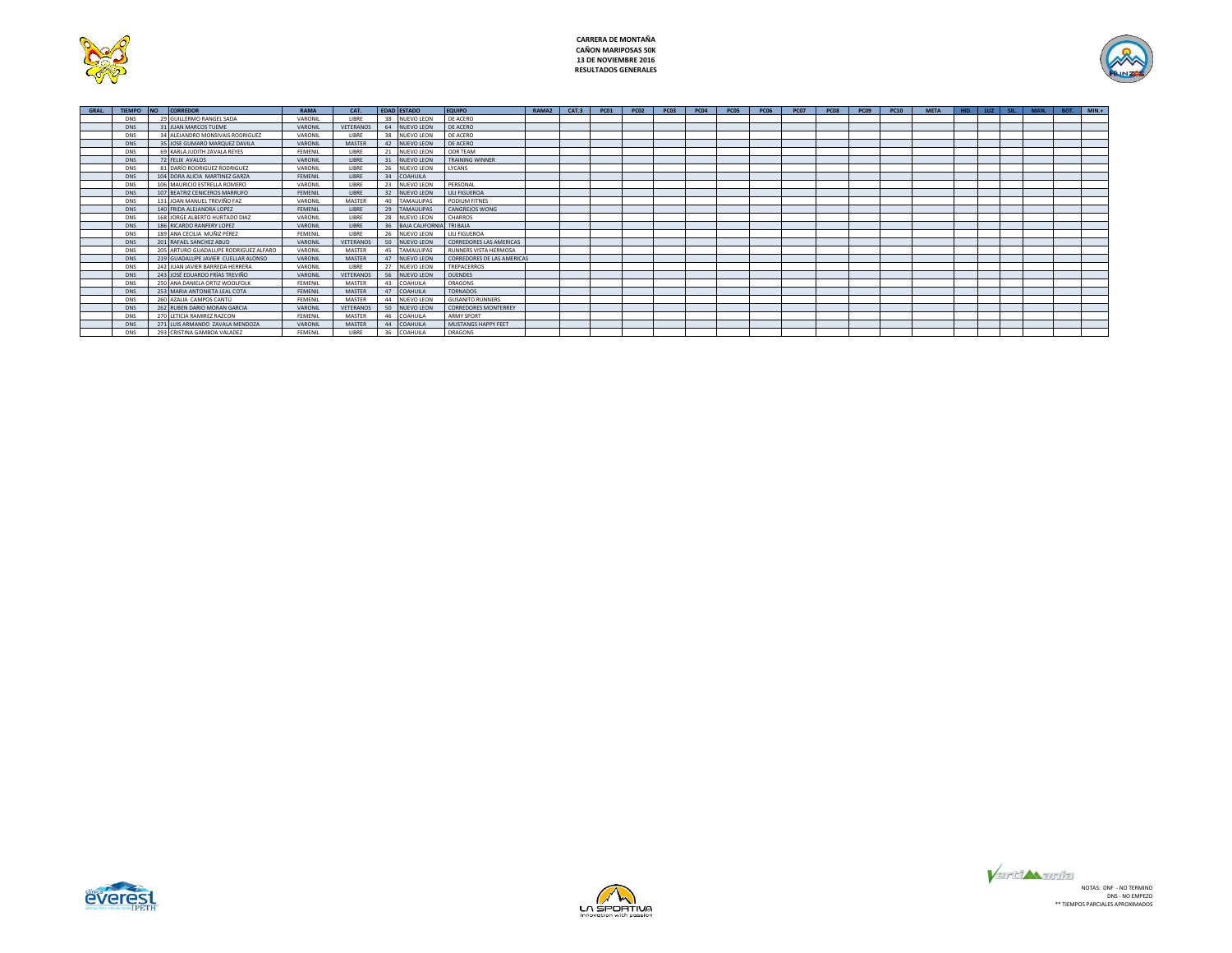



| GRAL. | <b>TIFMPO</b> | <b>NO</b> | CORREDOR                              | RAMA    | CAT.             |    | <b>EDAD ESTADO</b>       | <b>EQUIPO</b>                  | RAMA <sub>2</sub> | CAT.3 | <b>PC01</b> | <b>PC02</b> | PC <sub>03</sub> | <b>PC04</b> | PC <sub>05</sub> | <b>PC06</b> | <b>PC07</b> | <b>PC08</b> | PC09 | <b>PC10</b> | <b>META</b> | HID. | $LUZ$ $SL$ | MAN. | BOT. | $MIN.+$ |
|-------|---------------|-----------|---------------------------------------|---------|------------------|----|--------------------------|--------------------------------|-------------------|-------|-------------|-------------|------------------|-------------|------------------|-------------|-------------|-------------|------|-------------|-------------|------|------------|------|------|---------|
|       | <b>DNS</b>    |           | 29 GUILLERMO RANGEL SADA              | VARONIL | LIBRE            | 38 | NUEVO LEON               | DE ACERO                       |                   |       |             |             |                  |             |                  |             |             |             |      |             |             |      |            |      |      |         |
|       | DNS.          |           | 31 JUAN MARCOS TUEME                  | VARONIL | VETERANOS        | 64 | NUEVO LEON               | DE ACERO                       |                   |       |             |             |                  |             |                  |             |             |             |      |             |             |      |            |      |      |         |
|       | <b>DNS</b>    |           | 34 ALEJANDRO MONSIVAIS RODRIGUEZ      | VARONIL | LIBRE            | 38 | NUEVO LEON               | DE ACERO                       |                   |       |             |             |                  |             |                  |             |             |             |      |             |             |      |            |      |      |         |
|       | <b>DNS</b>    |           | 35 JOSE GUMARO MARQUEZ DAVILA         | VARONIL | MASTER           | 42 | <b>NUEVO LEON</b>        | DE ACERO                       |                   |       |             |             |                  |             |                  |             |             |             |      |             |             |      |            |      |      |         |
|       | <b>DNS</b>    |           | 69 KARLA JUDITH ZAVALA REYES          | FEMENIL | LIBRE            | 21 | <b>NUEVO LEON</b>        | ODR TEAM                       |                   |       |             |             |                  |             |                  |             |             |             |      |             |             |      |            |      |      |         |
|       | <b>DNS</b>    |           | 72 FELIX AVALOS                       | VARONIL | LIBRE            | 31 | <b>NUEVO LEON</b>        | <b>TRAINING WINNER</b>         |                   |       |             |             |                  |             |                  |             |             |             |      |             |             |      |            |      |      |         |
|       | <b>DNS</b>    |           | 81 DARÍO RODRIGUEZ RODRIGUEZ          | VARONIL | LIBRE            | 26 | NUEVO LEON               | LYCANS                         |                   |       |             |             |                  |             |                  |             |             |             |      |             |             |      |            |      |      |         |
|       | <b>DNS</b>    |           | 104 DORA ALICIA MARTINEZ GARZA        | FEMENIL | LIBRE            | 34 | COAHUILA                 |                                |                   |       |             |             |                  |             |                  |             |             |             |      |             |             |      |            |      |      |         |
|       | <b>DNS</b>    |           | 106 MAURICIO ESTRELLA ROMERO          | VARONIL | <b>LIBRE</b>     | 23 | NUEVO LEON               | PERSONAL                       |                   |       |             |             |                  |             |                  |             |             |             |      |             |             |      |            |      |      |         |
|       | <b>DNS</b>    |           | 107 BEATRIZ CENICEROS MARRUFO         | FEMENIL | LIBRE            | 32 | <b>NUEVO LEON</b>        | LILI FIGUEROA                  |                   |       |             |             |                  |             |                  |             |             |             |      |             |             |      |            |      |      |         |
|       | <b>DNS</b>    |           | 131 JOAN MANUEL TREVIÑO FAZ           | VARONIL | MASTER           | 40 | <b>TAMAULIPAS</b>        | PODIUM FITNES                  |                   |       |             |             |                  |             |                  |             |             |             |      |             |             |      |            |      |      |         |
|       | <b>DNS</b>    |           | 140 FRIDA ALEJANDRA LOPEZ             | FEMENIL | LIBRE            | 29 | <b>TAMAULIPAS</b>        | CANGREJOS WONG                 |                   |       |             |             |                  |             |                  |             |             |             |      |             |             |      |            |      |      |         |
|       | <b>DNS</b>    |           | 168 JORGE ALBERTO HURTADO DIAZ        | VARONIL | LIBRE            | 28 | NUEVO LEON               | CHARROS                        |                   |       |             |             |                  |             |                  |             |             |             |      |             |             |      |            |      |      |         |
|       | DNS.          |           | 186 RICARDO RANFERY LOPEZ             | VARONIL | LIBRE            | 36 | BAJA CALIFORNIA TRI BAJA |                                |                   |       |             |             |                  |             |                  |             |             |             |      |             |             |      |            |      |      |         |
|       | <b>DNS</b>    |           | 189 ANA CECILIA MUÑIZ PÉREZ           | FEMENIL | LIBRE            | 26 | NUEVO LEON               | LILI FIGUEROA                  |                   |       |             |             |                  |             |                  |             |             |             |      |             |             |      |            |      |      |         |
|       | DNS.          |           | 201 RAFAEL SANCHEZ ABUD               | VARONIL | VETERANOS        | 50 | NUEVO LEON               | <b>CORREDORES LAS AMERICAS</b> |                   |       |             |             |                  |             |                  |             |             |             |      |             |             |      |            |      |      |         |
|       | <b>DNS</b>    |           | 205 ARTURO GUADALUPE RODRIGUEZ ALFARO | VARONIL | MASTER           | 45 | <b>TAMAULIPAS</b>        | RUNNERS VISTA HERMOSA          |                   |       |             |             |                  |             |                  |             |             |             |      |             |             |      |            |      |      |         |
|       | DNS.          |           | 219 GUADALUPE JAVIER CUELLAR ALONSO   | VARONIL | MASTER           |    | 47 NUEVO LEON            | CORREDORES DE LAS AMERICAS     |                   |       |             |             |                  |             |                  |             |             |             |      |             |             |      |            |      |      |         |
|       | <b>DNS</b>    |           | 242 JUAN JAVIER BARREDA HERRERA       | VARONIL | LIBRE            | 27 | NUEVO LEON               | TREPACERROS                    |                   |       |             |             |                  |             |                  |             |             |             |      |             |             |      |            |      |      |         |
|       | <b>DNS</b>    |           | 243 JOSÉ EDUARDO FRÍAS TREVIÑO        | VARONIL | VETERANOS        | 56 | NUEVO LEON               | <b>DUENDES</b>                 |                   |       |             |             |                  |             |                  |             |             |             |      |             |             |      |            |      |      |         |
|       | <b>DNS</b>    |           | 250 ANA DANIELA ORTIZ WOOLFOLK        | FEMENIL | MASTER           | 43 | COAHUILA                 | DRAGONS                        |                   |       |             |             |                  |             |                  |             |             |             |      |             |             |      |            |      |      |         |
|       | <b>DNS</b>    |           | 253 MARIA ANTONIETA LEAL COTA         | FEMENIL | MASTER           | 47 | COAHUILA                 | <b>TORNADOS</b>                |                   |       |             |             |                  |             |                  |             |             |             |      |             |             |      |            |      |      |         |
|       | <b>DNS</b>    |           | 260 AZALIA CAMPOS CANTÚ               | FEMENIL | MASTER           | 44 | <b>NUEVO LEON</b>        | <b>GUSANITO RUNNERS</b>        |                   |       |             |             |                  |             |                  |             |             |             |      |             |             |      |            |      |      |         |
|       | <b>DNS</b>    |           | 262 RUBEN DARIO MORAN GARCIA          | VARONIL | <b>VETERANOS</b> | 50 | NUEVO LEON               | <b>CORREDORES MONTERREY</b>    |                   |       |             |             |                  |             |                  |             |             |             |      |             |             |      |            |      |      |         |
|       | <b>DNS</b>    |           | 270   FTICIA RAMIREZ RAZCON           | FEMENIL | MASTER           | 46 | COAHUILA                 | <b>ARMY SPORT</b>              |                   |       |             |             |                  |             |                  |             |             |             |      |             |             |      |            |      |      |         |
|       | <b>DNS</b>    |           | 271 LUIS ARMANDO ZAVALA MENDOZA       | VARONIL | MASTER           | 44 | COAHUILA                 | MUSTANGS HAPPY FEET            |                   |       |             |             |                  |             |                  |             |             |             |      |             |             |      |            |      |      |         |
|       | <b>DNS</b>    |           | 293 CRISTINA GAMBOA VALADEZ           | FEMENIL | LIBRE            | 36 | COAHUILA                 | <b>DRAGONS</b>                 |                   |       |             |             |                  |             |                  |             |             |             |      |             |             |      |            |      |      |         |





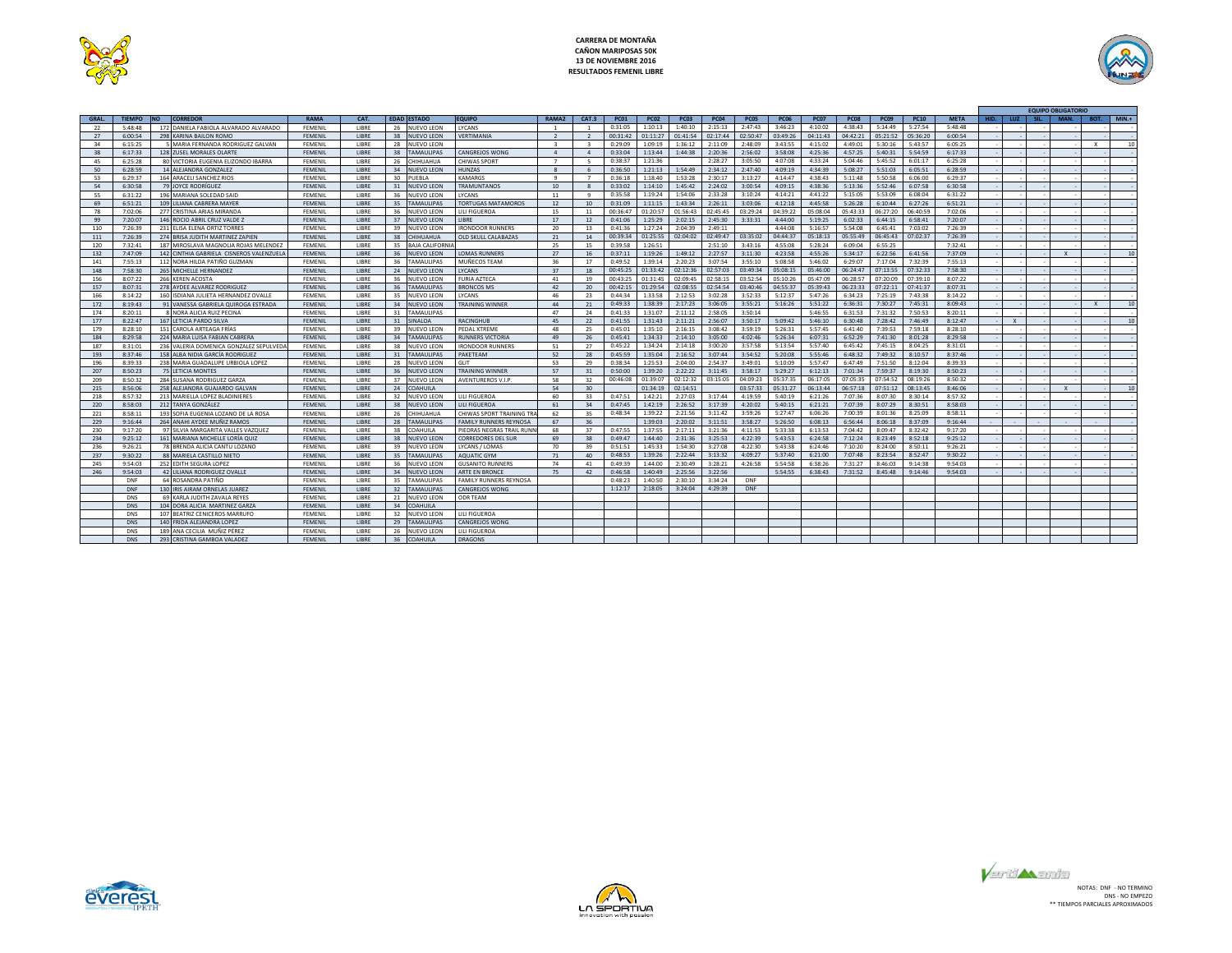



|             |               |                                          |                |              |                    |                       |                               |                         |                         |             |             |             |             |             |             |             |             |             |             |             |      |              |      | <b>EQUIPO OBLIGATORIC</b> |              |          |
|-------------|---------------|------------------------------------------|----------------|--------------|--------------------|-----------------------|-------------------------------|-------------------------|-------------------------|-------------|-------------|-------------|-------------|-------------|-------------|-------------|-------------|-------------|-------------|-------------|------|--------------|------|---------------------------|--------------|----------|
| <b>GRAL</b> | <b>TIEMPO</b> | CORREDOR<br><b>NO</b>                    | <b>RAMA</b>    | CAT.         | <b>EDAD ESTADO</b> |                       | <b>EQUIPO</b>                 | RAMA <sub>2</sub>       | CAT.3                   | <b>PC01</b> | <b>PC02</b> | <b>PC03</b> | <b>PC04</b> | <b>PC05</b> | <b>PC06</b> | <b>PC07</b> | <b>PC08</b> | <b>PC09</b> | <b>PC10</b> | <b>META</b> | HID. | 11JZ         | SIL. | MAN.                      | BOT.         | $MIN. +$ |
| 22          | 5:48:48       | 172 DANIELA FABIOLA ALVARADO ALVARADO    | FEMENIL        | LIBRE        |                    | 26 NUEVO LEON         | <b>LYCANS</b>                 | $\overline{1}$          | $\overline{1}$          | 0:31:05     | 1:10:13     | 1:40:10     | 2:15:13     | 2:47:43     | 3:46:23     | 4:10:02     | 4:38:43     | 5:14:49     | 5:27:54     | 5:48:48     |      |              |      |                           |              |          |
| 27          | 6:00:54       | 298 KARINA BAILON ROMO                   | FFMFNII        | LIBRE        | 38                 | <b>NUEVO LEON</b>     | VERTIMANIA                    | $\overline{z}$          | $\overline{z}$          | 00:31:42    | 01:11:27    | 01:41:54    | 02:17:44    | 02:50:47    | 03:49:26    | 04:11:43    | 04:42:21    | 05:21:52    | 05:36:20    | 6:00:54     |      |              |      |                           |              |          |
| 34          | 6:15:25       | 5 MARIA FERNANDA RODRIGUEZ GALVAN        | FEMENIL        | LIBRE        | 28                 | <b>NUEVO LEON</b>     |                               | $\overline{\mathbf{z}}$ | $\overline{\mathbf{z}}$ | 0:29:09     | 1:09:19     | 1:36:12     | 2:11:09     | 2:48:09     | 3:43:55     | 4:15:02     | 4:49:01     | 5:30:16     | 5:43:57     | 6:05:25     |      |              |      |                           | $\mathbf{x}$ | 10       |
| 38          | 6:17:33       | 128 ZUSEL MORALES OLARTE                 | <b>FEMENIL</b> | LIBRE        | 38                 | <b>TAMAULIPAS</b>     | CANGREJOS WONG                | $\overline{a}$          | $\mathbf{A}$            | 0:33:04     | 1:13:44     | 1:44:38     | 2:20:36     | 2:56:02     | 3:58:08     | 4:25:36     | 4:57:25     | 5:40:31     | 5:54:59     | 6:17:33     |      |              |      |                           |              |          |
| 45          | 6:25:28       | 80 VICTORIA EUGENIA ELIZONDO IBARRA      | FEMENIL        | LIBRE        | 26                 | CHIHUAHUA             | CHIWAS SPORT                  |                         |                         | 0:38:37     | 1:21:36     |             | 2:28:27     | 3:05:50     | 4:07:08     | 4:33:24     | 5:04:46     | 5:45:52     | 6:01:17     | 6:25:28     |      |              |      |                           |              |          |
| 50          | 6:28:59       | 14 ALEJANDRA GONZALEZ                    | <b>FEMENIL</b> | <b>LIBRE</b> | 34                 | NUEVO LEON            | <b>HUNZAS</b>                 |                         |                         | 0:36:50     | 1:21:13     | 1:54:49     | 2:34:12     | 2:47:40     | 4:09:19     | 4:34:39     | 5:08:27     | 5:51:03     | 6:05:51     | 6:28:59     |      |              |      |                           |              |          |
| 53          | 6:29:37       | 164 ARACELI SANCHEZ RIOS                 | FEMENIL        | LIBRE        | 30                 | PUEBLA                | KAMARGS                       | $\alpha$                |                         | 0:36:18     | 1:18:40     | 1:53:28     | 2:30:17     | 3:13:27     | 4:14:47     | 4:38:43     | 5:11:48     | 5:50:58     | 6:06:00     | 6:29:37     |      |              |      |                           |              |          |
| 54          | 6:30:58       | <b>79 JOYCE RODRÍGUEZ</b>                | FFMFNII        | <b>LIBRE</b> |                    | 31 NUEVO LEON         | <b>TRAMUNTANOS</b>            | 10                      |                         | 0:33:02     | 1:14:10     | 1:45:42     | 2:24:02     | 3:00:54     | 4:09:15     | 4:38:36     | 5:13:36     | 5:52:46     | 6:07:58     | 6:30:58     |      |              |      |                           |              |          |
| 55          | 6:31:22       | 196 MARIANA SOLEDAD SAID                 | FEMENIL        | LIBRE        | 36                 | <b>NUEVO LEON</b>     | <b>LYCANS</b>                 | 11                      | 9                       | 0:35:58     | 1:19:24     | 1:54:06     | 2:33:28     | 3:10:24     | 4:14:21     | 4:41:22     | 5:15:05     | 5:53:09     | 6:08:04     | 6:31:22     |      |              |      |                           |              |          |
| 69          | 6:51:21       | 109 LILIANA CABRERA MAYER                | FEMENIL        | LIBRE        | 35                 | <b>TAMAULIPAS</b>     | <b>TORTUGAS MATAMOROS</b>     | 12                      | 10                      | 0:31:09     | 1:11:15     | 1:43:34     | 2:26:11     | 3:03:06     | 4:12:18     | 4:45:58     | 5:26:28     | 6:10:44     | 6:27:26     | 6:51:21     |      |              |      |                           |              |          |
| 78          | 7:02:06       | 277 CRISTINA ARIAS MIRANDA               | FEMENIL        | LIBRE        | 36                 | NUEVO LEON            | LILI FIGUEROA                 | 15                      | 11                      | 00:36:47    | 01:20:57    | 01:56:43    | 02:45:45    | 03:29:24    | 04:39:22    | 05:08:04    | 05:43:33    | 06:27:20    | 06:40:59    | 7:02:06     |      |              |      |                           |              |          |
| 99          | 7:20:07       | 146 ROCIO ABRIL CRUZ VALDE Z             | FFMFNII        | <b>LIBRE</b> | 37                 | <b>NUEVO LEON</b>     | <b>LIBRE</b>                  | 17                      | 12                      | 0:41:06     | 1:25:29     | 2:02:15     | 2:45:30     | 3:33:31     | 4:44:00     | 5:19:25     | 6:02:33     | 6:44:15     | 6:58:41     | 7:20:07     |      |              |      |                           |              |          |
| 110         | 7:26:39       | 231 ELISA ELENA ORTIZ TORRES             | FFMFNII        | <b>LIBRE</b> | 39                 | NUEVO LEON            | <b>IRONDOOR RUNNERS</b>       | 20                      | 13                      | 0:41:36     | 1:27:24     | 2:04:39     | 2:49:11     |             | 4:44:08     | 5:16:57     | 5:54:08     | 6:45:41     | 7:03:02     | 7:26:39     |      |              |      |                           |              |          |
| 111         | 7:26:39       | 274 BRISA JUDITH MARTINEZ ZAPIEN         | <b>FEMENIL</b> | LIBRE        | 38                 | CHIHUAHUA             | OLD SKULL CALABAZAS           | 21                      | 14                      | 00:39:34    | 01:25:55    | 02:04:02    | 02:49:47    | 03:35:02    | 04:44:37    | 05:18:13    | 05:55:49    | 06:45:43    | 07:02:37    | 7:26:39     |      |              |      |                           |              |          |
| 120         | 7:32:41       | 187 MIROSLAVA MAGNOLIA ROJAS MELENDEZ    | FEMENIL        | LIBRE        | 35                 | <b>BAJA CALIFORNI</b> |                               | 25                      | 15                      | 0:39:58     | 1:26:51     |             | 2:51:10     | 3:43:16     | 4:55:08     | 5:28:24     | 6:09:04     | 6:55:25     |             | 7:32:41     |      |              |      |                           |              |          |
| 132         | 7:47:09       | 142 CINTHIA GABRIELA CISNEROS VALENZUELA | <b>FEMENIL</b> | LIBRE        |                    | 36 NUEVO LEON         | <b>LOMAS RUNNERS</b>          | 27                      | 16                      | 0:37:11     | 1:19:26     | 1:49:12     | 2:27:57     | 3:11:30     | 4:23:58     | 4:55:26     | 5:34:17     | 6:22:56     | 6:41:56     | 7:37:09     |      |              |      | $\mathbf{Y}$              |              | 10       |
| 141         | 7:55:13       | 112 NORA HILDA PATIÑO GUZMAN             | FEMENIL        | LIBRE        |                    | 36 TAMAULIPAS         | MUÑECOS TEAM                  | 36                      | 17                      | 0:49:52     | 1:39:14     | 2:20:23     | 3:07:54     | 3:55:10     | 5:08:58     | 5:46:02     | 6:29:07     | 7:17:04     | 7:32:39     | 7:55:13     |      |              |      |                           |              |          |
| 148         | 7:58:30       | 265 MICHELLE HERNANDEZ                   | FEMENIL        | LIBRE        |                    | 24 NUEVO LEON         | LYCANS                        | 37                      | 18                      | 00:45:25    | 01:33:42    | 02:12:36    | 02:57:03    | 03:49:34    | 05:08:15    | 05:46:00    | 06:24:47    | 07:13:55    | 07:32:33    | 7:58:30     |      |              |      |                           |              |          |
| 156         | 8:07:22       | 266 KEREN ACOSTA                         | FEMENIL        | LIBRE        | 36                 | <b>NUEVO LEON</b>     | <b>FURIA AZTECA</b>           | 41                      | 19                      | 00:43:25    | 01:31:45    | 02:09:45    | 02:58:15    | 03:52:54    | 05:10:26    | 05:47:09    | 06:28:57    | 07:20:09    | 07:39:10    | 8:07:22     |      |              |      |                           |              |          |
| 157         | 8:07:31       | 278 AYDEE ALVAREZ RODRIGUEZ              | FEMENIL        | LIBRE        | 36                 | <b>TAMAULIPAS</b>     | <b>BRONCOS MS</b>             | 42                      | 20                      | 00:42:15    | 01:29:54    | 02:08:55    | 02:54:54    | 03:40:46    | 04:55:37    | 05:39:43    | 06:23:33    | 07:22:11    | 07:41:37    | 8:07:31     |      |              |      |                           |              |          |
| 166         | 8:14:22       | 160 ISDIANA JULIETA HERNANDEZ OVALLE     | FEMENIL        | LIBRE        | 35                 | NUEVO LEON            | LYCANS                        | 46                      | 23                      | 0:44:34     | 1:33:58     | 2:12:53     | 3:02:28     | 3:52:33     | 5:12:37     | 5:47:26     | 6:34:23     | 7:25:19     | 7:43:38     | 8:14:22     |      |              |      |                           |              |          |
| 172         | 8:19:43       | 91 VANESSA GABRIELA QUIROGA ESTRADA      | FEMENIL        | <b>LIBRE</b> | 34                 | <b>NUEVO LEON</b>     | <b>TRAINING WINNER</b>        | 44                      | 21                      | 0:49:33     | 1:38:39     | 2:17:23     | 3:06:05     | 3:55:21     | 5:16:26     | 5:51:22     | 6:36:31     | 7:30:27     | 7:45:31     | 8:09:43     |      |              |      |                           | $\mathbf{x}$ | 10       |
| 174         | 8:20:11       | 8 NORA ALICIA RUIZ PECINA                | FFMFNII        | <b>LIBRE</b> | 31                 | <b>TAMAULIPAS</b>     |                               | 47                      | 24                      | 0:41:33     | 1:31:07     | 2:11:12     | 2:58:05     | 3:50:14     |             | 5:46:55     | 6:31:53     | 7:31:32     | 7:50:53     | 8:20:11     |      |              |      |                           |              |          |
| 177         | 8:22:47       | 167 LETICIA PARDO SILVA                  | <b>FEMENIL</b> | LIBRE        | 31                 | SINALOA               | <b>RACINGHUB</b>              | 45                      | 22                      | 0:41:55     | 1:31:43     | 2:11:21     | 2:56:07     | 3:50:17     | 5:09:42     | 5:46:10     | 6:30:48     | 7:28:42     | 7:46:49     | 8:12:47     |      | $\mathsf{X}$ |      |                           |              | 10       |
| 179         | 8:28:10       | 151 CAROLA ARTEAGA FRÍAS                 | FEMENIL        | LIBRE        | 39                 | <b>NUEVO LEON</b>     | PEDAL XTREME                  | 48                      | 25                      | 0:45:01     | 1:35:10     | 2:16:15     | 3:08:42     | 3:59:19     | 5:26:31     | 5:57:45     | 6:41:40     | 7:39:53     | 7:59:18     | 8:28:10     |      |              |      |                           |              |          |
| 184         | 8:29:58       | 224 MARIA LUISA FABIAN CABRERA           | <b>FEMENIL</b> | LIBRE        | 34                 | <b>TAMAULIPAS</b>     | <b>RUNNERS VICTORIA</b>       | 49                      | 26                      | 0:45:41     | 1:34:33     | 2:14:10     | 3:05:00     | 4:02:46     | 5:26:34     | 6:07:31     | 6:52:29     | 7:41:30     | 8:01:28     | 8:29:58     |      |              |      |                           |              |          |
| 187         | 8:31:01       | 236 VALERIA DOMENICA GONZALEZ SEPULVEDA  | FFMFNII        | <b>LIBRE</b> | 38                 | NUEVO LEON            | <b>IRONDOOR RUNNERS</b>       | 51                      | 27                      | 0:45:22     | 1:34:24     | 2:14:18     | 3:00:20     | 3:57:58     | 5:13:54     | 5:57:40     | 6:45:42     | 7.45:15     | 8:04:25     | 8:31:01     |      |              |      |                           |              |          |
| 193         | 8:37:46       | 158 ALBA NIDIA GARCÍA RODRIGUEZ          | <b>FEMENIL</b> | <b>LIBRE</b> | 31                 | <b>TAMAULIPAS</b>     | PAKETEAM                      | 52                      | 28                      | 0:45:59     | 1:35:04     | 2:16:52     | 3:07:44     | 3:54:52     | 5:20:08     | 5:55:46     | 6:48:32     | 7:49:32     | 8:10:57     | 8:37:46     |      |              |      |                           |              |          |
| 196         | 8:39:33       | 238 MARIA GUADALUPE URBIOLA LOPEZ        | FEMENIL        | LIBRE        | 28                 | <b>NUEVO LEON</b>     | GLIT                          | 53                      | 29                      | 0:38:34     | 1:25:53     | 2:04:00     | 2:54:37     | 3:49:01     | 5:10:09     | 5:57:47     | 6:47:49     | 7:51:50     | 8:12:04     | 8:39:33     |      |              |      |                           |              |          |
| 207         | 8:50:23       | <b>75 LETICIA MONTES</b>                 | FEMENIL        | LIBRE        | 36                 | <b>NUEVO LEON</b>     | <b>TRAINING WINNER</b>        | 57                      | 31                      | 0:50:00     | 1:39:20     | 2:22:22     | 3:11:45     | 3:58:17     | 5:29:27     | 6:12:13     | 7:01:34     | 7:59:37     | 8:19:30     | 8:50:23     |      |              |      |                           |              |          |
| 209         | 8:50:32       | 284 SUSANA RODRIGUEZ GARZA               | FEMENIL        | LIBRE        | 37                 | <b>NUEVO LEON</b>     | <b>AVENTUREROS V.I.P</b>      | 58                      | 32                      | 00:46:08    | 01:39:07    | 02:12:32    | 03:15:05    | 04:09:23    | 05:37:35    | 06:17:05    | 07:05:35    | 07:54:52    | 08:19:26    | 8:50:32     |      |              |      |                           |              |          |
| 215         | 8:56:06       | 258 ALEJANDRA GUAJARDO GALVAN            | FEMENIL        | LIBRE        |                    | 24 COAHUILA           |                               | 54                      | 30                      |             | 01:34:19    | 02:14:51    |             | 03:57:33    | 05:31:27    | 06:13:44    | 06:57:18    | 07:51:12    | 08:13:45    | 8:46:06     |      |              |      |                           |              | 10       |
| 218         | 8:57:32       | 213 MARIELLA LOPEZ BLADINIERES           | FEMENIL        | LIBRE        | 32                 | <b>NUEVO LEON</b>     | LILI FIGUEROA                 | 60                      | 33                      | 0:47:51     | 1:42:21     | 2:27:03     | 3:17:44     | 4:19:59     | 5:40:19     | 6:21:26     | 7:07:36     | 8:07:30     | 8:30:14     | 8:57:32     |      |              |      |                           |              |          |
| 220         | 8:58:03       | 212 TANYA GONZÁLEZ                       | <b>FEMENIL</b> | LIBRE        | 38                 | <b>NUEVO LEON</b>     | LILI FIGUEROA                 | 61                      | 34                      | 0:47:45     | 1:42:19     | 2:26:52     | 3:17:39     | 4:20:02     | 5:40:15     | 6:21:21     | 7:07:39     | 8:07:29     | 8:30:51     | 8:58:03     |      |              |      |                           |              |          |
| 221         | 8:58:11       | 193 SOFIA EUGENIA LOZANO DE LA ROSA      | FEMENIL        | LIBRE        | 26                 | CHIHUAHUA             | CHIWAS SPORT TRAINING TRA     | 62                      | 35                      | 0:48:34     | 1:39:22     | 2:21:56     | 3:11:42     | 3:59:26     | 5:27:47     | 6:06:26     | 7:00:39     | 8:01:36     | 8:25:09     | 8:58:11     |      |              |      |                           |              |          |
| 229         | 9:16:44       | 264 ANAHI AYDEE MUÑIZ RAMOS              | FEMENIL        | LIBRE        | 28                 | <b>TAMAULIPAS</b>     | <b>FAMILY RUNNERS REYNOSA</b> | 67                      | 36                      |             | 1:39:03     | 2:20:02     | 3:11:51     | 3:58:27     | 5:26:50     | 6:08:13     | 6:56:44     | 8:06:18     | 8:37:09     | 9:16:44     |      |              |      |                           |              |          |
| 230         | 9:17:20       | 97 SILVIA MARGARITA VALLES VAZQUEZ       | FEMENIL        | LIBRE        | 38                 | COAHUILA              | PIEDRAS NEGRAS TRAIL RUNN     | 68                      | 37                      | 0:47:55     | 1:37:55     | 2:17:11     | 3:21:36     | 4:11:53     | 5:33:38     | 6:13:53     | 7:04:42     | 8:09:47     | 8:32:42     | 9:17:20     |      |              |      |                           |              |          |
| 234         | 9:25:12       | 161 MARIANA MICHELLE LORÍA OLIIZ         | FFMFNII        | <b>IIBRE</b> | 38                 | NUEVO LEON            | CORREDORES DEL SUR            | 69                      | 38                      | 0:49:47     | 1:44:40     | 2:31:36     | 3:25:53     | 4:22:39     | 5:43:53     | 6:24:58     | 7:12:24     | 8:23:49     | 8:52:18     | 9:25:12     |      |              |      |                           |              |          |
| 236         | 9:26:21       | 78 BRENDA ALICIA CANTU LOZANO            | FEMENIL        | LIBRE        |                    | 39 NUEVO LEON         | LYCANS / LOMAS                | 70                      | 39                      | 0:51:51     | 1:45:33     | 1:54:30     | 3:27:08     | 4:22:30     | 5:43:38     | 6:24:46     | 7:10:20     | 8:24:00     | 8:50:11     | 9:26:21     |      |              |      |                           |              |          |
| 237         | 9:30:22       | 88 MARIELA CASTILLO NIETO                | FEMENIL        | LIBRE        | 35                 | <b>TAMAULIPAS</b>     | <b>AQUATIC GYM</b>            | 71                      | 40                      | 0:48:53     | 1:39:26     | 2:22:44     | 3:13:32     | 4:09:27     | 5:37:40     | 6:21:00     | 7:07:48     | 8:23:54     | 8:52:47     | 9:30:22     |      |              |      |                           |              |          |
| 245         | 9:54:03       | 252 EDITH SEGURA LOPEZ                   | FEMENIL        | LIBRE        |                    | 36 NUEVO LEON         | <b>GUSANITO RUNNERS</b>       | 74                      | 41                      | 0:49:39     | 1:44:00     | 2:30:49     | 3:28:21     | 4:26:58     | 5:54:58     | 6:38:26     | 7:31:27     | 8:46:03     | 9:14:38     | 9:54:03     |      |              |      |                           |              |          |
| 246         | 9:54:03       | 42 LILIANA RODRIGUEZ OVALLE              | FEMENIL        | LIBRE        | 34                 | <b>NUEVO LEON</b>     | ARTE EN BRONCE                | 75                      | 42                      | 0:46:58     | 1:40:49     | 2:25:56     | 3:22:56     |             | 5:54:55     | 6:38:43     | 7:31:52     | 8:45:48     | 9:14:46     | 9:54:03     |      |              |      |                           |              |          |
|             | DNF           | 64 ROSANDRA PATIÑO                       | FFMFNII        | <b>LIBRE</b> | 35                 | <b>TAMAULIPAS</b>     | <b>FAMILY RUNNERS REYNOSA</b> |                         |                         | 0:48:23     | 1:40:50     | 2:30:10     | 3:34:24     | DNF         |             |             |             |             |             |             |      |              |      |                           |              |          |
|             | DNF           | 130 IRIS AIRAM ORNELAS JUAREZ            | FEMENIL        | LIBRE        | 32                 | <b>TAMAULIPAS</b>     | <b>CANGREJOS WONG</b>         |                         |                         | 1:12:17     | 2:18:05     | 3:24:04     | 4:29:39     | <b>DNF</b>  |             |             |             |             |             |             |      |              |      |                           |              |          |
|             | <b>DNS</b>    | 69 KARLA JUDITH ZAVALA REYES             | FEMENIL        | LIBRE        |                    | 21 NUEVO LEON         | ODR TEAM                      |                         |                         |             |             |             |             |             |             |             |             |             |             |             |      |              |      |                           |              |          |
|             | <b>DNS</b>    | 104 DORA ALICIA MARTINEZ GARZA           | FEMENIL        | LIBRE        |                    | 34 COAHUILA           |                               |                         |                         |             |             |             |             |             |             |             |             |             |             |             |      |              |      |                           |              |          |
|             | DNS           | 107 BEATRIZ CENICEROS MARRUFO            | FEMENIL        | LIBRE        |                    | 32 NUEVO LEON         | LILI FIGUEROA                 |                         |                         |             |             |             |             |             |             |             |             |             |             |             |      |              |      |                           |              |          |
|             | DNS           | 140 FRIDA ALFIANDRA LOPE                 | <b>FEMENIL</b> | LIBRE        | 29                 | <b>TAMAULIPAS</b>     | CANGREJOS WONG                |                         |                         |             |             |             |             |             |             |             |             |             |             |             |      |              |      |                           |              |          |
|             | <b>DNS</b>    | 189 ANA CECILIA MUÑIZ PÉREZ              | FEMENIL        | LIBRE        | 26                 | <b>NUEVO LEON</b>     | LILI FIGUEROA                 |                         |                         |             |             |             |             |             |             |             |             |             |             |             |      |              |      |                           |              |          |
|             | <b>DNS</b>    | 293 CRISTINA GAMBOA VALADEZ              | <b>FEMENIL</b> | LIBRE        | 36                 | COAHUILA              | <b>DRAGONS</b>                |                         |                         |             |             |             |             |             |             |             |             |             |             |             |      |              |      |                           |              |          |
|             |               |                                          |                |              |                    |                       |                               |                         |                         |             |             |             |             |             |             |             |             |             |             |             |      |              |      |                           |              |          |





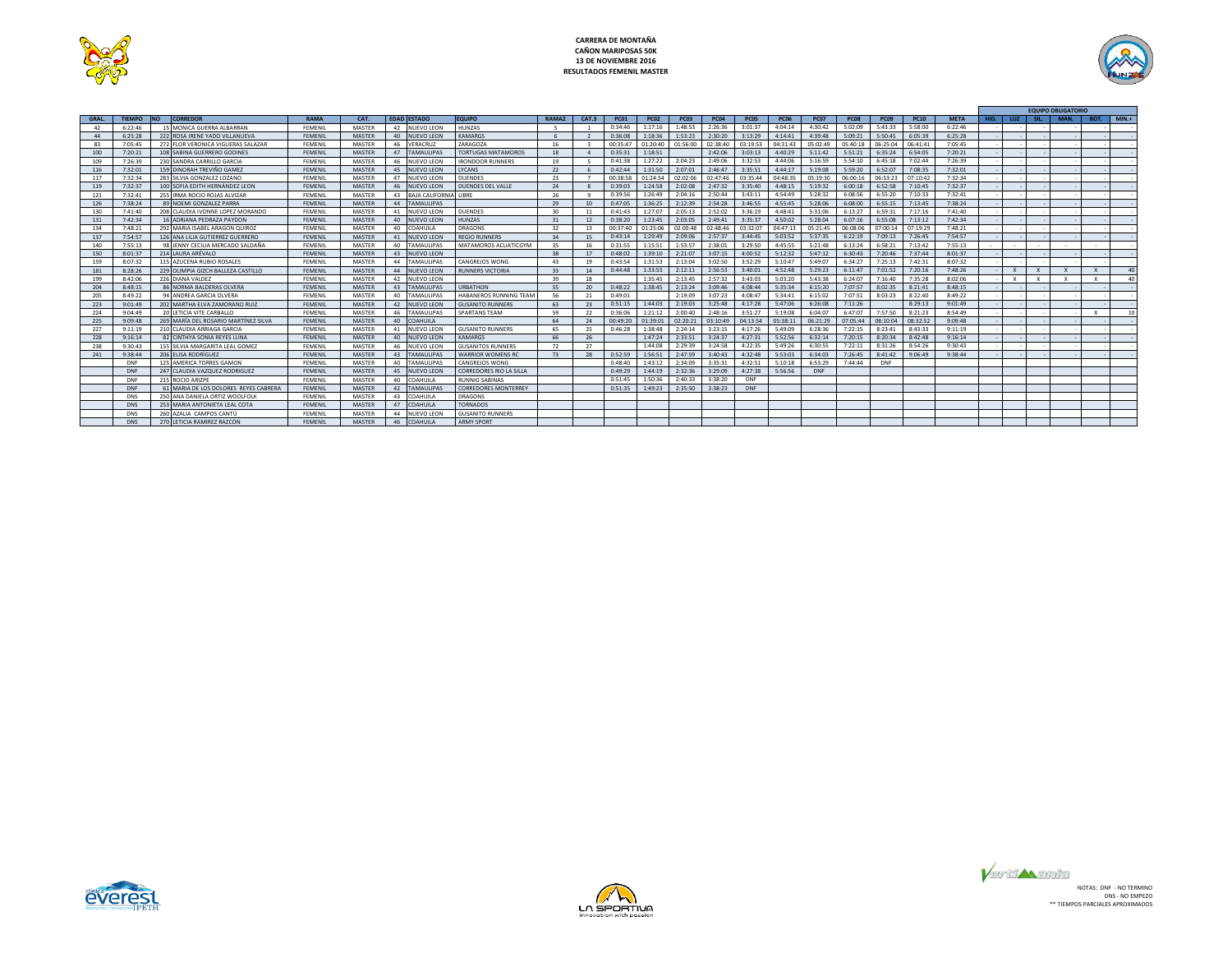



|             |               |                                       |                |               |                              |                             |                   |       |             |             |             |             |             |             |             |             |             |             |             |      |              |              | <b>EQUIPO OBLIGATORIO</b> |              |         |
|-------------|---------------|---------------------------------------|----------------|---------------|------------------------------|-----------------------------|-------------------|-------|-------------|-------------|-------------|-------------|-------------|-------------|-------------|-------------|-------------|-------------|-------------|------|--------------|--------------|---------------------------|--------------|---------|
| <b>GRAL</b> | <b>TIFMPO</b> | <b>INO</b><br><b>CORREDOR</b>         | <b>RAMA</b>    | CAT.          | <b>EDAD ESTADO</b>           | <b>EQUIPO</b>               | RAMA <sub>2</sub> | CAT.3 | <b>PC01</b> | <b>PC02</b> | <b>PC03</b> | <b>PC04</b> | <b>PC05</b> | <b>PC06</b> | <b>PC07</b> | <b>PC08</b> | <b>PC09</b> | <b>PC10</b> | <b>META</b> | HID. | LUZ.         |              | MAN.                      | BOT.         | $MIN.+$ |
| 42          | 6:22:46       | 15 MONICA GUERRA ALBARRAN             | FEMENIL        | MASTER        | 42<br><b>NUEVO LEON</b>      | <b>HUNZAS</b>               |                   |       | 0:34:46     | 1:17:16     | 1:48:53     | 2:26:36     | 3:01:37     | 4:04:14     | 4:30:42     | 5:02:09     | 5:43:33     | 5:58:00     | 6:22:46     |      |              |              |                           |              |         |
| 44          | 6:25:28       | 222 ROSA IRENE YADO VILLANUEVA        | <b>FEMENIL</b> | <b>MASTER</b> | 40<br><b>NUEVO LEON</b>      | KAMARGS                     |                   |       | 0:36:08     | 1:18:36     | 1:53:23     | 2:30:20     | 3:13:29     | 4:14:41     | 4:39:48     | 5:09:21     | 5:50:45     | 6:05:39     | 6:25:28     |      |              |              |                           |              |         |
| 83          | 7:05:45       | 272 FLOR VERONICA VIGUERAS SALAZAR    | FEMENIL        | MASTER        | 46<br>VERACRUZ               | ZARAGOZA                    | 16                |       | 00:35:47    | 01:20:40    | 01:56:00    | 02:38:40    | 03:19:53    | 04:31:43    | 05:02:49    | 05:40:18    | 06:25:04    | 06:41:41    | 7:05:45     |      |              |              |                           |              |         |
| 100         | 7:20:21       | 108 SABINA GUERRERO GODINES           | FEMENIL        | MASTER        | <b>TAMAULIPAS</b><br>47      | <b>TORTUGAS MATAMOROS</b>   | 18                |       | 0:35:31     | 1:18:51     |             | 2:42:06     | 3:03:13     | 4:40:29     | 5:11:42     | 5:51:21     | 6:35:24     | 6:54:05     | 7:20:21     |      |              |              |                           |              |         |
| 109         | 7:26:39       | 230 SANDRA CARRILLO GARCIA            | FEMENIL        | MASTER        | 46<br><b>NUEVO LEON</b>      | <b>IRONDOOR RUNNERS</b>     | 19                |       | 0:41:38     | 1:27:22     | 2:04:23     | 2:49:06     | 3:32:53     | 4:44:06     | 5:16:59     | 5:54:10     | 6:45:18     | 7:02:44     | 7:26:39     |      |              |              |                           |              |         |
| 116         | 7:32:01       | 159 DINORAH TREVIÑO GAMEZ             | FFMFNII        | MASTER        | 45<br>NUEVO LEON             | LYCANS                      | 22                |       | 0:42:44     | 1:31:50     | 2:07:01     | 2:46:47     | 3:35:51     | 4:44:17     | 5:19:08     | 5:59:20     | 6:52:07     | 7:08:35     | 7:32:01     |      |              |              |                           |              |         |
| 117         | 7:32:34       | 283 SILVIA GONZALEZ LOZANO            | FEMENIL        | MASTER        | 47<br><b>NUEVO LEON</b>      | <b>DUENDES</b>              | 23                |       | 00:38:58    | 01:24:54    | 02:02:06    | 02:47:46    | 03:35:44    | 04.48.35    | 05:19:30    | 06:00:16    | 06:53:23    | 07:10:42    | 7:32:34     |      |              |              |                           |              |         |
| 119         | 7:32:37       | 100 SOFIA EDITH HERNÁNDEZ LEON        | FEMENIL        | MASTER        | 46<br>NUEVO LEON             | <b>DUENDES DEL VALLE</b>    | 24                |       | 0:39:03     | 1:24:58     | 2:02:08     | 2:47:32     | 3:35:40     | 4:48:15     | 5:19:32     | 6:00:18     | 6:52:58     | 7:10:45     | 7:32:37     |      |              |              |                           |              |         |
| 121         | 7:32:41       | 255 IRMA ROCIO ROJAS ALVIZAR          | FEMENIL        | MASTER        | 43<br><b>BAJA CALIFORNIA</b> | LIBRE                       | 26                |       | 0:39:56     | 1:26:49     | 2:04:16     | 2:50:44     | 3:43:11     | 4:54:49     | 5:28:32     | 6:08:56     | 6:55:20     | 7:10:33     | 7:32:41     |      |              |              |                           |              |         |
| 126         | 7:38:24       | 89 NOEMLGONZALEZ PARRA                | <b>FEMENIL</b> | MASTER        | 44<br><b>TAMAULIPAS</b>      |                             | 29                | 10    | 0:47:05     | 1:36:25     | 2:12:39     | 2:54:28     | 3:46:55     | 4:55:45     | 5:28:06     | 6:08:00     | 6:55:15     | 7:13:45     | 7:38:24     |      |              |              |                           |              |         |
| 130         | 7:41:40       | 208 CLAUDIA IVONNE LOPEZ MORANDO      | FEMENIL        | MASTER        | <b>NUEVO LEON</b><br>41      | <b>DUENDES</b>              | 30                | 11    | 0:41:43     | 1:27:07     | 2:05:13     | 2:52:02     | 3:36:19     | 4:48:41     | 5:31:06     | 6:13:27     | 6:59:31     | 7:17:16     | 7:41:40     |      |              |              |                           |              |         |
| 131         | 7:42:34       | 16 ADRIANA PEDRAZA PAYDON             | <b>FEMENIL</b> | MASTER        | 40<br><b>NUEVO LEON</b>      | <b>HUNZAS</b>               | 31                | 12    | 0:38:20     | 1:23:45     | 2:03:05     | 2:49:41     | 3:35:37     | 4:50:02     | 5:28:04     | 6:07:16     | 6:55:08     | 7:13:12     | 7:42:34     |      |              |              |                           |              |         |
| 134         | 7:48:21       | 292 MARIA ISAREL ARAGON OUIROZ        | FFMFNII        | MASTER        | 40<br><b>COAHUILA</b>        | DRAGONS                     | 32                | 13    | 00:37:40    | 01:25:06    | 02:00:48    | 02:48:46    | 03:32:07    | 04:47:13    | 05:21:45    | 06:08:06    | 07:00:14    | 07:19:29    | 7:48:21     |      |              |              |                           |              |         |
| 137         | 7:54:57       | 126 ANA LILIA GUTIERREZ GUERRERO      | <b>FEMENIL</b> | MASTER        | 41<br>NUEVO LEON             | <b>REGIO RUNNERS</b>        | 34                | 15    | 0:43:14     | 1:29:49     | 2:09:06     | 2:57:37     | 3:44:45     | 5:03:52     | 5:37:35     | 6:22:19     | 7:09:13     | 7:26:45     | 7:54:57     |      |              |              |                           |              |         |
| 140         | 7:55:13       | 98 JENNY CECILIA MERCADO SALDAÑA      | FEMENIL        | MASTER        | <b>TAMAULIPAS</b><br>40      | MATAMOROS ACUATICGYM        | 35                | 16    | 0:31:55     | 1:15:51     | 1:53:57     | 2:38:01     | 3:29:50     | 4:45:55     | 5:21:48     | 6:13:24     | 6:58:21     | 7:13:42     | 7:55:13     |      |              |              |                           |              |         |
| 150         | 8:01:37       | 214 I AURA ARÉVAIO                    | <b>FEMENIL</b> | <b>MASTER</b> | 43<br><b>NUEVO LEON</b>      |                             | 38                | 17    | 0:48:02     | 1:39:10     | 2:21:07     | 3:07:15     | 4:00:52     | 5:12:32     | 5:47:12     | 6:30:43     | 7:20:46     | 7:37:44     | 8:01:37     |      |              |              |                           |              |         |
| 159         | 8:07:32       | 115 AZUCENA RUBIO ROSALES             | <b>FEMENIL</b> | MASTER        | 44<br>TAMAULIPAS             | CANGREJOS WONG              | 43                | 19    | 0:43:54     | 1:31:53     | 2:13:04     | 3:02:50     | 3:52:29     | 5:10:47     | 5:49:07     | 6:34:27     | 7:25:13     | 7:42:31     | 8:07:32     |      |              |              |                           |              |         |
| 181         | 8:28:26       | 229 OLIMPIA GIZCH BALLEZA CASTILLO    | FEMENIL        | MASTER        | 44<br><b>NUEVO LEON</b>      | <b>RUNNERS VICTORIA</b>     | 33                | 14    | 0:44:48     | 1:33:55     | 2:12:11     | 2:56:53     | 3:40:01     | 4:52:48     | 5:29:23     | 6:11:47     | 7:01:52     | 7:20:16     | 7:48:26     |      | $\mathsf{x}$ | $\mathsf{x}$ |                           | x            | 40      |
| 199         | 8:42:06       | 226 DIANA VALDEZ                      | FEMENIL        | MASTER        | 42<br>NUEVO LEON             |                             | 39                | 18    |             | 1:35:45     | 2:13:45     | 2:57:32     | 3:43:03     | 5:03:20     | 5:43:38     | 6:24:07     | 7:16:40     | 7:35:28     | 8:02:06     |      | $\mathbf{x}$ |              |                           | $\mathbf{x}$ | 40      |
| 204         | 8:48:15       | 86 NORMA BALDERAS OLVERA              | FEMENIL        | <b>MASTER</b> | <b>TAMAULIPAS</b><br>43      | <b>URBATHON</b>             | 55                | 20    | 0:48:22     | 1:38:45     | 2:13:24     | 3:09:46     | 4:08:44     | 5:35:34     | 6:15:20     | 7:07:57     | 8:02:35     | 8:21:41     | 8:48:15     |      |              |              |                           |              |         |
| 205         | 8:49:22       | 94 ANDREA GARCIA OLVERA               | FEMENIL        | MASTER        | 40<br>AMAULIPAS              | HABANEROS RUNNING TEAM      | 56                | 21    | 0:49:01     |             | 2:19:09     | 3:07:23     | 4:08:47     | 5:34:41     | 6:15:02     | 7:07:51     | 8:03:23     | 8:22:40     | 8:49:22     |      |              |              |                           |              |         |
| 223         | 9:01:49       | 202 MARTHA ELVA ZAMORANO RUIZ         | FEMENIL        | MASTER        | <b>NUEVO LEON</b><br>42      | <b>GUSANITO RUNNERS</b>     | 63                | 23    | 0:51:15     | 1:44:03     | 2:19:03     | 3:25:48     | 4:17:28     | 5:47:06     | 6:26:08     | 7:11:26     |             | 8:29:13     | 9:01:49     |      |              |              |                           |              |         |
| 224         | 9:04:49       | 20 LETICIA VITE CARBALLO              | FEMENIL        | MASTER        | 46<br><b>AMAULIPAS</b>       | <b>SPARTANS TEAM</b>        | 59                | 22    | 0:36:06     | 1:21:12     | 2:00:40     | 2:48:16     | 3:51:27     | 5:19:08     | 6:04:07     | 6:47:07     | 7:57:50     | 8:21:23     | 8:54:49     |      |              |              |                           |              | 10      |
| 225         | 9:09:48       | 269 MARÍA DEL ROSARIO MARTÍNEZ SILVA  | FEMENIL        | MASTER        | COAHUILA<br>40               |                             | 64                | 24    | 00:49:20    | 01:39:01    | 02:20:21    | 03:10:49    | 04:13:54    | 05:38:11    | 06:21:29    | 07:05:44    | 08:10:04    | 08:32:52    | 9:09:48     |      |              |              |                           |              |         |
| 227         | 9:11:19       | 210 CLAUDIA ARRIAGA GARCIA            | FEMENIL        | MASTER        | <b>NUEVO LEON</b><br>41      | <b>GUSANITO RUNNERS</b>     | 65                | 25    | 0:46:28     | 1:38:48     | 2:24:14     | 3:23:15     | 4:17:26     | 5:49:09     | 6:28:36     | 7:22:15     | 8:23:41     | 8:43:33     | 9:11:19     |      |              |              |                           |              |         |
| 228         | 9:16:14       | 82 CINTHYA SONIA REYES LUNA           | <b>FEMENIL</b> | MASTER        | 40<br><b>NUEVO LEON</b>      | <b>KAMARGS</b>              | 66                | 26    |             | 1:47:24     | 2:33:51     | 3:24:37     | 4:27:31     | 5:52:56     | 6:32:14     | 7:20:15     | 8:20:34     | 8:42:48     | 9:16:14     |      |              |              |                           |              |         |
| 238         | 9:30:43       | 155 SILVIA MARGARITA LEAL GOMEZ       | FEMENIL        | MASTER        | 46<br>NUEVO LEON             | <b>GUSANITOS RUNNERS</b>    | 72                | 27    |             | 1:44:08     | 2:29:39     | 3:24:58     | 4:22:35     | 5:49:26     | 6:30:55     | 7:22:11     | 8:31:26     | 8:54:26     | 9:30:43     |      |              |              |                           |              |         |
| 241         | 9:38:44       | 206 ELISA RODRÍGUEZ                   | <b>FEMENIL</b> | <b>MASTER</b> | <b>AMAULIPAS</b><br>43       | <b>WARRIOR WOMENS RO</b>    | 73                | 28    | 0:52:59     | 1:56:51     | 2:47:59     | 3:40:43     | 4:32:48     | 5:53:03     | 6:34:03     | 7:26:45     | 8:41:42     | 9:06:49     | 9:38:44     |      |              |              |                           |              |         |
|             | DNF           | 125 AMERICA TORRES GAMON              | FEMENIL        | MASTER        | 40<br><b>TAMAULIPAS</b>      | CANGREJOS WONG              |                   |       | 0:48:40     | 1:43:12     | 2:34:09     | 3:35:31     | 4:32:51     | 5:10:18     | 6:53:29     | 7:44:44     | DNF         |             |             |      |              |              |                           |              |         |
|             | DNF           | 247 CLAUDIA VAZQUEZ RODRIGUEZ         | <b>FEMENIL</b> | MASTER        | 45<br><b>NUEVO LEON</b>      | CORREDORES RIO LA SILLA     |                   |       | 0:49:29     | 1:44:19     | 2:32:36     | 3:29:09     | 4:27:38     | 5:56:56     | <b>DNF</b>  |             |             |             |             |      |              |              |                           |              |         |
|             | DNF           | 215 ROCIO ARIZPE                      | FEMENIL        | MASTER        | <b>COAHUILA</b><br>40        | <b>RUNNIG SARINAS</b>       |                   |       | 0:51:45     | 1:50:36     | 2:40:33     | 3:38:20     | DNF         |             |             |             |             |             |             |      |              |              |                           |              |         |
|             | DNF           | 61 MARIA DE LOS DOLORES REYES CABRERA | <b>FEMENIL</b> | <b>MASTER</b> | 42<br><b>TAMAULIPAS</b>      | <b>CORREDORES MONTERREY</b> |                   |       | 0:51:35     | 1:49:23     | 2:35:50     | 3:38:23     | DNF         |             |             |             |             |             |             |      |              |              |                           |              |         |
|             | DNS           | 250 ANA DANIELA ORTIZ WOOLFOLK        | FEMENIL        | MASTER        | 43<br>COAHUILA               | <b>DRAGONS</b>              |                   |       |             |             |             |             |             |             |             |             |             |             |             |      |              |              |                           |              |         |
|             | DNS           | 253 MARIA ANTONIETA LEAL COTA         | FEMENIL        | <b>MASTER</b> | COAHUILA<br>47               | <b>TORNADOS</b>             |                   |       |             |             |             |             |             |             |             |             |             |             |             |      |              |              |                           |              |         |
|             | DNS           | 260 AZALIA CAMPOS CANTÚ               | FEMENIL        | MASTER        | NUEVO LEON<br>44             | <b>GUSANITO RUNNERS</b>     |                   |       |             |             |             |             |             |             |             |             |             |             |             |      |              |              |                           |              |         |
|             | DNS           | 270 LETICIA RAMIREZ RAZCON            | FFMFNII        | <b>MASTER</b> | <b>COAHUILA</b><br>46        | <b>ARMY SPORT</b>           |                   |       |             |             |             |             |             |             |             |             |             |             |             |      |              |              |                           |              |         |





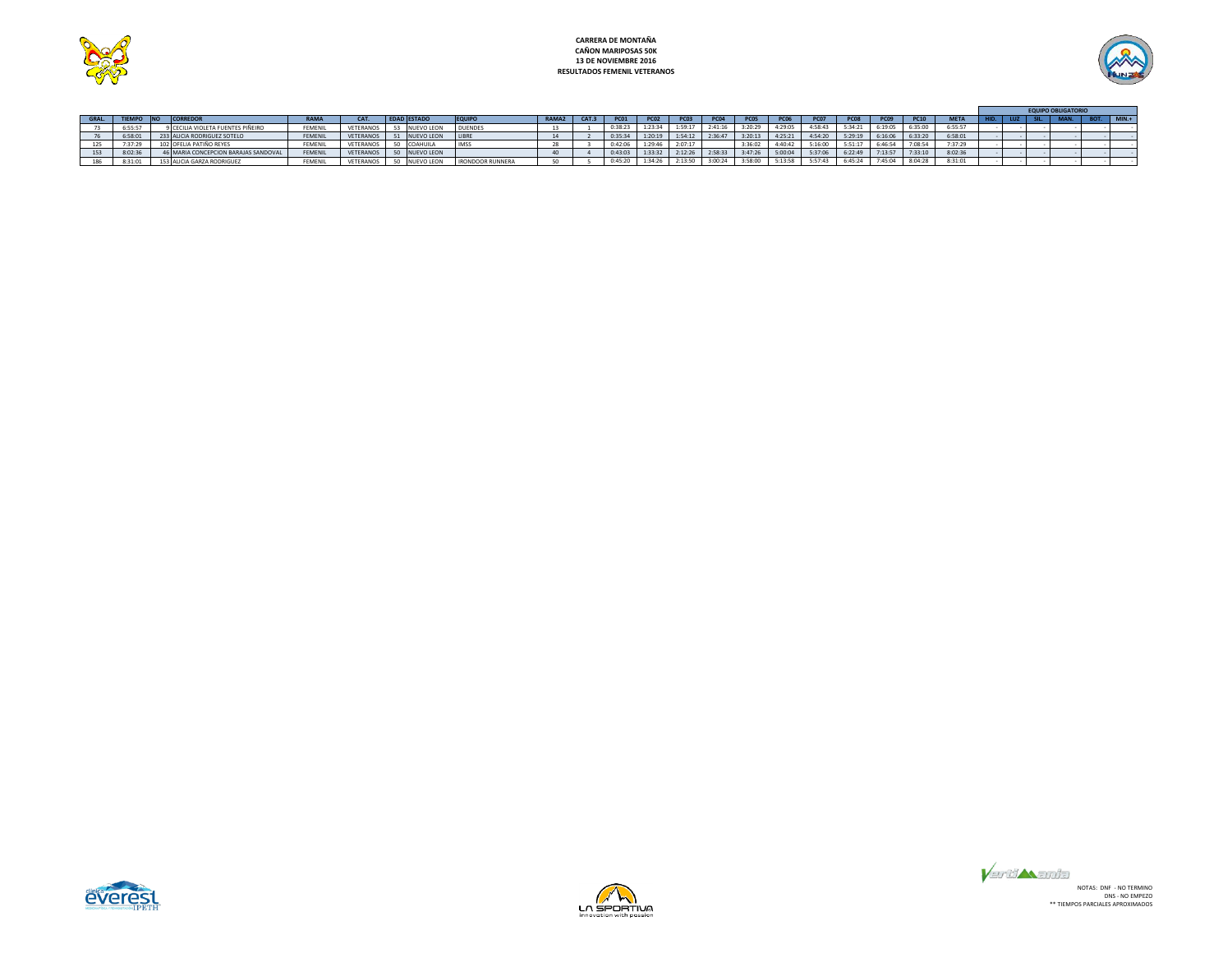



|       |            |                                      |             |           |                    |                         |             |             |             |                  |             |                  |         |                  |             |             |             |             |  | <b>EQUIPO OBLIGATORI</b> |         |
|-------|------------|--------------------------------------|-------------|-----------|--------------------|-------------------------|-------------|-------------|-------------|------------------|-------------|------------------|---------|------------------|-------------|-------------|-------------|-------------|--|--------------------------|---------|
| GRAL. | TIEMPO INO | <b>CORREDOR</b>                      | <b>RAMA</b> | CAT.      | <b>EDAD ESTADO</b> | <b>EQUIPO</b>           | RAMA2 CAT.3 | <b>PC01</b> | <b>PC02</b> | PC <sub>03</sub> | <b>PC04</b> | PCO <sub>5</sub> |         | PC <sub>07</sub> | <b>PC08</b> | <b>PC09</b> | <b>PC10</b> | <b>META</b> |  |                          | $MIN.+$ |
|       | 6:55:57    | CILIA VIOLETA FUENTES PIÑEIRO        | FEMENIL     | VETERANOS | NUEVO LEON         | <b>DUENDES</b>          |             | 0:38:23     | 1:23:34     | 1:59:17          | 2:41:16     | 3:20:29          | 4:29:05 | 4:58:43          | 5:34:21     | 6:19:05     | 6:35:00     | 6:55:57     |  |                          |         |
|       | 6:58:01    | 233 ALICIA RODRIGUEZ SOTELO          | FEMENIL     | VETERANOS | NUEVO LEON         | LIBRE                   |             | 0:35:34     | 1:20:19     | 1:54:12          | 2:36:47     | 3:20:13          | 4:25:21 | 4:54:20          | 5:29:19     | 6:16:06     | 6:33:20     | 6:58:01     |  |                          |         |
|       | 7:37:29    | 102 OFELIA PATIÑO REYES              | FEMENIL     | VETERANOS | COAHUILA           | <b>IMSS</b>             |             | 0:42:06     | 1:29:46     | 2:07:17          |             | 3:36:02          | 4:40:42 | 5:16:00          | 5:51:17     | 6:46:54     | 7:08:54     | 7:37:29     |  |                          |         |
| 153   | 8:02:36    | 46 MARIA CONCEPCION BARAJAS SANDOVAL | FEMENIL     | VETERANOS | NUEVO LEON         |                         |             | 0:43:03     | 1:33:32     | 2:12:26          | 2:58:33     | 3:47:26          | 5:00:04 | 5:37:06          | 6:22:49     | 7:13:57     | 7:33:10     | 8:02:36     |  |                          |         |
|       | 8:31:01    | 153 ALICIA GARZA RODRIGUEZ           | FEMENIL     | VETERANOS | <b>NUEVO LEON</b>  | <b>IRONDOOR RUNNERA</b> |             | 0:45:20     | 1:34:26     | 2:13:50          | 3:00:24     | 3:58:00          | 5:13:58 | 5:57:43          | 6:45:24     | 7:45:04     | 8:04:28     | 8:31:01     |  |                          |         |





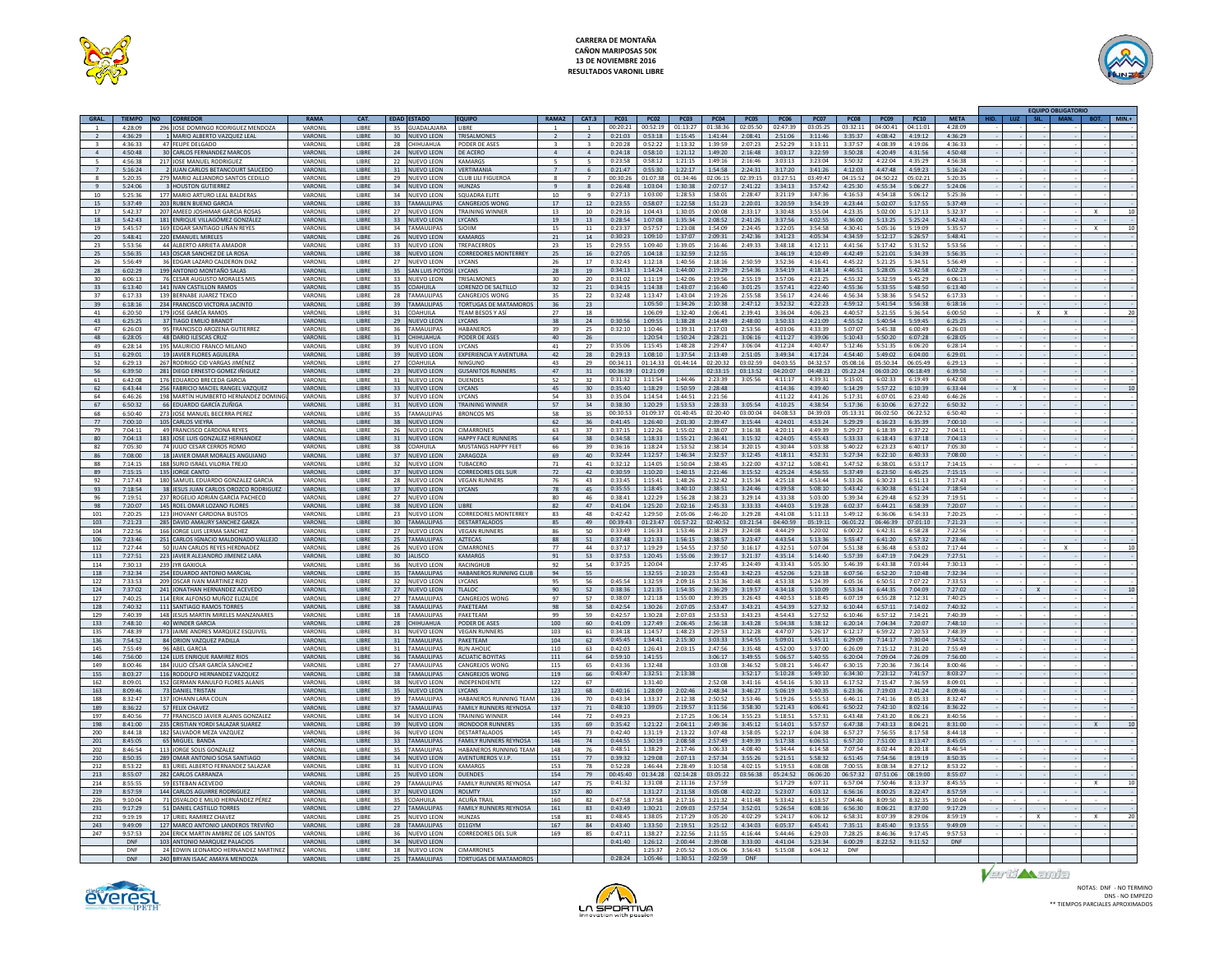

# **CARRERA DE MONTAÑA CAÑON MARIPOSAS 50K 13 DE NOVIEMBRE 2016 RESULTADOS VARONIL LIBRE**



|                         |                          |     |                                                               |                           |                       |    |                                |                               |                         |                 |                                              |                                          |            |                              |                    |                    |                    |                    |                    |              | <b>EQUIPO OBLIGATORIC</b> |      |          |
|-------------------------|--------------------------|-----|---------------------------------------------------------------|---------------------------|-----------------------|----|--------------------------------|-------------------------------|-------------------------|-----------------|----------------------------------------------|------------------------------------------|------------|------------------------------|--------------------|--------------------|--------------------|--------------------|--------------------|--------------|---------------------------|------|----------|
| GRAL.                   | <b>TIFMPO</b>            |     |                                                               | <b>RAMA</b>               | CAT.                  |    | <b>EDAD ESTADO</b>             | <b>EQUIPO</b>                 |                         | CAT.3           | <b>PC01</b><br>PC02                          | PCO3                                     | PC05       | <b>PCO6</b>                  | PC07               | <b>PCO8</b>        | PC09               | <b>PC10</b>        | <b>META</b>        | 1112<br>SIL. | MAN.                      | BOT. | $MIN. +$ |
|                         | $4 - 28 - 09$            |     | 296 JOSE DOMINGO RODRIGUEZ MENDOZA                            | <b>VARONIL</b>            | <b>LIRRE</b>          |    | 35 GUADALAJARA LIBRE           |                               |                         |                 | $00:20:21$ 00:52:19                          | 01:13:27<br>01:38:36                     |            | 02:05:50 02:47:39            | 03:05:25           | 03:32:11           | 04:00:41           | 04:11:01           | 4:28:09            |              |                           |      |          |
|                         | 4:36:29                  |     | MARIO ALBERTO VAZQUEZ LEAL                                    | VARONI                    | LIBRE                 | 30 | <b>NUEVO LEON</b>              | TRISALMONE                    |                         |                 | 0:21:03<br>0:53:18                           | 1:15:45<br>1:41:44                       | 2:08:41    | 2:51:06                      | 3:11:46            | 3:35:37            | 4:08:42            | 4:19:12            | 4:36:29            |              |                           |      |          |
| $\overline{\mathbf{3}}$ | 4:36:33                  |     | 47 FELIPE DELGADO                                             | VARONIL                   | LIBRE                 |    | 28 CHIHUAHUA                   | PODER DE ASES                 | $\overline{\mathbf{3}}$ | $\mathbf{R}$    | 0:52:22<br>0:20:28                           | 1:13:32<br>1:39:59                       | 2:07:23    | 2:52:29                      | 3:13:11            | 3:37:57            | 4:08:39            | 4:19:06            | 4:36:33            |              |                           |      |          |
| $\overline{4}$          | 4:50:48                  |     | 30 CARLOS FERNANDEZ MARCOS                                    | VARONIL                   | <b>LIBRE</b>          |    | 24 NUEVO LEON                  | DE ACERO                      | $\overline{a}$          | $\sim$          | 0:24:18<br>0:58:10                           | 1:21:12<br>1:49:20                       | 2:16:48    | 3:03:17                      | 3:22:59            | 3:50:28            | 4:20:49            | 4:31:56            | 4:50:48            |              |                           |      |          |
|                         | 4:56:38                  | 21  | OSE MANUEL RODRIGUEZ                                          | VARONI                    | LIBRE                 | 22 | <b>NUEVO LEON</b>              | <b>KAMARGS</b>                |                         |                 | 0:23:58<br>0:58:12                           | 1:21:15<br>1:49:16                       | 2:16:46    | 3:03:13                      | 3:23:04            | 3:50:32            | 4:22:04            | 4:35:29            | 4:56:38            |              |                           |      |          |
| $\overline{7}$          | 5:16:24                  |     | 2 JUAN CARLOS BETANCOURT SAUCEDO                              | VARONIL                   | LIBRE                 |    | 31 NUEVO LEON                  | VERTIMANIA                    |                         | -6              | 0:55:30<br>0:21:47                           | 1:22:17<br>1:54:58                       | 2:24:31    | 3:17:20                      | 3:41:26            | 4:12:03            | 4:47:48            | 4:59:23            | 5:16:24            |              |                           |      |          |
| 8                       | 5:20:35                  |     | 279 MARIO ALEJANDRO SANTOS CEDILLO                            | VARONIL                   | <b>LIBRE</b>          |    | 29 NUEVO LEON                  | <b>CLUB LILL FIGUEROA</b>     | $\mathbf{R}$            | $\overline{7}$  | 00:30:26<br>01:07:38                         | 01:34:46<br>02:06:15                     | 02:39:15   | 03:27:51                     | 03:49:47           | 04:15:52           | 04:50:22           | 05:02:21           | 5:20:35            |              |                           |      |          |
|                         | 5:24:06                  |     | 3 HOUSTON GUTIERREZ                                           | VARONII                   | LIBRE                 | 34 | NUEVO LEON                     | HUNZAS                        |                         | 8               | 0:26:48<br>1:03:04                           | 1:30:38<br>2:07:17                       | 2:41:22    | 3:34:13                      | 3:57:42            | 4:25:30            | 4:55:34            | 5:06:27            | 5:24:06            |              |                           |      |          |
| 10                      | 5:25:36                  |     | 177 MARIO ARTURO LEAL BALDERAS                                | VARONIL                   | <b>LIBRE</b>          |    | 34 NUEVO LEON                  | SQUADRA ELITE                 | 10                      | $\mathbf{q}$    | 0:27:13<br>1:03:00                           | 1:28:53<br>1:58:01                       | 2:28:47    | 3:21:19                      | 3:47:36            | 4:16:53            | 4:54:18            | 5:06:12            | 5:25:36            |              |                           |      |          |
| 15                      | 5:37:49                  |     | 203 RUBEN BUENO GARCIA                                        | VARONIL                   | <b>IIRRE</b>          |    | 33 TAMAULIPAS                  | <b>CANGREIOS WONG</b>         | 17                      | 12              | 0:23:55<br>0:58:07                           | 1:22:58<br>1:51:23                       | 2:20:01    | 3:20:59                      | 3:54:19            | 4:23:44            | 5:02:07            | 5:17:55            | 5:37:49            |              |                           |      |          |
| 17                      | 5:42:37                  | 207 | AMEED JOSHIMAR GARCIA ROSA!                                   | VARONI                    | LIBRE                 | 27 | NUEVO LEON                     | <b>TRAINING WINNER</b>        | 13                      | 10              | 0:29:16<br>1:04:43                           | 1:30:05<br>2:00:08                       | 2:33:17    | 3:30:48                      | 3:55:04            | 4:23:35            | 5:02:00            | 5:17:13            | 5:32:37            |              |                           |      | 10       |
| 18                      | 5:42:43                  |     | 181 ENRIQUE VILLAGÓMEZ GONZÁLEZ                               | VARONIL                   | LIBRE                 |    | 33 NUEVO LEON                  | <b>LYCANS</b>                 | 19                      | 13              | 0:28:54<br>1:07:08                           | 1:35:34<br>2:08:52                       | 2:41:26    | 3:37:56                      | 4:02:55            | 4:36:00            | 5:13:25            | 5:25:24            | 5:42:43            |              |                           |      |          |
| 19                      | 5:45:57                  |     | 169 EDGAR SANTIAGO LIÑAN REYES                                | VARONIL                   | <b>LIBRE</b>          |    | 34 TAMAULIPAS                  | SIOIIM                        | 15                      | 11              | 0:23:37<br>0:57:57                           | 1:23:08<br>1:54:09                       | 2:24:45    | 3:22:05                      | 3.54.58            | 4:30:41            | 5:05:16            | 5:19:09            | 5:35:57            |              |                           |      |          |
| 20                      | 5:48:41                  |     | 220 EMANUEL MIRELES                                           | VARONII                   | LIBRE                 | 26 | <b>NUEVO LEON</b>              | <b>KAMARGS</b>                | 21                      | 14              | 0:30:23<br>1:09:10                           | 1:37:07<br>2:09:31                       | 2:42:36    | 3:41:23                      | 4:05:34            | 4:34:59            | 5:12:17            | 5:26:57            | 5:48:41            |              |                           |      |          |
| 23                      | 5:53:56                  |     | 44 ALBERTO ARRIETA AMADOR                                     | VARONIL                   | LIBRE                 |    | 33 NUEVO LEON                  | <b>TREPACERROS</b>            | 23                      | 15              | 1:09:40<br>0:29:55                           | 1:39:05<br>2:16:46                       | 2:49:33    | 3:48:18                      | 4:12:11            | 4:41:56            | 5:17:42            | 5:31:52            | 5:53:56            |              |                           |      |          |
|                         |                          |     |                                                               | VARONIL                   | LIBRE                 |    | 38 NUEVO LEON                  | <b>CORREDORES MONTERREY</b>   |                         | 16              | 0:27:05<br>1:04:18                           | 1:32:59<br>2:12:55                       |            | 3:46:19                      | 4:10:49            | 4:42:49            | 5:21:01            | 5:34:39            | 5:56:35            |              |                           |      |          |
| 25<br>26                | 5:56:35<br>5:56:49       |     | 143 OSCAR SANCHEZ DE LA ROSA<br>36 EDGAR LAZARO CALDERON DIAZ | VARONI                    | LIBRE                 | 27 | NUEVO LEON                     | LYCANS                        | 25<br>26                | 17              | 0:32:43<br>1:12:18                           | 1:40:56<br>2:18:16                       | 2:50:59    | 3:52:36                      | 4:16:41            | 4:45:22            | 5:21:25            | 5:34:51            | 5:56:49            |              |                           |      |          |
|                         |                          |     |                                                               |                           |                       |    |                                |                               |                         |                 |                                              |                                          |            |                              |                    |                    |                    |                    |                    |              |                           |      |          |
| 28                      | 6:02:29                  |     | 199 ANTONIO MONTAÑO SALAS                                     | VARONIL                   | LIBRE                 |    | 35 SAN LUIS POTOSI LYCANS      |                               | 28                      | 19              | 0:34:13<br>1:14:24                           | 1:44:00<br>2:19:29                       | 2:54:36    | 3:54:19                      | 4:18:14            | 4:46:51            | 5:28:05            | 5:42:58            | 6:02:29            |              |                           |      |          |
| 30                      | 6:06:13                  |     | 76 CESAR AUGUSTO MORALES MIS                                  | VARONIL                   | <b>LIBRE</b>          |    | 33 NUEVO LEON                  | <b>TRISALMONES</b>            | 30                      | 20 <sub>0</sub> | 0:31:02<br>1:11:19                           | 1:42:06<br>2:19:56                       | 2.55:19    | 3:57:06                      | 4:21:25            | 4:55:32            | 5:32:59            | 5:45:29            | 6:06:13            |              |                           |      |          |
| 33                      | 6:13:40                  | 141 | <b>VAN CASTILLON RAMO:</b>                                    | VARONI                    | LIBRE                 | 35 | COAHUILA                       | LORENZO DE SALTILLO           | 32                      | 21              | 0:34:15<br>1:14:38                           | 1:43:07<br>2:16:40                       | 3:01:25    | 3:57:41                      | 4:22:40            | 4:55:36            | 5:33:55            | 5:48:50            | 6:13:40            |              |                           |      |          |
| 37                      | 6:17:33                  |     | 139 BERNABE JUAREZ TEXCO                                      | VARONIL                   | LIBRE                 |    | 28 TAMAULIPAS                  | CANGREJOS WONG                | 35                      | 22              | 1:13:47<br>0:32:48                           | 1:43:04<br>2:19:26                       | 2:55:58    | 3:56:17                      | 4:24:46            | 4:56:34            | 5:38:36            | 5:54:52            | 6:17:33            |              |                           |      |          |
| 39                      | 6:18:16                  |     | 234 FRANCISCO VICTORIA IACINTO                                | VARONIL                   | <b>LIBRE</b>          |    | 39 TAMAULIPAS                  | TORTUGAS DE MATAMOROS         | 36                      | 23              | 1:05:50                                      | 1:34:26<br>2:10:38                       | 2.47:12    | 3:52:32                      | 4:22:23            | 4:59:12            | 5:41:54            | 5:56:38            | 6:18:16            |              |                           |      |          |
| 41                      | 6:20:50                  | 179 | JOSE GARCÍA RAMOS                                             | VARONI                    | LIBRE                 | 31 | COAHUILA                       | TEAM BESOS Y ASÍ              | 27                      | 18              | 1:06:09                                      | 1:32:40<br>2:06:41                       | 2:39:41    | 3:36:04                      | 4:06:23            | 4:40:57            | 5:21:55            | 5:36:54            | 6:00:50            |              |                           |      | 20       |
| 43                      | 6:25:25                  |     | 37 TIAGO EMILIO BRANDT                                        | VARONIL                   | LIBRE                 |    | 29 NUEVO LEON                  | <b>LYCANS</b>                 | 38                      | 24              | 0:30:56<br>1:09:55                           | 1:38:28<br>2:14:49                       | 2:48:00    | 3:50:33                      | 4:21:09            | 4:55:52            | 5:40:54            | 5:59:45            | 6:25:25            |              |                           |      |          |
| 47                      | 6:26:03                  |     | 95 FRANCISCO AROZENA GUTIERREZ                                | VARONIL                   | <b>IIRRF</b>          |    | 36 TAMAULIPAS                  | <b>HARANFROS</b>              | 39                      | 25              | 0:32:10<br>1:10:46                           | 1:39:31<br>2:17:03                       | 2:53:56    | 4:03:06                      | 4:33:39            | 5:07:07            | 5:45:38            | 6:00:49            | 6:26:03            |              |                           |      |          |
| 48                      | 6:28:05                  |     | 48 DARIO ILESCAS CRUZ                                         | VARONI                    | LIBRE                 | 31 | CHIHUAHUA                      | PODER DE ASE                  | 40                      | 26              | 1:20:54                                      | 1:50:24<br>2:28:21                       | 3:06:16    | 4:11:27                      | 4:39:06            | 5:10:43            | 5:50:20            | 6:07:28            | 6:28:05            |              |                           |      |          |
| 49                      | 6:28:14                  |     | 195 MAURICIO FRANCO MILANO                                    | VARONIL                   | <b>LIBRE</b>          |    | 39 NUEVO LEON                  | <b>LYCANS</b>                 | 41                      | 27              | 0:35:06<br>1:15:45                           | 1:48:28<br>7:79:47                       | 3:06:04    | 4:12:24                      | 4:40:47            | 5:12:46            | 5:51:35            | 6:06:20            | 6:28:14            |              |                           |      |          |
| 51                      | 6:29:01                  |     | 19 JAVIER FLORES AGUILERA                                     | VARONIL                   | <b>LIRRE</b>          |    | 39 NUEVO LEON                  | <b>FXPERIENCIA Y AVENTURA</b> | A2                      | 28              | 0:29:13<br>1:08:10                           | 1:37:54<br>2:13:49                       | 2:51:05    | 3.49.34                      | 4:17:24            | 4:54:40            | 5:49:02            | 6:04:00            | 6:29:01            |              |                           |      |          |
| 52                      | 6:29:13                  | 267 | RODRIGO CID VARGAS JIMÉNE                                     | VARONI                    | LIBRE                 | 27 | COAHUILA                       | NINGUNO                       | 43                      | 29              | 00:34:11<br>01:14:33                         | 01:44:14<br>02:20:32                     | 03:02:59   | 04:03:55                     | 04:32:57           | 05:08:16           | 05:50:34           | 06:05:49           | 6:29:13            |              |                           |      |          |
| 56                      | 6:39:50                  |     | 281 DIEGO ERNESTO GOMEZ IÑIGUEZ                               | VARONIL                   | LIBRE                 |    | 23 NUEVO LEON                  | <b>GUSANITOS RUNNERS</b>      | 47                      | 31              | 00:36:39<br>01:21:09                         | 02:33:15                                 |            | 03:13:52 04:20:07            | 04:48:23           | 05:22:24           | 06:03:20           | 06:18:49           | 6:39:50            |              |                           |      |          |
| 61                      | 6:42:08                  |     | 176 EDUARDO BRECEDA GARCIA                                    | VARONIL                   | LIBRE                 |    | 31 NUEVO LEON                  | <b>DUENDES</b>                | 52                      | 32              | 0:31:32<br>1:11:54                           | 1:AA:AB<br>2:23:39                       | 3:05:56    | 4:11:17                      | 4:39:31            | 5:15:01            | 6:02:33            | $6.19 - 49$        | 6:42:08            |              |                           |      |          |
| 62                      | 6:43:44                  | 256 | FABRICIO MACIEL RANGEL VAZQUEZ                                | VARONII                   | LIBRE                 | 33 | <b>NUEVO LEON</b>              | LYCANS                        | 45                      | 30              | 0:35:40<br>1:18:29                           | 1:50:59<br>2:28:48                       |            | 4:14:36                      | 4:39:40            | 5:14:29            | 5:57:22            | 6:10:39            | 6:33:44            |              |                           |      |          |
| 64                      | 6:46:26                  |     | 198 MARTÍN HUMBERTO HERNÁNDEZ DOMIN                           | VARONIL                   | LIBRE                 | 37 | NUEVO LEON                     | <b>LYCANS</b>                 | 54                      | 33              | 1:14:54<br>0:35:04                           | 1:44:51<br>2:21:56                       |            | 4:11:22                      | 4:41:26            | 5:17:31            | 6:07:01            | 6:23:40            | 6:46:26            |              |                           |      |          |
| 67                      | 6:50:32                  |     | 66 EDUARDO GARCÍA ZUÑIGA                                      | VARONIL                   | <b>LIBRE</b>          |    | 31 NUEVO LEON                  | <b>TRAINING WINNER</b>        | 57                      | 34              | 0:38:30<br>1:20:29                           | 1:53:53<br>2:28:33                       | 3:05:54    | 4:10:25                      | 4:38:54            | 5:17:36            | 6:10:06            | 6:27:22            | 6:50:32            |              |                           |      |          |
| 68                      | 6:50:40                  | 273 | JOSE MANUEL BECERRA PERE2                                     | VARONI                    | LIBRE                 | 35 | <b>TAMAULIPAS</b>              | <b>BRONCOS MS</b>             | 58                      | 35              | 00:30:53<br>01:09:37                         | 01:40:45<br>02:20:40                     | 03:00:04   | 04:08:53                     | 04:39:03           | 05:13:31           | 06:02:50           | 06:22:52           | 6:50:40            |              |                           |      |          |
|                         |                          |     |                                                               |                           |                       |    |                                |                               |                         |                 |                                              |                                          |            |                              |                    |                    |                    |                    |                    |              |                           |      |          |
| 77                      | 7:00:10<br>7:04:11       |     | 105 CARLOS VIEYRA                                             | VARONIL<br>VARONIL        | LIBRE<br><b>LIBRE</b> |    | 38 NUEVO LEON<br>26 NUEVO LEON | <b>CIMARRONES</b>             | 62<br>63                | 36<br>37        | 0:41:45<br>1:26:40<br>0:37:15<br>1:22:26     | 2:01:30<br>2:39:47<br>1:55:02<br>2:38:07 | 3:16:38    | $3:15:44$ 4:24:01<br>4:20:11 | 4:53:24<br>4:49:39 | 5:29:29<br>5:29:27 | 6:16:23            | 6:35:39<br>6:37:22 | 7:00:10<br>7:04:11 |              |                           |      |          |
| 79                      |                          |     | 49 FRANCISCO CARDONA REYES                                    |                           |                       |    |                                |                               |                         |                 |                                              |                                          |            |                              |                    |                    | 6:18:39            |                    |                    |              |                           |      |          |
| 80                      | 7:04:13                  |     | 183 JOSE LUIS GONZALEZ HERNAND                                | VARONI                    | LIBRE                 | 31 | NUEVO LEON                     | <b>HAPPY FACE RUNNER</b>      | 64                      | 38              | 0:34:58<br>1:18:33                           | 1:55:21<br>2:36:41                       | 3:15:32    | 4:24:05                      | 4:55:43            | 5:33:33            | 6:18:43            | 6:37:18            | 7:04:13            |              |                           |      |          |
| 82                      | 7:05:30                  |     | 74 JULIO CESAR CERROS ROMO                                    | VARONIL                   | LIBRE                 |    | 38 COAHUILA                    | <b>MUSTANGS HAPPY FEET</b>    | 66                      | 39              | 1:18:24<br>0:36:16                           | 1:53:52<br>2:38:14                       | 3:20:15    | 4:30:44                      | 5:03:38            | 5:40:22            | 6:23:23            | 6:40:17            | 7:05:30            |              |                           |      |          |
| 86                      | 7:08:00                  |     | 18 IAVIER OMAR MORALES ANGUIANO                               | VARONIL                   | <b>IIRRE</b>          |    | 37 NUEVO LEON                  | ZARAGOZA                      | 69                      | 40 <sup>1</sup> | 0:32:44<br>1:12:57                           | 1:46:34<br>2:32:57                       | 3:12:45    | 4:18:11                      | 4:52:31            | 5:27:34            | 6:22:10            | 6:40:33            | 7:08:00            |              |                           |      |          |
| 88                      | 7:14:15                  |     | 188 SURID ISRAEL VILORIA TREJO                                | VARONI                    | LIBRE                 | 32 | <b>NUEVO LEON</b>              | TUBACERO                      | 71                      | 41              | 1:14:05<br>0:32:12                           | 1:50:04<br>2:38:45                       | 3:22:00    | 4:37:12                      | 5:08:41            | 5:47:52            | 6:38:01            | 6:53:17            | 7:14:15            |              |                           |      |          |
| 89                      | 7:15:15                  |     | 135 JORGE CANTO                                               | VARONIL                   | LIBRE                 |    | 37 NUEVO LEON                  | <b>CORREDORES DEL SUR</b>     | 72                      | 42              | 0:30:59<br>1:10:20                           | 1:40:15<br>2:21:46                       | 3:15:52    | 4:25:24                      | 4:56:55            | 5:37:49            | 6:23:50            | 6:45:25            | 7:15:15            |              |                           |      |          |
| 92                      | 7.17.43                  |     | 180 SAMUEL EDUARDO GONZALEZ GARCIA                            | VARONIL                   | LIBRE                 |    | 28 NUEVO LEON                  | <b>VEGAN RUNNERS</b>          | 76                      | 43              | 0:33:45<br>1:15:41                           | 1:48:26<br>2:32:42                       | 3.15.34    | 4:25:18                      | 4:53:44            | 5:33:26            | 6:30:23            | 6:51:13            | 7:17:43            |              |                           |      |          |
| 93                      | 7:18:54                  |     | 38 JESUS JUAN CARLOS OROZCO RODRIGUEZ                         | VARONII                   | LIBRE                 | 37 | NUEVO LEON                     | LYCANS                        | 78                      | 45              | 0:35:55<br>1:18:45                           | 3:40:10<br>2:38:51                       | 3:24:46    | 4:39:58                      | 5:08:10            | 5:43:42            | 6:30:38            | 6:51:24            | 7:18:54            |              |                           |      |          |
| 96                      | 7:19:51                  |     | 237 ROGELIO ADRIÁN GARCÍA PACHECO                             | VARONIL                   | LIBRE                 |    | 27 NUEVO LEON                  |                               | 80                      | 46              | 1:22:29<br>0:38:41                           | 1:56:28<br>7.38.73                       | 3:29:14    | 4:33:38                      | 5:03:00            | 5:39:34            | 6:29:48            | 6:52:39            | 7:19:51            |              |                           |      |          |
| 98                      | 7:20:07                  |     | 145 ROEL OMAR LOZANO FLORES                                   | VARONIL                   | <b>LIRRE</b>          |    | 38 NUEVO LEON                  | <b>LIRRE</b>                  | 82                      | A7              | 0:41:04<br>1:25:20                           | 2:02:16<br>2:45:33                       | 3:33:33    | A:AA:03                      | 5:19:28            | 6:02:37            | $6 - AA - 21$      | 6:58:39            | 7:20:07            |              |                           |      |          |
| 101                     | 7:20:25                  | 123 | JHOVANY CARDONA BUSTO:                                        | VARONI                    | LIBRE                 | 23 | NUEVO LEON                     | <b>CORREDORES MONTERREY</b>   | 83                      | 48              | 0:42:42<br>1:29:50                           | 2:05:06<br>2:46:20                       | 3:29:28    | 4:41:08                      | 5:11:13            | 5:49:12            | 6:36:06            | 6:54:33            | 7:20:25            |              |                           |      |          |
| 103                     | 7:21:23                  |     | 285 DAVID AMAURY SANCHEZ GARZA                                | VARONIL                   | LIBRE                 |    | 30 TAMAULIPAS                  | DESTARTALADOS                 | 85                      | 49              | 01:23:47<br>00:39:43                         | 01:57:22<br>02:40:52                     | 03:21:54   | 04:40:59                     | 05:19:11           | 06:01:22           | 06:46:39           | 07:01:10           | 7:21:23            |              |                           |      |          |
| 104                     | 7:22:56                  |     | 166 JORGE LUIS LERMA SANCHEZ                                  | VARONIL                   | LIBRE                 |    | 27 NUEVO LEON                  | <b>VEGAN RUNNERS</b>          | 86                      | 50              | $0.33 - 49$<br>1:16:33                       | 1:53:46<br>2.38.29                       | 3:24:08    | 4:44:29                      | 5:20:02            | 6:00:22            | 6:42:31            | 6:58:28            | 7:22:56            |              |                           |      |          |
| 106                     | 7:23:46                  |     | 251 CARLOS IGNACIO MALDONADO VALLEJO                          | VARONII                   | LIBRE                 | 25 | <b>TAMAULIPAS</b>              | AZTECAS                       | 88                      | 51              | 0:37:48<br>1:21:33                           | 1:56:15<br>2:38:57                       | 3:23:47    | 4:43:54                      | 5:13:36            | 5:55:47            | 6:41:20            | 6:57:32            | 7:23:46            |              |                           |      |          |
| 112                     | 7:27:44                  |     | 50 JUAN CARLOS REYES HERDNADEZ                                | VARONIL                   | LIBRE                 |    | 26 NUEVO LEON                  | <b>CIMARRONE</b>              | 77                      | 44              | 0:37:17<br>1:19:29                           | 1:54:55<br>2:37:50                       | 3:16:17    | 4:32:51                      | 5:07:04            | 5:51:38            | 6:36:48            | 6:53:02            | 7:17:44            |              |                           |      |          |
| 113                     | 7:27:51                  |     | 223 JAVIER ALEJANDRO JIMENEZ LARA                             | VARONIL                   | <b>LIBRE</b>          |    | 30 JALISCO                     | <b>KAMARGS</b>                | 91                      | 53              | 0:37:53<br>1:20:45                           | 1:55:06<br>2:39:17                       | 3:21:37    | 4:35:14                      | 5:14:40            | 5:57:39            | 6:47:19            | 7:04:29            | 7:27:51            |              |                           |      |          |
| 114                     | 7:30:13                  |     | 239 JYR GAXIOLA                                               | VARONI                    | LIBRE                 | 36 | <b>NUEVO LEON</b>              | RACINGHUE                     | 92                      | 54              | 0:37:25<br>1:20:04                           | 2:37:45                                  | 3:24:49    | 4:33:43                      | 5:05:30            | 5:46:39            | 6:43:38            | 7:03:44            | 7:30:13            |              |                           |      |          |
| 118                     | 7:32:34                  |     | 254 EDUARDO ANTONIO MARCIAL                                   | VARONIL                   | LIBRE                 |    | 35 TAMAULIPAS                  | HABANEROS RUNNING CLUB        | 94                      | 55              | 1:32:55                                      | 2:10:23<br>2:55:43                       | 3:42:23    | 4:52:06                      | 5:23:18            | 6:07:56            | 6:52:20            | 7:10:48            | 7:32:34            |              |                           |      |          |
| 122                     | 7:33:53                  |     | 209 OSCAR IVAN MARTINEZ RIZO                                  | VARONIL                   | LIBRE                 |    | 32 NUEVO LEON                  | <b>LYCANS</b>                 | 95                      | 56              | 0.45:54<br>1:32:59                           | 2:09:16<br>2:53:36                       | 3:40:48    | 4:53:38                      | 5.24.39            | 6:05:16            | 6:50:51            | 7:07:22            | 7:33:53            |              |                           |      |          |
| 124                     | 7:37:02                  |     | 241 JONATHAN HERNANDEZ ACEVED                                 | VARONI                    | LIBRE                 | 27 | <b>NUEVO LEON</b>              | TLALOC                        | 90                      | 52              | 0:38:36<br>1:21:35                           | 1:54:35<br>2:36:29                       | 3:19:57    | 4:34:18                      | 5:10:09            | 5:53:34            | 6:44:35            | 7:04:09            | 7:27:02            |              |                           |      |          |
| 127                     | 7:40:25                  |     | 114 ERIK ALFONSO MUÑOZ ELIZALDE                               | VARONIL                   | LIBRE                 |    | 27 TAMAULIPAS                  | CANGREJOS WONG                | 97                      | 57              | 0:38:07<br>1:21:18                           | 1:55:00<br>7.39.35                       | 3:26:43    | 4:40:53                      | 5:18:45            | 6:07:19            | 6:55:28            | 7:12:31            | 7:40:25            |              |                           |      |          |
|                         | 7:40:32                  |     | 111 SANTIAGO RAMOS TORRES                                     | VARONIL                   | <b>IIBRE</b>          |    | 38 TAMAULIPAS                  | PAKETFAM                      | 98                      | 58              | 0:42:54<br>1:30:26                           | 2:07:05<br>2.53:47                       | 3:43:21    | 4:54:39                      | 5:27:32            | 6:10:44            | 6:57:11            | 7:14:02            | 7:40:32            |              |                           |      |          |
| 128                     |                          |     |                                                               |                           |                       |    |                                |                               |                         |                 |                                              |                                          |            |                              |                    |                    |                    |                    |                    |              |                           |      |          |
| 129                     | 7:40:39                  |     | 148 JESUS MARTIN MIRELES MANZANARES                           | VARONII                   | LIBRE                 | 18 | <b>TAMAULIPAS</b>              | PAKETEAM                      | 99                      | 59              | 0:42:57<br>1:30:28                           | 2:07:03<br>2:53:53<br>2:56:18            | 3:43:23    | 4:54:43                      | 5:27:52            | 6:10:46            | 6:57:12            | 7:14:21            | 7:40:39            |              |                           |      |          |
| 133                     | 7:48:10<br>$7 - 48 - 39$ |     | 40 WINDER GARCIA                                              | VARONIL<br><b>VARONIL</b> | LIBRE<br><b>LIRRE</b> |    | 28 CHIHUAHUA                   | PODER DE ASES                 | 100                     | 60              | 1:27:49<br>0:41:09<br>0.34:18<br>$1.14 - 57$ | 2:06:45<br>1.48.73                       | 3:43:28    | 5:04:38<br>$A - A7 - 07$     | 5:38:12            | 6:20:14            | 7:04:34<br>6-59-22 | 7:20:07<br>7:20:53 | 7:48:10<br>7.48.39 |              |                           |      |          |
| 135                     |                          |     | 173 JAIME ANDRES MARQUEZ ESQUIVEL                             |                           |                       |    | 31 NUEVO LEON                  | <b>VEGAN RUNNERS</b>          | 103                     | 61              |                                              | 2:29:53                                  | 3:12:28    |                              | 5:26:17            | 6:12:17            |                    |                    |                    |              |                           |      |          |
| 136                     | 7:54:52                  | 84  | ORION VAZQUEZ PADILLA                                         | VARONII                   | LIBRE                 | 31 | <b>TAMAULIPAS</b>              | PAKETEAM                      | 104                     | 62              | 0:45:45<br>1:34:41                           | 2:15:30<br>3:03:33                       | 3:54:55    | 5:09:01                      | 5:45:11            | 6:29:09            | 7:14:17            | 7:30:04            | 7:54:52            |              |                           |      |          |
| 145                     | 7:55:49                  |     | 96 ABEL GARCIA                                                | VARONIL                   | LIBRE                 |    | 31 TAMAULIPAS                  | <b>RUN AHOLIO</b>             | 110                     | 63              | 1:26:43<br>0:42:03                           | 2:03:15<br>2:47:56                       | 3:35:48    | 4:52:00                      | 5:37:00            | 6:26:09            | 7:15:12            | 7:31:20            | 7:55:49            |              |                           |      |          |
| 146                     | 7:56:00                  |     | 124 LUIS ENRIQUE RAMIREZ RIOS                                 | VARONIL                   | LIBRE                 |    | 36 TAMAULIPAS                  | <b>ACUATIC BOYITAS</b>        | 111                     | 64              | 0:59:10<br>1:41:55                           | 3:06:17                                  | 3:49:55    | 5:06:57                      | 5:40:55            | 6:20:04            | 7:09:04            | 7:26:09            | 7:56:00            |              |                           |      |          |
| 149                     | 8:00:46                  |     | 184 JULIO CÉSAR GARCÍA SÁNCHEZ                                | VARONI                    | LIBRE                 | 27 | <b>TAMAULIPAS</b>              | CANGREJOS WONG                | 115                     | 65              | 0:43:36<br>1:32:48                           | 3:03:08                                  | 3:46:52    | 5:08:21                      | 5:46:47            | 6:30:15            | 7:20:36            | 7:36:14            | 8:00:46            |              |                           |      |          |
| 155                     | 8:03:27                  |     | 116 RODOLFO HERNANDEZ VAZQUEZ                                 | VARONIL                   | LIBRE                 |    | 38 TAMAULIPAS                  | <b>CANGREJOS WONG</b>         | 119                     | 66              | 0:43:47<br>1:32:51                           | 2:13:38                                  | 3:52:17    | 5:10:28                      | 5:49:10            | 6:34:30            | 7:23:12            | 7:41:57            | 8:03:27            |              |                           |      |          |
| 162                     | 8:09:01                  |     | 152 GERMAN RANULFO FLORES ALANIS                              | VARONIL                   | <b>LIBRE</b>          |    | 38 NUEVO LEON                  | INDEPENDIENTE                 | 122                     | 67              | 1:31:40                                      | $2.52 - 08$                              | 3:41:16    | 4:54:16                      | 5:30:13            | 6:17:52            | 7:15:47            | 7:36:59            | 8:09:01            |              |                           |      |          |
| 163                     | 8:09:46                  |     | 73 DANIEL TRISTAN                                             | VARONIL                   | LIBRE                 | 35 | NUEVO LEON                     | LYCANS                        | 123                     | 68              | 0:40:16<br>1:28:09                           | 2:02:46<br>2:48:34                       | 3:46:27    | 5:06:19                      | 5:40:35            | 6:23:36            | 7:19:03            | 7:41:24            | 8:09:46            |              |                           |      |          |
| 188                     | 8:32:47                  |     | 137 JOHANN LARA COLIN                                         | VARONIL                   | LIBRE                 |    | 39 TAMAULIPAS                  | HABANEROS RUNNING TEAM        | 136                     | 70              | 0:43:34<br>1:33:37                           | 2:12:38<br>2:50:52                       | 3:53:46    | 5:19:26                      | 5:55:53            | 6:46:11            | 7:41:16            | 8:05:33            | 8:32:47            |              |                           |      |          |
| 189                     | 8:36:22                  |     | 57 FELIX CHAVEZ                                               | VARONIL                   | LIBRE                 |    | 37 TAMAULIPAS                  | FAMILY RUNNERS REYNOSA        | 137                     | 71              | 0:48:10<br>1:39:05                           | 2:19:57<br>3:11:56                       | 3:58:30    | 5:21:43                      | 6:06:41            | 6:50:22            | 7:42:10            | 8:02:16            | 8:36:22            |              |                           |      |          |
| 197                     | 8:40:56                  | 77  | FRANCISCO JAVIER ALANIS GONZALEZ                              | VARONII                   | LIBRE                 | 34 | NUEVO LEON                     | <b>TRAINING WINNEI</b>        | 144                     | 72              | 0:49:23                                      | 2:17:25<br>3:06:14                       | 3:55:23    | 5:18:51                      | 5:57:31            | 6:43:48            | 7:43:20            | 8:06:23            | 8:40:56            |              |                           |      |          |
| 198                     | 8:41:00                  |     | 235 CRISTIAN YORDI SALAZAR SUAREZ                             | VARONIL                   | LIBRE                 |    | 39 NUEVO LEON                  | <b>IRONDOOR RUNNERS</b>       | 135                     | 69              | 0:35:42<br>1:21:22                           | 2:04:11<br>2:49:36                       | 3:45:12    | 5:14:01                      | 5:57:57            | 6:47:38            | 7:43:13            | 8:04:21            | 8:31:00            |              |                           |      |          |
| 200                     | $8 - AA - 1.8$           |     | 182 SALVADOR MEZA VAZQUEZ                                     | <b>VARONIL</b>            | <b>LIRRE</b>          |    | 36 NUEVO LEON                  | DESTARTALADOS                 | 145                     | 73              | 0:42:40<br>1:31:19                           | 2:13:22<br>3:07:48                       | 3.58.05    | 5:22:17                      | 6:04:38            | 6:57:27            | 7:56:55            | 8:17:58            | 8:44:18            |              |                           |      |          |
| 201                     | 8:45:05                  |     | 65 MIGUEL BANDA                                               | VARONII                   | LIBRE                 | 33 | <b>TAMAULIPAS</b>              | <b>FAMILY RUNNERS REYNOSA</b> | 146                     | 74              | 0:44:55<br>1:30:19                           | 2:08:58<br>2:57:49                       | 3:49:39    | 5:17:38                      | 6:06:51            | 6:57:20            | 7:51:00            | 8:13:47            | 8:45:05            |              |                           |      |          |
| 202                     | 8:46:54                  |     | 113 JORGE SOLIS GONZALEZ                                      | VARONIL                   | LIBRE                 |    | 35 TAMAULIPAS                  | HABANEROS RUNNING TEAM        | 148                     | 76              | 1:38:29<br>0:48:51                           | 2:17:46<br>3.06.33                       | 4:08:40    | 5:34:44                      | 6:14:58            | 7:07:54            | 8:02:44            | 8:20:18            | 8:46:54            |              |                           |      |          |
| 210                     | 8:50:35                  |     | 289 OMAR ANTONIO SOSA SANTIAGO                                | VARONIL                   | LIBRE                 |    | 34 NUEVO LEON                  | <b>AVENTUREROS V.I.P</b>      | 151                     | 77              | 0:39:32<br>1:29:08                           | 2:07:13<br>2:57:34                       | 3:55:26    | 5:21:51                      | 5:58:32            | 6:51:45            | 7:54:56            | 8:19:19            | 8:50:35            |              |                           |      |          |
| 212                     | 8:53:22                  |     | URIEL ALBERTO FERNANDEZ SALAZAR                               | VARONI                    | LIBRE                 | 31 | <b>NUEVO LEON</b>              | <b>KAMARGS</b>                | 153                     | 78              | 0:52:28<br>1:46:44                           | 2:28:49<br>3:10:58                       | 4:02:15    | 5:19:53                      | 6:08:08            | 7:00:55            | 8:08:34            | 8:27:12            | 8:53:22            |              |                           |      |          |
| 213                     | 8:55:07                  |     | 282 CARLOS CARRANZA                                           | VARONIL                   | LIBRE                 |    | 25 NUEVO LEON                  | <b>DUENDES</b>                | 154                     | 79              | 00:45:40<br>01:34:28                         | 02:14:28<br>03:05:22                     | 03:56:38   | 05:24:52                     | 06:06:20           | 06:57:32           | 07:51:06           | 08:19:00           | 8:55:07            |              |                           |      |          |
| 214                     | 8:55:55                  |     | 59 ESTEBAN ACEVEDO                                            | VARONIL                   | <b>LIBRE</b>          |    | 29 TAMAULIPAS                  | <b>FAMILY RUNNERS REYNOSA</b> | 147                     | 75              | 0:41:32<br>1:31:08                           | 2:11:16<br>2:57:59                       |            | 5:17:29                      | 6:07:11            | 6:57:04            | 7:50:46            | 8:13:37            | 8:45:55            |              |                           |      | 10       |
| 219                     | 8:57:59                  |     | 144 CARLOS AGUIRRE RODRIGUEZ                                  | VARONII                   | LIBRE                 | 37 | NUEVO LEON                     | <b>ROLMTY</b>                 | 157                     | 80              | 1:31:27                                      | 2:11:58<br>3:05:08                       | 4:02:22    | 5:23:07                      | 6:03:12            | 6:56:16            | 8:00:25            | 8:22:47            | 8:57:59            |              |                           |      |          |
| 226                     | 9:10:04                  |     | 71 OSVALDO E MILIO HERNÁNDEZ PÉREZ                            | VARONIL                   | LIBRE                 |    | 35 COAHUILA                    | ACUÑA TRAIL                   | 160                     | 82              | 0:47:58<br>1:37:58                           | 2:17:16<br>3:21:32                       | 4:11:48    | 5:33:42                      | 6:13:57            | 7:04:46            | 8:09:50            | 8:32:35            | 9:10:04            |              |                           |      |          |
| 231                     | 9:17:29                  |     | 51 DANIEL CASTILLO TORRES                                     | VARONIL                   | <b>LIBRE</b>          |    | 27 TAMAULIPAS                  | FAMILY RUNNERS REYNOSA        | 161                     | 83              | 0:43:49<br>1:30:21                           | 2:09:03<br>2:57:54                       | 3:52:01    | 5:26:54                      | 6:08:16            | 6:56:30            | 8:06:21            | 8:37:00            | 9:17:29            |              |                           |      |          |
| 232                     | 9:19:19                  |     | <b>JRIEL RAMIREZ CHAVE</b>                                    | VARONI                    | LIBRE                 | 25 | <b>NUEVO LEON</b>              | HUNZAS                        | 158                     | 81              | 0:48:45<br>1:38:05                           | 2:17:29<br>3:05:20                       | 4:02:29    | 5:24:17                      | 6:06:12            | 6:58:31            | 8:07:39            | 8:29:06            | 8:59:19            |              |                           |      | 20       |
| 243                     | 9:49:09                  |     | 127 MARCO ANTONIO LANDEROS TREVIÑO                            | VARONIL                   | LIBRE                 |    | 28 TAMAULIPAS                  | D11GYM                        | 167                     | 84              | 0:43:40<br>1:33:50                           | 2:19:51<br>3:25:12                       | 4:34:03    | 6:05:37                      | 6:45:41            | 7:35:11            | 8:45:40            | 9:13:55            | 9:49:09            |              |                           |      |          |
|                         |                          |     | 204 ERICK MARTIN AMBRIZ DE LOS SANTOS                         | VARONIL                   | <b>LIBRE</b>          |    | 36 NUEVO LEON                  | <b>CORREDORES DEL SUR</b>     |                         |                 | 0:47:11<br>1:38:27                           | 2:22:56<br>2:11:55                       | 4:16:44    | 5:44:46                      | 6:29:03            | 7:28:25            | 8:46:36            | 9.17.45            | 9:57:53            |              |                           |      |          |
| 247                     | 9:57:53                  |     |                                                               |                           |                       |    |                                |                               | 169                     | 85              |                                              |                                          |            |                              |                    |                    |                    |                    |                    |              |                           |      |          |
|                         | DNI                      |     | 103 ANTONIO MARQUEZ PALACIOS                                  | VARONIL                   | LIBRE                 | 34 | NUEVO LEON                     | <b>CIMARRONES</b>             |                         |                 | 0:41:40<br>1:26:12                           | 2:00:44<br>2:39:08                       | 3:33:00    | 4:41:04                      | 5:23:34            | 6:00:29            | 8:22:52            | 9:11:52            | DNF                |              |                           |      |          |
|                         | <b>DNF</b>               |     | 24 EDWIN LEONARDO HERNANDEZ MARTINEZ                          | VARONIL                   | LIBRE                 |    | 18 NUEVO LEON                  |                               |                         |                 | 1:25:37                                      | 2:05:52<br>3:05:06                       | 3:56:43    | 5:15:08                      | 6:04:12            | DNF                |                    |                    |                    |              |                           |      |          |
|                         | DNF                      |     | 240 BRYAN ISAAC AMAYA MENDOZA                                 | <b>VARONIL</b>            | LIBRE                 |    | 25 TAMAULIPAS                  | TORTUGAS DE MATAMOROS         |                         |                 | 0:28:24                                      | $1:05:46$ 1:30:51<br>2:02:59             | <b>DNF</b> |                              |                    |                    |                    |                    |                    |              |                           |      |          |





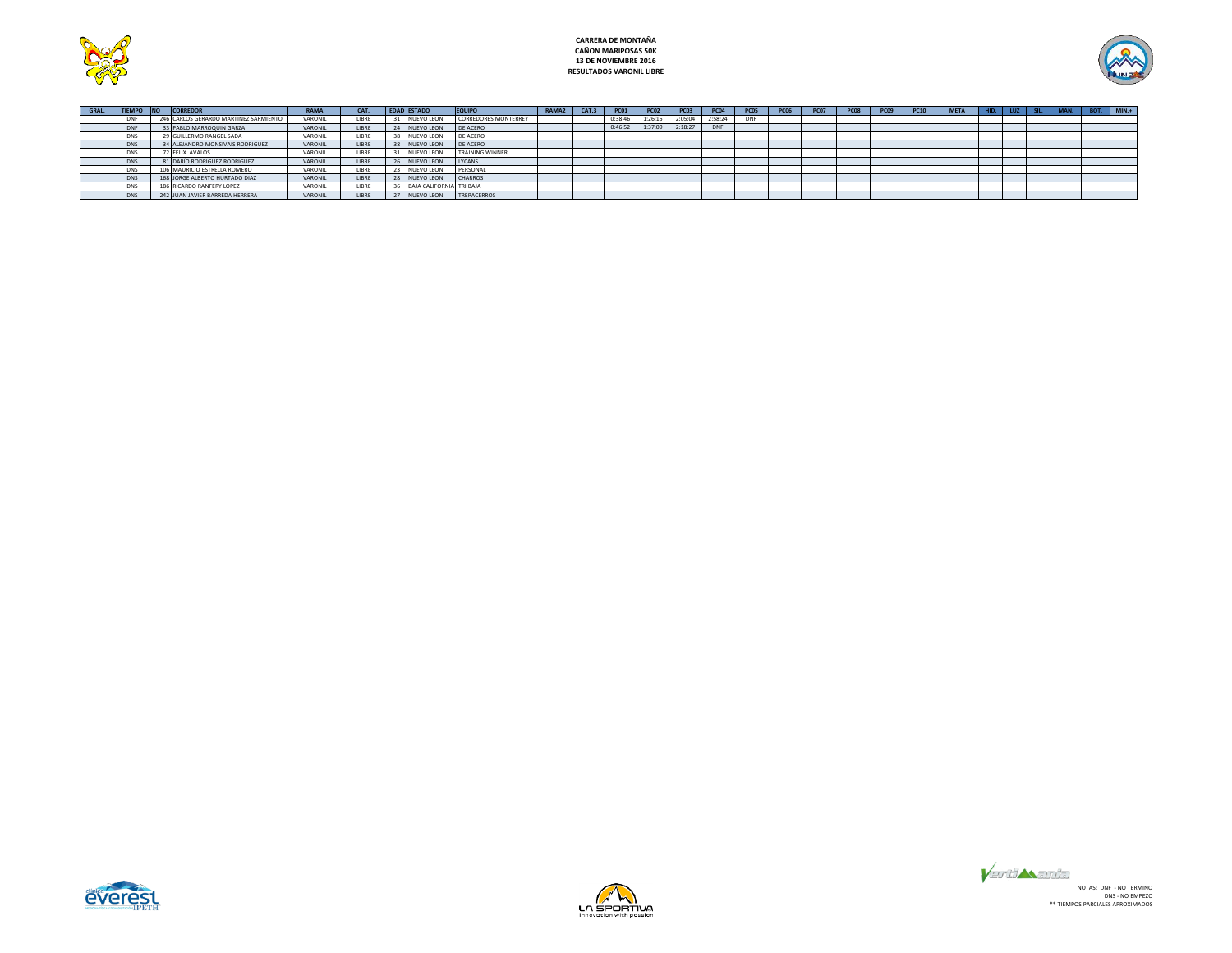

# **CARRERA DE MONTAÑA CAÑON MARIPOSAS 50K 13 DE NOVIEMBRE 2016 RESULTADOS VARONIL LIBRE**



| <b>GRAL</b> | <b>TIEMPO</b> | <b>INO</b> | <b>CORREDOR</b>                       | <b>RAMA</b>    | CAT.  | <b>EDAD ESTADO</b>       | <b>EQUIPO</b>               | RAMA <sub>2</sub> | CAT.3 | <b>PC01</b> | <b>PC02</b> | <b>PC03</b> | <b>PC04</b> | <b>PC05</b> | <b>PC06</b> | <b>PC07</b> | <b>PC09</b> | <b>PC10</b> | <b>META</b> | <b>LUZ</b> |  | BOT. | $MIN.+$ |
|-------------|---------------|------------|---------------------------------------|----------------|-------|--------------------------|-----------------------------|-------------------|-------|-------------|-------------|-------------|-------------|-------------|-------------|-------------|-------------|-------------|-------------|------------|--|------|---------|
|             |               |            | 246 CARLOS GERARDO MARTINEZ SARMIENTO | VARONIL        | LIBRE | NUEVO LEON               | <b>CORREDORES MONTERREY</b> |                   |       | 0:38:46     | 1:26:15     | 2:05:04     | 2:58:24     | <b>DNF</b>  |             |             |             |             |             |            |  |      |         |
|             | <b>DNF</b>    |            | 3 PABLO MARROQUIN GARZA               | VARONI         | LIBRE | 24 NUEVO LEON            | DE ACERO                    |                   |       | 0:46:52     | 1:37:09     | 2:18:27     | <b>DNF</b>  |             |             |             |             |             |             |            |  |      |         |
|             | DNS           |            | 29 GUILLERMO RANGEL SADA              | VARONII        | LIBRE | <b>NUEVO LEON</b>        | DE ACERO                    |                   |       |             |             |             |             |             |             |             |             |             |             |            |  |      |         |
|             | <b>DNS</b>    |            | 34 ALEJANDRO MONSIVAIS RODRIGUEZ      | VARONIL        | LIBRE | NUEVO LEON               | <b>DE ACERO</b>             |                   |       |             |             |             |             |             |             |             |             |             |             |            |  |      |         |
|             | DNS           |            | 72 FELIX AVALOS                       | VARONII        | LIBRE | NUEVO LEON               | <b>TRAINING WINNER</b>      |                   |       |             |             |             |             |             |             |             |             |             |             |            |  |      |         |
|             | <b>DNS</b>    |            | 81 DARÍO RODRIGUEZ RODRIGUEZ          | VARONIL        | LIBRE | 26 NUEVO LEON            | LYCANS                      |                   |       |             |             |             |             |             |             |             |             |             |             |            |  |      |         |
|             | DNS           |            | 106 MAURICIO ESTRELLA ROMERO          | VARONIL        | LIBRE | NUEVO LEON               | PERSONAL                    |                   |       |             |             |             |             |             |             |             |             |             |             |            |  |      |         |
|             | <b>DNS</b>    |            | 168 JORGE ALBERTO HURTADO DIAZ        | <b>VARONIL</b> | LIBRE | NUEVO LEON               | CHARROS                     |                   |       |             |             |             |             |             |             |             |             |             |             |            |  |      |         |
|             | <b>DNS</b>    |            | 186 RICARDO RANFERY LOPEZ             | VARONII        | LIBRE | BAIA CALIFORNIA TRI BAIA |                             |                   |       |             |             |             |             |             |             |             |             |             |             |            |  |      |         |
|             | <b>DNS</b>    |            | 242 JUAN JAVIER BARREDA HERRERA       | VARONIL        | LIBRE | <b>NUEVO LEON</b>        | TREPACERROS                 |                   |       |             |             |             |             |             |             |             |             |             |             |            |  |      |         |





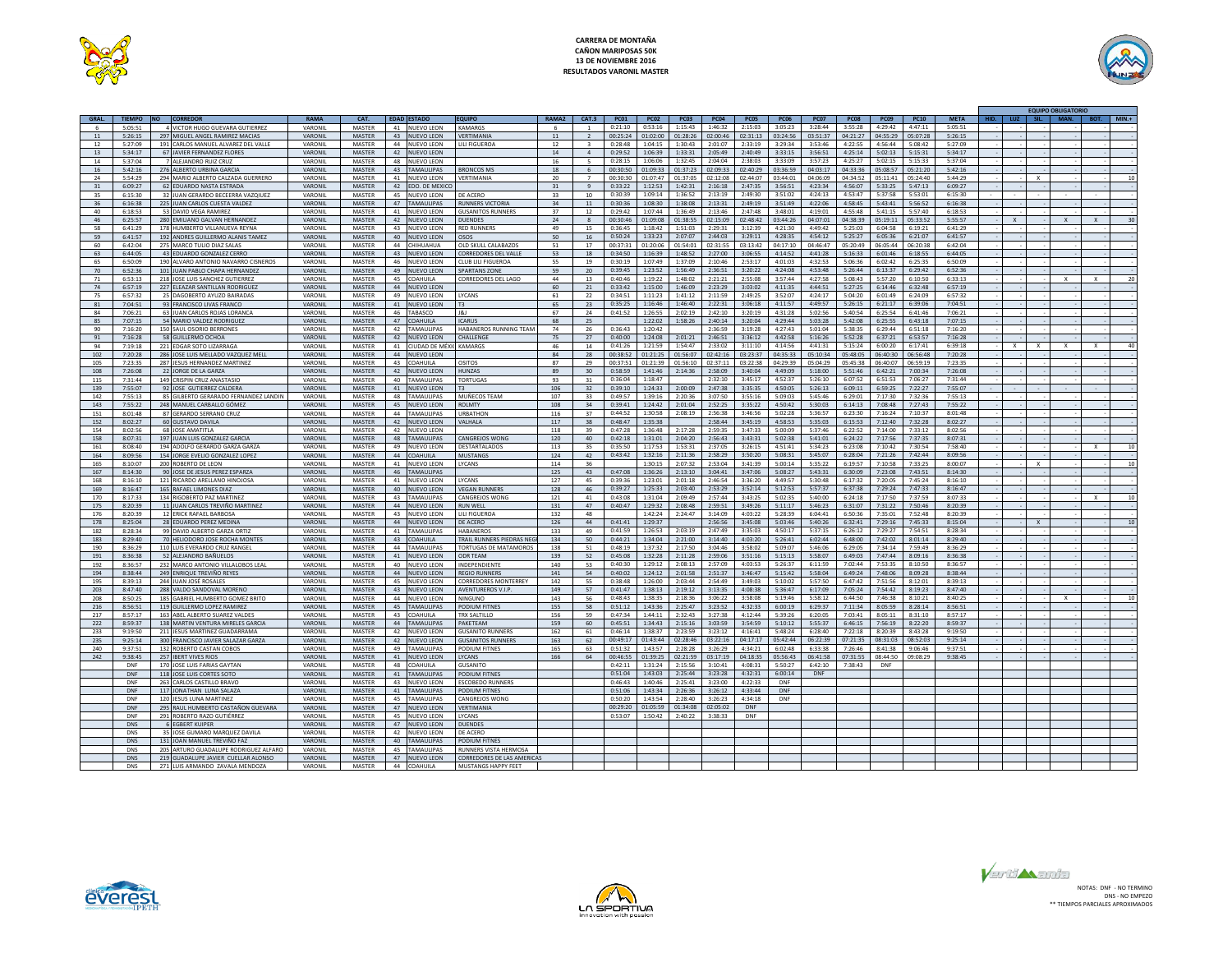

# **CARRERA DE MONTAÑA CAÑON MARIPOSAS 50K 13 DE NOVIEMBRE 2016 RESULTADOS VARONIL MASTER**



|       |            |                                       |                |                  |    |                             |                                       |              |                |             |             |             |             |            |             |             |                |          |             |             |  |              | <b>EQUIPO OBLIGATORIO</b> |         |
|-------|------------|---------------------------------------|----------------|------------------|----|-----------------------------|---------------------------------------|--------------|----------------|-------------|-------------|-------------|-------------|------------|-------------|-------------|----------------|----------|-------------|-------------|--|--------------|---------------------------|---------|
| GRAL. | TIEMPO NO  | CORREDOR                              | RAMA           | CAT.             |    | <b>EDAD ESTADO</b>          | <b>FOUIPO</b>                         | <b>RAMA2</b> | CAT.3          | <b>PC01</b> | <b>PC02</b> | <b>PC03</b> | <b>PC04</b> | PC05       | <b>PC06</b> | <b>PC07</b> | <b>PC08</b>    | PC09     | <b>PC10</b> | <b>MFTA</b> |  |              |                           | $MIN.+$ |
|       | 5:05:51    | 4 VICTOR HUGO GUEVARA GUTIERREZ       | VARONIL        | MASTER           | 41 | NUEVO LEON                  | KAMARGS                               |              |                | 0:21:10     | 0:53:16     | 1:15:43     | 1:46:32     | 2:15:03    | 3.05:23     | 3:28:44     | 3:55:28        | 4:29:42  | 4:47:11     | 5:05:51     |  |              |                           |         |
| 11    | 5:26:15    | 297 MIGUEL ANGEL RAMIREZ MACIAS       | VARONIL        | MASTER           | 43 | NUEVO LEON                  | VERTIMANIA                            | 11           | $\overline{2}$ | 00:25:24    | 01:02:00    | 01:28:26    | 02:00:46    | 02:31:13   | 03:24:56    | 03:51:37    | 04:21:27       | 04:55:29 | 05:07:28    | 5:26:15     |  |              |                           |         |
| 12    | 5:27:09    | 191 CARLOS MANUEL ALVAREZ DEL VALLE   | VARONIL        | MASTER           | 44 | NUEVO LEON                  | LILI FIGUEROA                         | 12           |                | 0:28:48     | 1:04:15     | 1:30:43     | 2:01:07     | 2:33:19    | 3:29:34     | 3:53:46     | 4:22:55        | 4:56:44  | 5:08:42     | 5:27:09     |  |              |                           |         |
| 13    | 5:34:17    | 67 JAVIER FERNANDEZ FLORES            | VARONIL        | <b>MASTER</b>    | 42 | <b>NUEVO LEON</b>           |                                       | 14           | $\mathbf{4}$   | 0:29:52     | 1:06:39     | 1:33:31     | 2:05:49     | 2:40:49    | 3:33:15     | 3:56:51     | 4:25:14        | 5:02:13  | 5:15:31     | 5:34:17     |  |              |                           |         |
| 14    | 5:37:04    | 7 ALEJANDRO RUIZ CRUZ                 | <b>VARONII</b> | MASTER           | 48 | NUEVO LEON                  |                                       | 16           | -5             | 0:28:15     | 1:06:06     | 1:32:45     | 2:04:04     | 2:38:03    | 3:33:09     | 3:57:23     | 4:25:27        | 5:02:15  | 5:15:33     | 5:37:04     |  |              |                           |         |
|       |            |                                       |                |                  |    |                             |                                       |              |                |             |             | 01:37:23    |             |            |             |             |                |          |             |             |  |              |                           |         |
| 16    | 5:42:16    | 276 ALBERTO URBINA GARCIA             | VARONIL        | MASTER           | 43 | <b>TAMAULIPAS</b>           | <b>BRONCOS MS</b>                     | 18           | 6              | 00:30:50    | 01:09:33    |             | 02:09:33    | 02:40:29   | 03:36:59    | 04:03:17    | 04:33:36       | 05:08:57 | 05:21:20    | 5:42:16     |  |              |                           |         |
| 24    | 5.54.29    | 294 MARIO ALBERTO CALZADA GUERRERO    | VARONII        | MASTER           | 41 | NUEVO LEON                  | VERTIMANIA                            | 20           | $\overline{7}$ | 00:30:30    | 01:07:47    | 01:37:05    | 02:12:08    | 02:44:07   | 03:44:01    | 04:06:09    | 04:34:52       | 05:11:41 | 05:24:40    | 5:44:29     |  |              |                           | 10      |
| 31    | 6:09:27    | 62 EDUARDO NASTA ESTRADA              | VARONII        | MASTER           | 42 | DO. DE MEXIC                |                                       |              |                | 0:33:22     | 1:12:53     | 1:42:31     | 2:16:18     | 2:47:35    | 3:56:51     | 4:23:34     | 4:56:07        | 5:33:25  | 5:47:13     | 6:09:27     |  |              |                           |         |
| 35    | 6:15:30    | 32 JUAN GERARDO BECEERRA VAZQIUEZ     | VARONII        | MASTER           | 45 | NUEVO LEON                  | DE ACERC                              | 33           | 10             | 0:30:39     | 1:09:14     | 1:36:52     | 2:13:19     | 2:49:30    | 3:51:02     | 4:24:13     | 4:53:47        | 5:37:58  | 5:53:01     | 6:15:30     |  |              |                           |         |
| 36    | 6:16:38    | 225 JUAN CARLOS CUESTA VALDEZ         | VARONIL        | MASTER           | 47 | <b>AMAULIPAS</b>            | <b>RUNNERS VICTORIA</b>               | 34           | 11             | 0:30:36     | 1:08:30     | 1:38:08     | 2:13:31     | 2:49:19    | 3:51:49     | 4:22:06     | 4:58:45        | 5:43:41  | 5:56:52     | 6:16:38     |  |              |                           |         |
| 40    | 6:18:53    | 53 DAVID VEGA RAMIREZ                 | VARONII        | MASTER           | 41 | <b>UEVO LEON</b>            | <b>GUSANITOS RUNNERS</b>              | 37           | 12             | 0:29:42     | 1:07:44     | 1:36:49     | 2:13:46     | 2.47.48    | 3:48:01     | 4:19:01     | 4:55:48        | 5:41:15  | 5:57:40     | 6:18:53     |  |              |                           |         |
| 46    | 6:25:57    | 280 FMILIANO GALVAN HERNANDEZ         | VARONIL        | MASTER           | 42 | <b>NUEVO LEON</b>           | <b>DUENDES</b>                        | 24           | $\mathcal{R}$  | 00:30:46    | 01:09:08    | 01:38:55    | 02:15:09    | 02:48:42   | 03:44:26    | 04:07:01    | $04 - 38 - 39$ | 05:19:11 | 05:33:52    | 5:55:57     |  |              |                           | 30      |
| 58    | 6:41:29    | 178 HUMBERTO VILLANUEVA REYNA         | VARONII        | MASTER           | 43 | NUEVO LEON                  | <b>RED RUNNERS</b>                    | 49           | 15             | 0:36:45     | 1:18:42     | 1:51:03     | 2.29:31     | 3:12:39    | 4:21:30     | 4:49:42     | 5:25:03        | 6:04:58  | 6:19:21     | 6:41:29     |  |              |                           |         |
| 59    | 6:41:57    | 192 ANDRES GUILLERMO ALANIS TAMEZ     | VARONIL        | <b>MASTER</b>    | 40 | <b>NUEVO LEON</b>           | <b>OSOS</b>                           | 50           | 16             | 0:50:24     | 1:33:23     | 2:07:07     | 2:44:03     | 3:29:11    | 4:28:35     | 4:54:12     | 5:25:27        | 6:05:36  | 6:21:07     | 6:41:57     |  |              |                           |         |
| 60    | 6:42:04    | 275 MARCO TULIO DIAZ SALAS            | VARONIL        | MASTER           |    | 44 CHIHUAHUA                | OLD SKULL CALABAZOS                   | 51           | 17             | 00:37:31    | 01:20:06    | 01:54:01    | 02.31.55    | 03:13:42   | 04:17:10    | 04:46:47    | 05:20:49       | 06:05:44 | 06:20:38    | 6:42:04     |  |              |                           |         |
| 63    | 6:44:05    | 43 EDUARDO GONZALEZ CERRO             | VARONIL        | <b>MASTER</b>    | 43 | <b>NUEVO LEON</b>           | <b>CORREDORES DEL VALLE</b>           | 53           | 18             | 0:34:50     | 1:16:39     | 1:48:52     | 2:27:00     | 3:06:55    | 4:14:52     | 4:41:28     | 5:16:33        | 6:01:46  | 6:18:55     | 6:44:05     |  |              |                           |         |
| 65    | 6:50:09    | 190 ALVARO ANTONIO NAVARRO CISNEROS   | VARONII        | MASTER           | 46 | NUEVO LEON                  | <b>CLUB LILL FIGUEROA</b>             | 55           | 19             | 0:30:19     | 1:07:49     | 1:37:09     | 2.10:46     | 2:53:17    | 4:01:03     | 4:32:53     | 5:06:36        | 6:02:42  | 6.25.35     | 6:50:09     |  |              |                           |         |
| 70    | 6:52:36    | 101 JUAN PARIO CHAPA HERNANDE         | VARONIL        | MASTER           | 49 |                             | <b>SPARTANS ZONE</b>                  | 59           |                | 0:39:45     | 1:23:52     | 1:56:49     | 2:36:51     | 3:20:22    | 4:24:08     | 4:53:48     | 5:26:44        | 6:13:37  | 6:29:42     | 6:52:36     |  |              |                           |         |
|       |            |                                       |                |                  |    | NUEVO LEON                  |                                       |              | 20             |             |             |             |             |            |             |             |                |          |             |             |  |              |                           |         |
| 71    | 6:53:13    | 218 JOSE LUIS SANCHEZ GUTIERREZ       | VARONIL        | MASTER           | 45 | COAHUILA                    | CORREDORES DEL LAGO                   | 44           | $13\,$         | 0:40:46     | 1:19:22     | 1:48:02     | 2:21:21     | 2:55:08    | 3:57:44     | 4:27:58     | 5:08:43        | 5:57:20  | 6:10:50     | 6:33:13     |  |              |                           | 20      |
| 74    | 6:57:19    | 227 FLEAZAR SANTILLAN RODRIGUEZ       | VARONIL        | MASTER           | 44 | NUEVO LEON                  |                                       | 60           | 21             | 0:33:42     | 1:15:00     | 1:46:09     | 2:23:29     | 3:03:02    | 4:11:35     | 4:44:51     | 5:27:25        | 6:14:46  | 6:32:48     | 6:57:19     |  |              |                           |         |
| 75    | 6-57-37    | 25 DAGORERTO AYUZO BAIRADAS           | VARONII        | MASTER           | 49 | <b>NUEVO LEON</b>           | <b>IYCANS</b>                         | 61           | 22             | 0.34.5      | 1:11:23     | 1:41:12     | $2.11 - 50$ | 2.49.25    | 3:52:07     | 4:24:17     | 5:04:20        | 6:01:49  | 6:24:09     | 6:57:32     |  |              |                           |         |
| 81    | 7:04:51    | 93 FRANCISCO LIVAS FRANCO             | VARONIL        | MASTER           | 41 | NUEVO LEON                  | T <sub>3</sub>                        | 65           | 23             | 0:35:25     | 1:16:46     | 1:46:40     | 2:22:31     | 3:06:18    | 4:11:57     | 4:49:57     | 5:26:15        | 6:21:17  | 6:39:06     | 7:04:51     |  |              |                           |         |
| 84    | 7:06:21    | 63 JUAN CARLOS ROJAS LORANCA          | VARONII        | MASTER           | 46 | TABASCO                     | 18J                                   | 67           | 24             | 0:41:52     | 1:26:55     | 2:02:19     | 7:42:10     | 3:20:19    | 4:31:28     | 5:02:56     | 5:40:54        | 6:25:54  | 6:41:46     | 7:06:21     |  |              |                           |         |
| 85    | 7:07:15    | 54 MARIO VALDEZ RODRIGUEZ             | VARONIL        | MASTER           | 47 | <b>COAHUILA</b>             | <b>ICARUS</b>                         | 68           | 25             |             | 1:22:02     | 1:58:26     | 2:40:14     | 3:20:04    | 4:29:44     | 5:03:28     | 5:42:08        | 6:25:55  | 6:43:18     | 7:07:15     |  |              |                           |         |
| 90    | 7:16:20    | 150 SAUL OSORIO BERRONES              | VARONII        | MASTER           | 42 | <b>TAMAULIPAS</b>           | HARANEROS RUNNING TEAM                | 74           | 26             | 0.36:43     | 1:20:42     |             | 2.36.59     | 3:19:28    | 4:27:43     | 5:01:04     | 5.38.35        | 6:29:44  | 6:51:18     | 7:16:20     |  |              |                           |         |
| 91    | 7:16:28    | 58 GUILLERMO OCHOA                    | VARONII        | <b>MASTER</b>    | 42 | <b>ILIEVO LEON</b>          | <b>CHALLENGE</b>                      | 75           | 27             | 0:40:00     | 1:24:08     | 2:01:21     | 2.46:51     | 3:36:12    | 4:42:58     | 5:16:26     | 5:52:28        | 6:37:21  | 6:53:57     | 7:16:28     |  |              |                           |         |
| 94    | 7:19:18    | 221 EDGAR SOTO LIZARRAGA              | VARONII        | MASTER           | 41 | JDAD DE MÉ)                 | <b>KAMARGS</b>                        | 46           | 14             | 0:41:26     | 1:21:59     | 1:54:47     | 2:33:02     | 3:11:10    | 4:14:56     | 4:41:31     | 5:15:24        | 6:00:20  | 6:17:41     | 6:39:18     |  |              |                           | 40      |
| 102   | 7:20:28    | 286 JOSE LUIS MELLADO VAZQUEZ MEL     | VARONII        | MASTER           | 44 | JEVO LEON                   |                                       | 84           | 28             | 00:38:52    | 01:21:25    | 01:56:07    | 02:42:16    | 03:23:37   | 04:35:33    | 05:10:34    | 05:48:05       | 06:40:30 | 06:56:48    | 7:20:28     |  |              |                           |         |
| 105   | 7:23:35    | 287 JESUS HERNANDEZ MARTINEZ          | VARONII        | MASTER           | 43 | <b>OAHLILA</b>              | OSITOS                                | 87           | 29             | 00:37:51    | 01:21:39    | 01:56:10    | 02:37:11    | 03:22:38   | 04:29:39    | 05:04:29    | 05:45:38       | 06:40:07 | 06:59:19    | 7:23:35     |  |              |                           |         |
| 108   | 7:26:08    | 22 JORGE DE LA GARZA                  | VARONIL        | MASTER           | 42 | NUEVO LEON                  | HUN7AS                                | 89           | 30             | 0:58:59     | 1:41:46     | 2:14:36     | 2:58:09     | 3:40:04    | 4:49:09     | 5:18:00     | 5:51:46        | 6:42:21  | 7:00:34     | 7:26:08     |  |              |                           |         |
| 115   | 7.31.44    | 149 CRISPIN CRUZ ANASTASIO            | VARONIL        | MASTER           | 40 | AMAULIPAS                   | <b>TORTUGAS</b>                       | 93           | 31             | 0:36:04     | 1:18:47     |             | 2.32.10     | 3:45:17    | 4:52:37     | 5:26:10     | 6:07:52        | 6:51:53  | 7:06:27     | 7:31:44     |  |              |                           |         |
|       |            |                                       |                |                  |    |                             |                                       |              |                |             |             |             |             |            |             |             |                |          |             |             |  |              |                           |         |
| 139   | 7:55:07    | 92 JOSE GUTIERREZ CALDERA             | VARONIL        | MASTER           | 41 | NUEVO LEON                  | T <sub>3</sub>                        | 106          | 32             | 0:39:10     | 1:24:33     | 2:00:09     | 2:47:38     | 3:35:35    | 4:50:05     | 5:26:13     | 6:09:11        | 6:59:25  | 7:22:27     | 7:55:07     |  |              |                           |         |
| 142   | 7:55:13    | 85 GILBERTO GERARADO FERNANDEZ LANDIN | VARONIL        | MASTER           | 48 | <b>TAMAULIPAS</b>           | MUÑECOS TEAM                          | 107          | 33             | 0.49:57     | 1:39:16     | 2:20:36     | 3:07:50     | 3:55:16    | 5:09:03     | 5.45.46     | 6:29:01        | 7.17.30  | 7:32:36     | 7:55:13     |  |              |                           |         |
| 143   | 7:55:22    | 248 MANUEL CARBALLO GÓMEZ             | VARONIL        | MASTER           | 45 | <b>NUEVO LEON</b>           | <b>ROIMTY</b>                         | 108          | 34             | 0:39:41     | 1:24:42     | 2:01:04     | 2:52:25     | 3:35:22    | 4:50:42     | 5:30:03     | 6:14:13        | 7:08:48  | 7:27:43     | 7:55:22     |  |              |                           |         |
| 151   | 8:01:48    | 87 GERARDO SERRANO CRUZ               | VARONIL        | <b>MASTER</b>    | 44 | <b>TAMAULIPAS</b>           | <b>URBATHOM</b>                       | 116          | 37             | 0:44:52     | 1:30:58     | 2:08:19     | 2:56:38     | 3:46:56    | 5:02:28     | 5:36:57     | 6:23:30        | 7:16:24  | 7:10:37     | 8:01:48     |  |              |                           |         |
| 152   | 8:02:27    | 60 GUSTAVO DAVILA                     | VARONIL        | MASTER           | 42 | <b>NUEVO LEON</b>           | VALHALA                               | 117          | 38             | 0:48:47     | 1:35:38     |             | 2:58:44     | 3:45:19    | 4:58:53     | 5:35:03     | 6:15:53        | 7:12:40  | 7:32:28     | 8:02:27     |  |              |                           |         |
| 154   | 8:02:56    | 68 JOSE AMATITLA                      | VARONII        | MASTER           | 42 | NUEVO LEON                  |                                       | 118          | 39             | 0:47:28     | 1:36:48     | 2:17:28     | 2:59:35     | 3:47:33    | 5:00:09     | 5:37:46     | 6:22:52        | 7:14:00  | 7:33:12     | 8:02:56     |  |              |                           |         |
| 158   | 8:07:31    | 197 JUAN LUIS GONZALEZ GARCIA         | VARONIL        | MASTER           | 48 | <b>TAMAULIPAS</b>           | <b>CANGREJOS WONG</b>                 | 120          | 40             | 0:42:18     | 1:31:01     | 2:04:20     | 2:56:43     | 3:43:31    | 5:02:38     | 5:41:01     | 6:24:22        | 7:17:56  | 7:37:35     | 8:07:31     |  |              |                           |         |
| 161   | 8:08:40    | 194 ADOLEO GERARDO GARZA GARZA        | VARONII        | MASTER           | 49 | NUEVO LEON                  | DESTARTALADOS                         | 113          | 35             | 0:35:50     | 1:17:53     | 1:53:31     | 2:37:05     | 3:26:15    | 4:51:41     | 5:34:23     | 6:23:08        | 7:10:42  | 7:30:54     | 7:58:40     |  |              |                           | 10      |
| 164   | 8:09:56    | 154 JORGE EVELIO GONZALEZ LOPEZ       | VARONIL        | <b>MASTER</b>    | 44 | OAHUILA                     | <b>MUSTANGS</b>                       | 124          | 42             | 0:43:42     | 1:32:16     | 2:11:36     | 2:58:29     | 3:50:20    | 5:08:31     | 5:45:07     | 6:28:04        | 7:21:26  | 7:42:44     | 8:09:56     |  |              |                           |         |
| 165   | 8:10:07    | 200 ROBERTO DE LEON                   | VARONIL        | MASTER           | 41 | NUEVO LEON                  | LYCANS                                | 114          | 36             |             | 1:30:15     | 2:07:32     | $2.53 - 04$ | 3:41:39    | 5:00:14     | 5:35:22     | 6:19:57        | 7:10:58  | 7.33.25     | 8:00:07     |  |              |                           | 10      |
| 167   | 8:14:30    | 90 JOSE DE JESUS PEREZ ESPARZA        | VARONIL        | MASTER           | 46 | <b>TAMAULIPAS</b>           |                                       | 125          | 43             | 0:47:08     | 1:36:26     | 2:13:10     | 3:04:41     | 3:47:06    | 5:08:27     | 5:43:31     | 6:30:09        | 7:23:08  | 7:43:51     | 8:14:30     |  |              |                           |         |
| 168   | 8:16:10    |                                       | VARONIL        |                  |    |                             |                                       | 127          |                | 0:39:36     | 1:23:01     | 2:01:18     | 2:46:54     | 3:36:20    | 4:49:57     | 5:30:48     | 6:17:32        | 7:20:05  | 7:45:24     | 8:16:10     |  |              |                           |         |
|       | 8:16:47    | 121 RICARDO ARELLANO HINOJOSA         | VARONIL        | MASTER<br>MASTER | 40 | 41 NUEVO LEON<br>NUEVO LEON | <b>LYCANS</b><br><b>VEGAN RUNNERS</b> | 128          | 45<br>46       | 0:39:27     | 1:25:33     | 2:03:40     | 2:53:29     | 3:52:14    | 5:12:53     | 5:57:37     | 6:37:38        | 7:29:24  | 7:47:33     | 8:16:47     |  |              |                           |         |
| 169   |            | 165 RAFAEL LIMONES DIAZ               |                |                  |    |                             |                                       |              |                |             |             |             |             |            |             |             |                |          |             |             |  |              |                           |         |
| 170   | 8:17:33    | 134 RIGOBERTO PAZ MARTINEZ            | VARONII        | MASTER           | 43 | AMAULIPAS                   | CANGREJOS WONG                        | 121          | 41             | 0:43:08     | 1:31:04     | 2:09:49     | $2.57 - 44$ | 3:43:25    | 5:02:35     | 5:40:00     | 6:24:18        | 7:17:50  | 7:37:59     | 8:07:33     |  |              |                           | 10      |
| 175   | 8:20:39    | 11 JUAN CARLOS TREVIÑO MARTINEZ       | VARONIL        | MASTER           | 44 | <b>UEVO LEON</b>            | <b>RUN WELL</b>                       | 131          | 47             | 0:40:47     | 1:29:32     | 2:08:48     | 2:59:51     | 3:49:26    | 5:11:17     | 5:46:23     | 6:31:07        | 7:31:22  | 7:50:46     | 8:20:39     |  |              |                           |         |
| 176   | 8:20:39    | 12 ERICK RAFAEL BARBOSA               | VARONIL        | MASTER           | 43 | <b>IUEVO LEON</b>           | LILI FIGUEROA                         | 132          | 48             |             | 1:42:24     | 2:24:47     | 3:14:09     | 4:03:22    | 5:28:39     | 6:04:41     | 6:50:36        | 7:35:01  | 7:52:48     | 8:20:39     |  |              |                           |         |
| 178   | 8:25:04    | 28 EDUARDO PEREZ MEDINA               | VARONIL        | MASTER           | 44 | UEVO LEON                   | DE ACERC                              | 126          | 44             | 0:41:41     | 1:29:37     |             | 2:56:56     | 3:45:08    | 5:03:46     | 5:40:26     | 6:32:41        | 7:29:16  | 7.45.33     | 8:15:04     |  | $\mathbf{x}$ |                           | 10      |
| 182   | 8:28:34    | 99 DAVID ALBERTO GARZA ORTIZ          | VARONII        | MASTER           | 41 | <b>AMAULIPAS</b>            | HARANFROS                             | 133          | 49             | 0:41:59     | 1:26:53     | 2:03:19     | 2.47.49     | 3:35:03    | 4:50:17     | 5:37:15     | 6:26:12        | 7.29.27  | 7:54:51     | 8:28:34     |  |              |                           |         |
| 183   | 8:29:40    | <b>70 HELIODORO JOSE ROCHA MONTES</b> | VARONIL        | MASTER           | 43 | <b>COAHUILA</b>             | TRAIL RUNNERS PIEDRAS NE              | 134          | 50             | 0:44:21     | 1:34:04     | 2:21:00     | 3:14:40     | 4:03:20    | 5:26:41     | 6:02:44     | 6:48:00        | 7:42:02  | 8:01:14     | 8:29:40     |  |              |                           |         |
| 190   | 8:36:29    | 110 LUIS EVERARDO CRUZ RANGE          | VARONIL        | MASTER           | 44 | <b>TAMAULIPAS</b>           | <b>TORTUGAS DE MATAMOROS</b>          | 138          | 51             | 0:48:19     | 1:37:32     | 2:17:50     | 3:04:46     | 3:58:02    | 5:09:07     | 5:46:06     | 6:29:05        | 7:34:14  | 7:59:49     | 8:36:29     |  |              |                           |         |
| 191   | 8:36:38    | 52 ALEJANDRO BAÑUELOS                 | VARONIL        | MASTER           |    | 41 NUEVO LEON               | <b>ODR TEAM</b>                       | 139          | 52             | 0:45:08     | 1:32:28     | 2:11:28     | 2:59:06     | 3:51:16    | 5:15:13     | 5:58:07     | 6:49:03        | 7:47:44  | 8:09:16     | 8:36:38     |  |              |                           |         |
| 192   | 8:36:57    | 232 MARCO ANTONIO VILLALOBOS LEAL     | VARONII        | MASTER           | 40 | NUEVO LEON                  | <b>INDEPENDIENTE</b>                  | 140          | 53             | 0:40:30     | 1:29:12     | 2.08:13     | 2.57:09     | 4:03:53    | 5:26:37     | 6:11:59     | 7:02:44        | 7.53.35  | 8:10:50     | 8:36:57     |  |              |                           |         |
| 194   | 8:38:44    | 249 ENRIOUE TREVIÑO REYES             | VARONIL        | <b>MASTER</b>    | 44 | NUEVO LEON                  | <b>REGIO RUNNERS</b>                  | 141          | 54             | 0:40:02     | 1:24:12     | 2:01:58     | 2:51:37     | 3:46:47    | 5:15:42     | 5:58:04     | 6:49:24        | 7:48:06  | 8:09:28     | 8:38:44     |  |              |                           |         |
| 195   | 8:39:13    | 244 IUAN JOSÉ ROSALES                 | VARONII        | MASTER           | 45 | NUEVO LEON                  | <b>CORREDORES MONTERREY</b>           | 142          | 55             | 0:38:48     | 1:26:00     | 2:03:44     | 2:54:49     | 3:49:03    | 5:10:02     | 5:57:50     | 6:47:42        | 7:51:56  | 8:12:01     | 8:39:13     |  |              |                           |         |
| 203   | 8:47:40    | 288 VALDO SANDOVAL MORENO             | VARONIL        | MASTER           | 43 | <b>NUEVO LEON</b>           | AVENTUREROS V.I.P                     | 149          | 57             | 0:41:47     | 1:38:13     | 2:19:12     | 3:13:35     | 4:08:38    | 5:36:47     | 6:17:09     | 7:05:24        | 7:54:42  | 8:19:23     | 8:47:40     |  |              |                           |         |
| 208   | 8:50:25    | 185 GABRIEL HUMBERTO GOMEZ BRITO      | VARONIL        | MASTER           | 44 | NUEVO LEON                  | NINGUNO                               | 143          |                | 0:48:43     | 1:38:35     | 2:18:36     | 3:06:22     | 3:58:08    | 5:19:46     | 5:58:12     | 6:44:50        | 7:46:38  | 8:10:21     | 8:40:25     |  |              | ¥                         | 10      |
|       |            |                                       |                |                  |    |                             |                                       |              | 56             |             |             |             |             |            |             |             |                |          |             |             |  |              |                           |         |
| 216   | 8:56:51    | 119 GUILLERMO LOPEZ RAMIREZ           | VARONIL        | MASTER           | 45 | AMAULIPAS                   | PODIUM FITNES                         | 155          | 58             | 0:51:12     | 1:43:36     | 2:25:47     | 3:23:52     | 4:32:33    | 6:00:19     | 6:29:37     | 7:11:34        | 8:05:59  | 8:28:14     | 8:56:51     |  |              |                           |         |
| 217   | 8:57:17    | 163 AREL ALBERTO SUAREZ VALDES        | VARONII        | MASTER           | 43 | OAHUILA                     | TRX SALTILLO                          | 156          | 59             | 0:47:34     | 1:44:11     | 2:32:43     | 3.27.38     | 4:12:44    | 5:39:26     | 6:20:05     | 7:03:41        | 8:05:11  | 8:31:10     | 8:57:17     |  |              |                           |         |
| 222   | 8:59:37    | 138 MARTIN VENTURA MIRELES GARCIA     | VARONIL        | MASTER           | 44 | AMAULIPAS                   | PAKETEAM                              | 159          | 60             | 0:45:51     | 1:34:43     | 2:15:16     | 3:03:59     | 3:54:59    | 5:10:12     | 5:55:37     | 6:46:15        | 7:56:19  | 8:22:20     | 8:59:37     |  |              |                           |         |
| 233   | 9:19:50    | 211 JESUS MARTINEZ GUADARRAMA         | VARONIL        | MASTER           | 42 | <b>NUEVO LEON</b>           | <b>GUSANITO RUNNERS</b>               | 162          | 61             | 0:46:14     | 1:38:37     | 2:23:59     | 3:23:12     | 4:16:41    | 5:48:24     | 6:28:40     | 7:22:18        | 8:20:39  | 8:43:28     | 9:19:50     |  |              |                           |         |
| 235   | 9:25:14    | 300 FRANCISCO JAVIER SALAZAR GARZA    | VARONII        | MASTER           | 42 | <b>NUEVO LEON</b>           | <b>GUSANITOS RUNNERS</b>              | 163          | 62             | 00:49:17    | 01:43:44    | 02:28:46    | 03:22:16    | 04:17:17   | 05:42:44    | 06:22:39    | 07:21:35       | 08:31:03 | 08:52:03    | 9:25:14     |  |              |                           |         |
| 240   | 9:37:51    | 132 ROBERTO CASTAN COBOS              | VARONIL        | <b>MASTER</b>    | 49 | PAMALILIPAS                 | <b>PODUM FITNES</b>                   | 165          | 63             | 0:51:32     | 1:43:57     | 2:28:28     | 3:26:29     | 4:34:21    | 6:02:48     | 6:33:38     | 7.26:46        | 8:41:38  | 9:06:46     | 9.37.51     |  |              |                           |         |
| 242   | 9:38:45    | 257 IBERT VIVES RIOS                  | VARONIL        | MASTER           | 41 | <b>NUEVO LEON</b>           | LYCANS                                | 166          | 64             | 00:46:55    | 01:39:25    | 02:21:59    | 03:17:19    | 04:18:35   | 05:56:43    | 06:41:58    | 07:31:55       | 08:44:50 | 09:08:29    | 9:38:45     |  |              |                           |         |
|       | DNF        | 170 JOSE LUIS FARIAS GAYTAN           | VARONIL        | MASTER           | 48 | <b>AHUILA</b>               | <b>GUSANITO</b>                       |              |                | 0:42:11     | 1:31:24     | 2:15:56     | 3:10:41     | 4:08:31    | 5:50:27     | 6:42:10     | 7:38:43        | DNF      |             |             |  |              |                           |         |
|       | <b>DNF</b> | 118 JOSE LUIS CORTES SOT              | VARONIL        | MASTER           | 41 | <b>AMAULIPAS</b>            | <b>PODIUM FITNES</b>                  |              |                | 0:51:04     | 1:43:03     | 2:25:44     | 3:23:28     | 4:32:31    | 6:00:14     | <b>DNF</b>  |                |          |             |             |  |              |                           |         |
|       | DNF        | 263 CARLOS CASTILLO BRAVO             | <b>VARONII</b> | MASTER           | 43 | NUEVO LEON                  | <b>ESCOREDO RUNALERS</b>              |              |                | $0.46 - 43$ | 1:40:46     | 2:25:41     | 3:23:00     | 4:22:33    | DNF         |             |                |          |             |             |  |              |                           |         |
|       | DNF        | 117 JONATHAN LUNA SALAZA              | VARONIL        | MASTER           | 41 | <b>AMAULIPAS</b>            | PODIUM FITNES                         |              |                | 0:51:06     | 1:43:34     | 2:26:36     | 3:26:12     | 4:33:44    | <b>DNF</b>  |             |                |          |             |             |  |              |                           |         |
|       | DNF        | 120 IFSUS LUNA MARTINEZ               | VARONII        | MASTER           | 45 | <b>AMAULIPAS</b>            | CANGREIOS WONG                        |              |                | 0:50:20     | 1:43:54     | 2:28:40     | 3.26.27     | 4:34:18    | DNF         |             |                |          |             |             |  |              |                           |         |
|       | DNF        | 295 RAUL HUMBERTO CASTAÑON GUEVARA    | VARONIL        | MASTER           | 47 | NUEVO LEON                  | VERTIMANIA                            |              |                | 00:29:20    | 01:05:59    | 01:34:08    | 02:05:02    | DNF        |             |             |                |          |             |             |  |              |                           |         |
|       | DNF        | 291 ROBERTO RAZO GUTIÉRREZ            | VARONIL        | MASTER           | 45 | <b>NUEVO LEON</b>           | <b>IYCANS</b>                         |              |                | 0:53:07     | 1:50:42     | 2:40:22     | 3:38:33     | <b>DNF</b> |             |             |                |          |             |             |  |              |                           |         |
|       | <b>DNS</b> |                                       | VARONIL        | MASTER           |    |                             |                                       |              |                |             |             |             |             |            |             |             |                |          |             |             |  |              |                           |         |
|       |            | <b>6 EGBERT KUIPER</b>                |                |                  |    | 47 NUEVO LEON               | <b>DUENDES</b>                        |              |                |             |             |             |             |            |             |             |                |          |             |             |  |              |                           |         |
|       | DNS        | 35 JOSE GUMARO MARQUEZ DAVILA         | VARONII        | MASTER           | 42 | NUEVO LEON                  | DE ACERC                              |              |                |             |             |             |             |            |             |             |                |          |             |             |  |              |                           |         |
|       | <b>DNS</b> | 131 JOAN MANUEL TREVIÑO FAZ           | VARONIL        | MASTER           | 40 | <b>AMAULIPAS</b>            | PODIUM FITNES                         |              |                |             |             |             |             |            |             |             |                |          |             |             |  |              |                           |         |
|       | DNS        | 205 ARTURO GUADALUPE RODRIGUEZ ALFARO | VARONIL        | MASTER           | 45 | <b>AMAULIPAS</b>            | <b>RUNNERS VISTA HERMOSA</b>          |              |                |             |             |             |             |            |             |             |                |          |             |             |  |              |                           |         |
|       | <b>DNS</b> | 219 GUADALUPE JAVIER CUELLAR ALONSO   | VARONIL        | <b>MASTER</b>    | 47 | <b>NUEVO LEON</b>           | CORREDORES DE LAS AMERICAS            |              |                |             |             |             |             |            |             |             |                |          |             |             |  |              |                           |         |
|       | <b>DNS</b> | 271 IUIS ARMANDO ZAVALA MENDOZA       | VARONIL        | MASTER           | 44 | <b>COAHUILA</b>             | MUSTANGS HAPPY FFFT                   |              |                |             |             |             |             |            |             |             |                |          |             |             |  |              |                           |         |